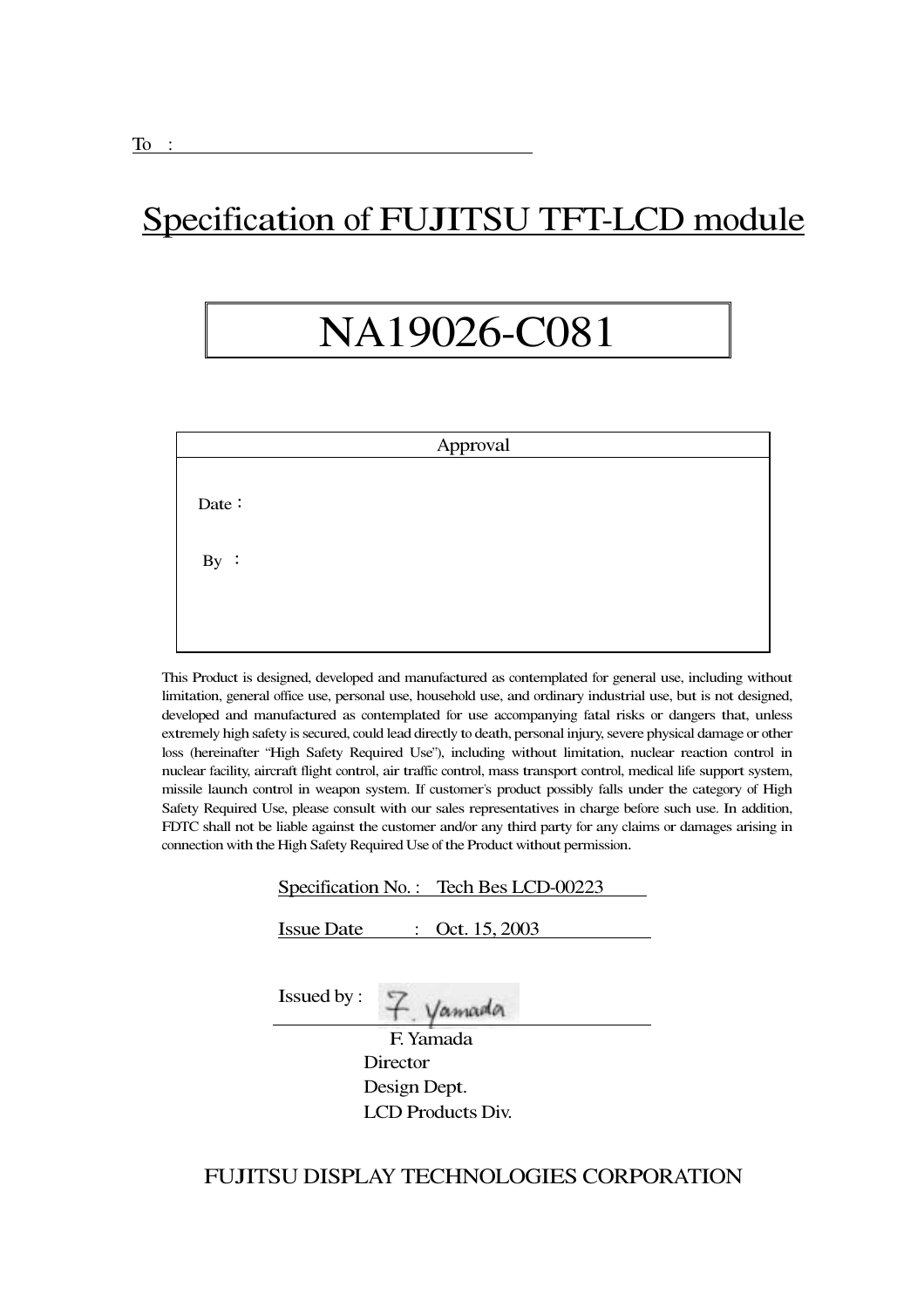## Specification of FUJITSU TFT-LCD module

# NA19026-C081

|       | Approval |  |
|-------|----------|--|
| Date: |          |  |
| By:   |          |  |
|       |          |  |

This Product is designed, developed and manufactured as contemplated for general use, including without limitation, general office use, personal use, household use, and ordinary industrial use, but is not designed, developed and manufactured as contemplated for use accompanying fatal risks or dangers that, unless extremely high safety is secured, could lead directly to death, personal injury, severe physical damage or other loss (hereinafter "High Safety Required Use"), including without limitation, nuclear reaction control in nuclear facility, aircraft flight control, air traffic control, mass transport control, medical life support system, missile launch control in weapon system. If customer's product possibly falls under the category of High Safety Required Use, please consult with our sales representatives in charge before such use. In addition, FDTC shall not be liable against the customer and/or any third party for any claims or damages arising in connection with the High Safety Required Use of the Product without permission.

| Specification No.: Tech Bes LCD-00223                           |
|-----------------------------------------------------------------|
| Oct. 15, 2003<br><b>Issue Date</b><br>$\mathbb{R}^{\mathbb{Z}}$ |
| <b>Issued by:</b><br>amada                                      |
| F. Yamada                                                       |
| Director                                                        |
| Design Dept.                                                    |
| <b>LCD Products Div.</b>                                        |

#### FUJITSU DISPLAY TECHNOLOGIES CORPORATION

I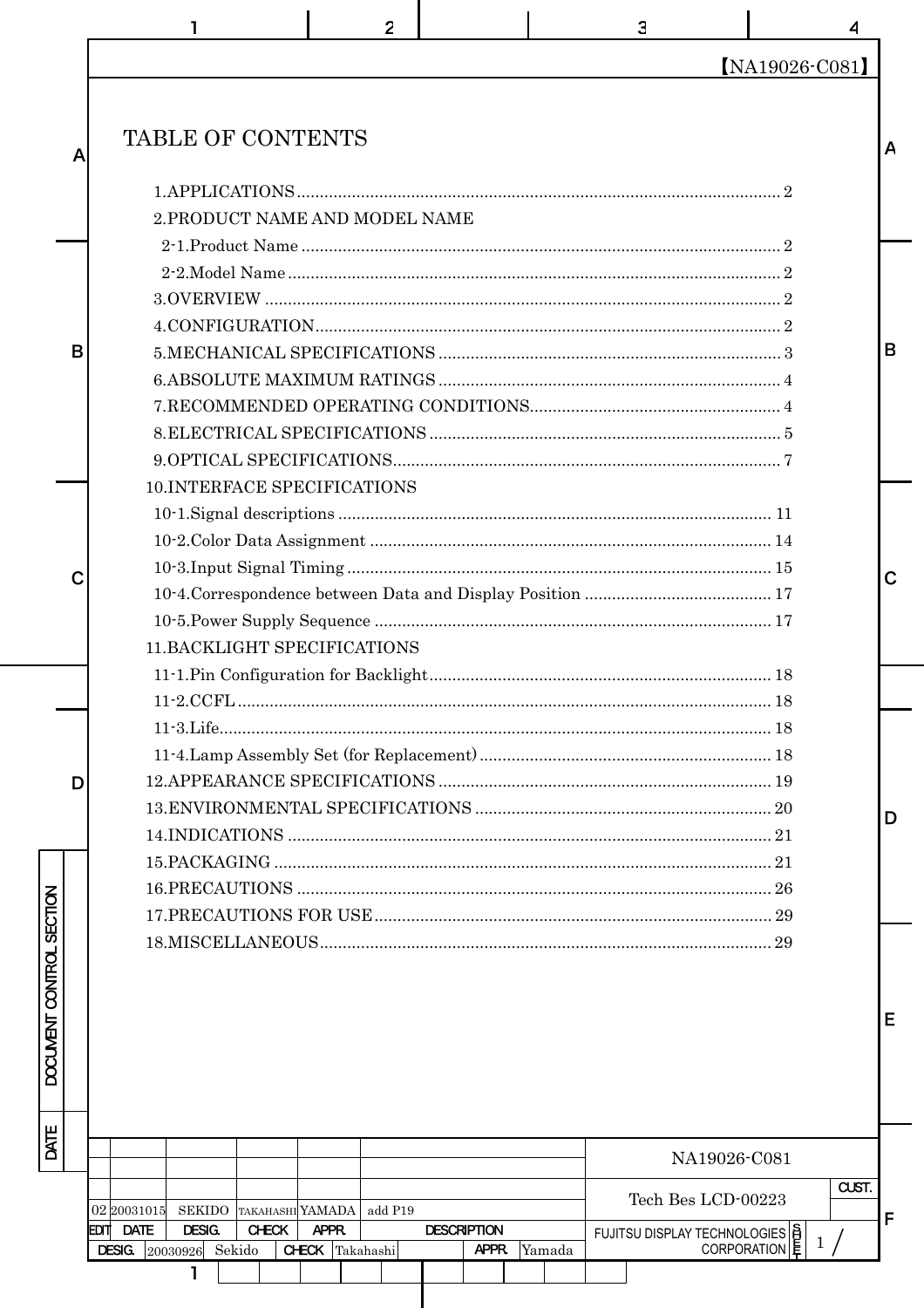|   |                                     |                         |              |                                | 2       |                    |        | 3                                             | 4              |             |
|---|-------------------------------------|-------------------------|--------------|--------------------------------|---------|--------------------|--------|-----------------------------------------------|----------------|-------------|
|   |                                     |                         |              |                                |         |                    |        |                                               | [NA19026-C081] |             |
| A |                                     |                         |              | TABLE OF CONTENTS              |         |                    |        |                                               |                |             |
|   |                                     |                         |              |                                |         |                    |        |                                               |                |             |
|   |                                     |                         |              | 2. PRODUCT NAME AND MODEL NAME |         |                    |        |                                               |                |             |
|   |                                     |                         |              |                                |         |                    |        |                                               |                |             |
|   |                                     |                         |              |                                |         |                    |        |                                               |                |             |
|   |                                     |                         |              |                                |         |                    |        |                                               |                |             |
|   |                                     |                         |              |                                |         |                    |        |                                               |                |             |
| B |                                     |                         |              |                                |         |                    |        |                                               |                | B           |
|   |                                     |                         |              |                                |         |                    |        |                                               |                |             |
|   |                                     |                         |              |                                |         |                    |        |                                               |                |             |
|   |                                     |                         |              |                                |         |                    |        |                                               |                |             |
|   |                                     |                         |              |                                |         |                    |        |                                               |                |             |
|   |                                     |                         |              | 10.INTERFACE SPECIFICATIONS    |         |                    |        |                                               |                |             |
|   |                                     |                         |              |                                |         |                    |        |                                               |                |             |
|   |                                     |                         |              |                                |         |                    |        |                                               |                |             |
| C |                                     |                         |              |                                |         |                    |        |                                               |                | $\mathbf C$ |
|   |                                     |                         |              |                                |         |                    |        |                                               |                |             |
|   |                                     |                         |              |                                |         |                    |        |                                               |                |             |
|   |                                     |                         |              | 11. BACKLIGHT SPECIFICATIONS   |         |                    |        |                                               |                |             |
|   |                                     |                         |              |                                |         |                    |        |                                               |                |             |
|   |                                     |                         |              |                                |         |                    |        |                                               |                |             |
|   |                                     |                         |              |                                |         |                    |        |                                               |                |             |
|   |                                     |                         |              |                                |         |                    |        |                                               |                |             |
| D |                                     |                         |              |                                |         |                    |        |                                               |                |             |
|   |                                     |                         |              |                                |         |                    |        |                                               |                | D           |
|   |                                     |                         |              |                                |         |                    |        |                                               |                |             |
|   |                                     |                         |              |                                |         |                    |        |                                               |                |             |
|   |                                     |                         |              |                                |         |                    |        |                                               |                |             |
|   |                                     |                         |              |                                |         |                    |        |                                               |                |             |
|   |                                     |                         |              |                                |         |                    |        |                                               |                |             |
|   |                                     |                         |              |                                |         |                    |        |                                               |                | Е           |
|   |                                     |                         |              |                                |         |                    |        |                                               |                |             |
|   |                                     |                         |              |                                |         |                    |        | NA19026-C081                                  |                |             |
|   |                                     |                         |              |                                |         |                    |        | Tech Bes LCD-00223                            | CUST.          |             |
|   | 02 2003 1015<br><b>DATE</b><br>EDIT | SEKIDO<br><b>DESIG.</b> | <b>CHECK</b> | TAKAHASHIYAMADA<br>APPR.       | add P19 | <b>DESCRIPTION</b> |        |                                               |                | F           |
|   | <b>DESIG.</b>                       | 20030926 Sekido         |              | <b>CHECK</b> Takahashi         |         | APPR.              | Yamada | FUJITSU DISPLAY TECHNOLOGIES  <br>CORPORATION | 1/             |             |
|   |                                     | ı                       |              |                                |         |                    |        |                                               |                |             |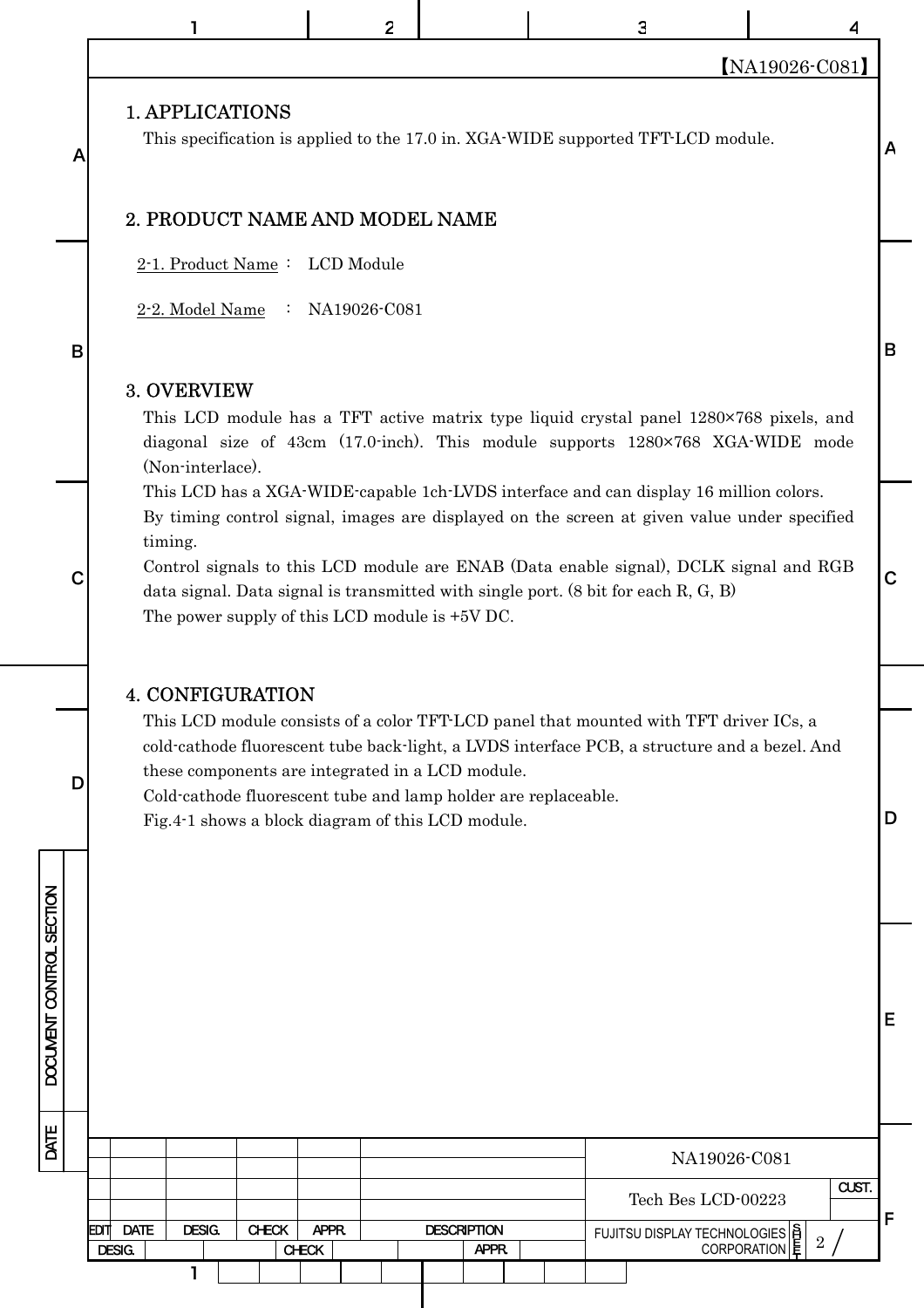|                          |                                                                                                                                                                         | 2                     |                             | 3                                                                                                                                                                                                                                                                                                                                                                              |                                                                     |             |
|--------------------------|-------------------------------------------------------------------------------------------------------------------------------------------------------------------------|-----------------------|-----------------------------|--------------------------------------------------------------------------------------------------------------------------------------------------------------------------------------------------------------------------------------------------------------------------------------------------------------------------------------------------------------------------------|---------------------------------------------------------------------|-------------|
|                          |                                                                                                                                                                         |                       |                             |                                                                                                                                                                                                                                                                                                                                                                                | [NA19026-C081]                                                      |             |
|                          | <b>1. APPLICATIONS</b>                                                                                                                                                  |                       |                             |                                                                                                                                                                                                                                                                                                                                                                                |                                                                     |             |
| A                        |                                                                                                                                                                         |                       |                             | This specification is applied to the 17.0 in. XGA-WIDE supported TFT-LCD module.                                                                                                                                                                                                                                                                                               |                                                                     | A           |
|                          | 2. PRODUCT NAME AND MODEL NAME                                                                                                                                          |                       |                             |                                                                                                                                                                                                                                                                                                                                                                                |                                                                     |             |
|                          | 2-1. Product Name: LCD Module                                                                                                                                           |                       |                             |                                                                                                                                                                                                                                                                                                                                                                                |                                                                     |             |
|                          | 2-2. Model Name                                                                                                                                                         | : $NA19026-C081$      |                             |                                                                                                                                                                                                                                                                                                                                                                                |                                                                     |             |
| B                        |                                                                                                                                                                         |                       |                             |                                                                                                                                                                                                                                                                                                                                                                                |                                                                     | B           |
|                          | 3. OVERVIEW<br>(Non-interlace).                                                                                                                                         |                       |                             | This LCD module has a TFT active matrix type liquid crystal panel 1280×768 pixels, and<br>diagonal size of 43cm (17.0-inch). This module supports 1280×768 XGA-WIDE mode                                                                                                                                                                                                       |                                                                     |             |
|                          | timing.<br>The power supply of this LCD module is +5V DC.                                                                                                               |                       |                             | This LCD has a XGA-WIDE-capable 1ch-LVDS interface and can display 16 million colors.<br>By timing control signal, images are displayed on the screen at given value under specified<br>Control signals to this LCD module are ENAB (Data enable signal), DCLK signal and RGB<br>data signal. Data signal is transmitted with single port. $(8 \text{ bit for each } R, G, B)$ |                                                                     | $\mathbf C$ |
|                          | <b>4. CONFIGURATION</b>                                                                                                                                                 |                       |                             |                                                                                                                                                                                                                                                                                                                                                                                |                                                                     |             |
| D                        | these components are integrated in a LCD module.<br>Cold-cathode fluorescent tube and lamp holder are replaceable.<br>Fig.4-1 shows a block diagram of this LCD module. |                       |                             | This LCD module consists of a color TFT-LCD panel that mounted with TFT driver ICs, a<br>cold-cathode fluorescent tube back-light, a LVDS interface PCB, a structure and a bezel. And                                                                                                                                                                                          |                                                                     | D           |
|                          |                                                                                                                                                                         |                       |                             |                                                                                                                                                                                                                                                                                                                                                                                |                                                                     |             |
| DOCUMENT CONTROL SECTION |                                                                                                                                                                         |                       |                             |                                                                                                                                                                                                                                                                                                                                                                                |                                                                     | Е           |
| DATE                     |                                                                                                                                                                         |                       |                             |                                                                                                                                                                                                                                                                                                                                                                                | NA19026-C081                                                        |             |
|                          |                                                                                                                                                                         |                       |                             |                                                                                                                                                                                                                                                                                                                                                                                | CUST.<br>Tech Bes LCD-00223                                         |             |
|                          | <b>DATE</b><br>DESIG.<br><b>CHECK</b><br>EDIT<br>DESIG.                                                                                                                 | APPR.<br><b>CHECK</b> | <b>DESCRIPTION</b><br>APPR. |                                                                                                                                                                                                                                                                                                                                                                                | FUJITSU DISPLAY TECHNOLOGIES  S<br> CORPORATION<br>$\boldsymbol{2}$ | F           |
|                          | 1                                                                                                                                                                       |                       |                             |                                                                                                                                                                                                                                                                                                                                                                                |                                                                     |             |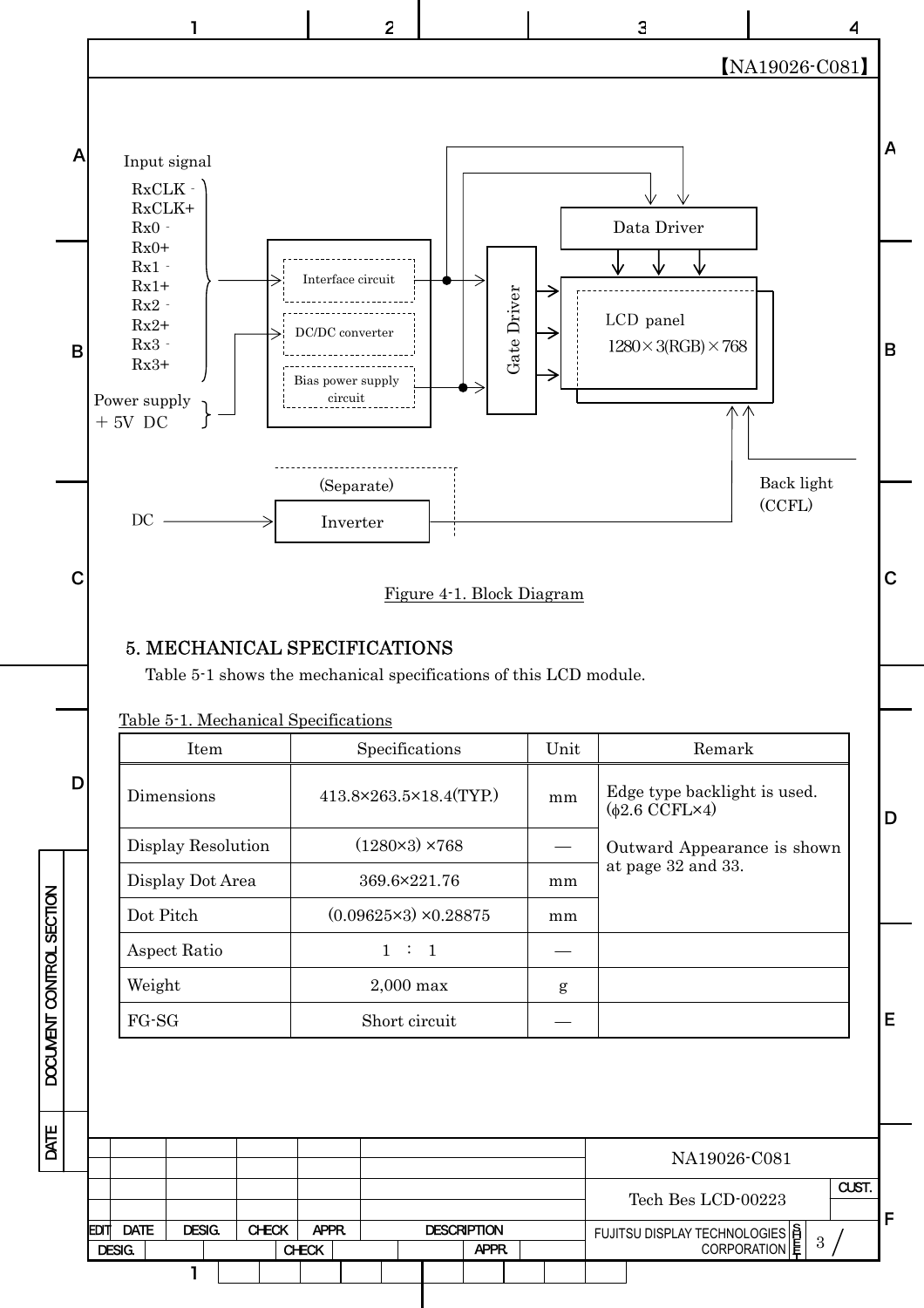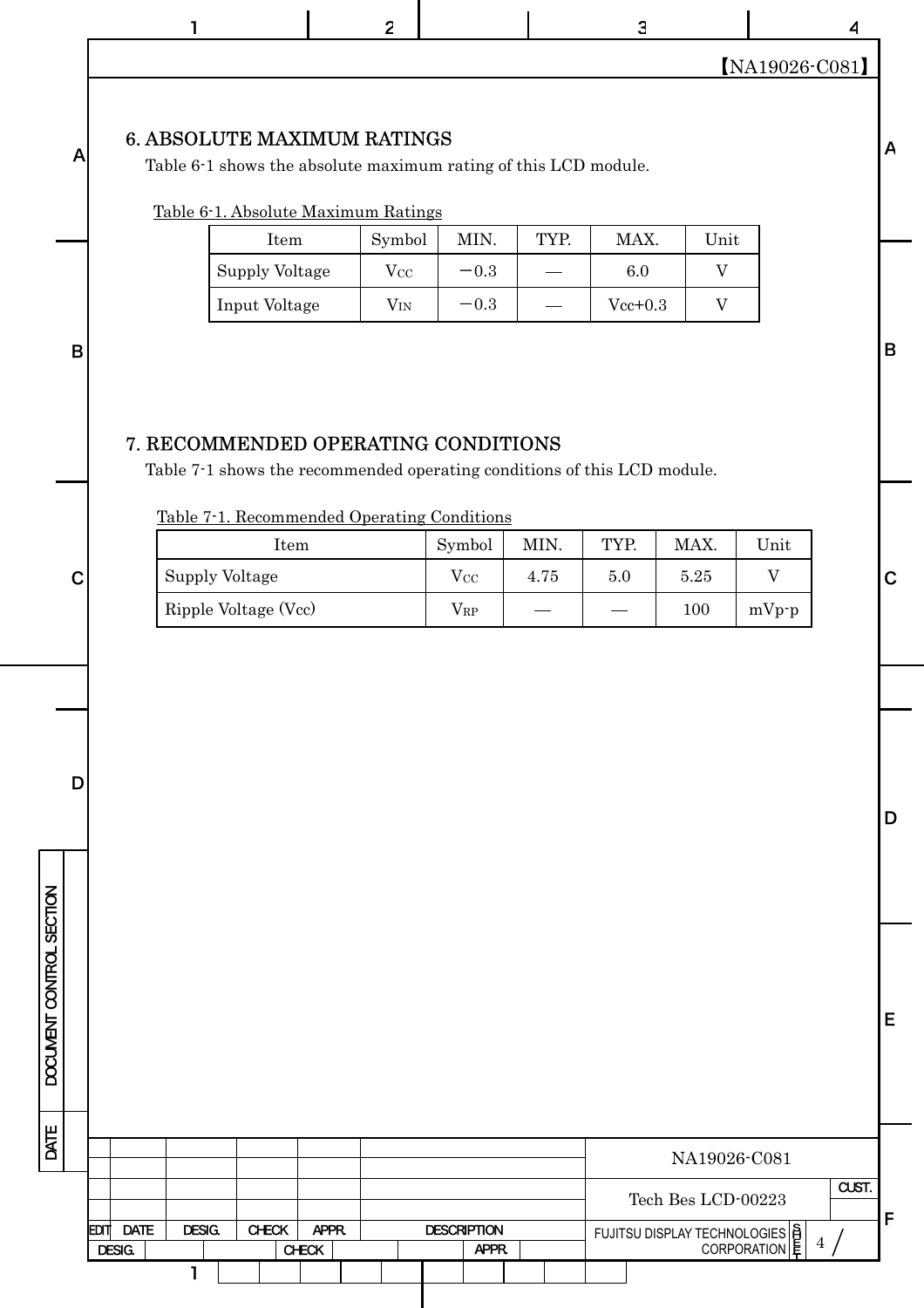|              |                                                                                                                                              | $\overline{2}$ |          |        |      | $\mathbf{3}$ |                | ◢              |                |
|--------------|----------------------------------------------------------------------------------------------------------------------------------------------|----------------|----------|--------|------|--------------|----------------|----------------|----------------|
|              |                                                                                                                                              |                |          |        |      |              |                | [NA19026-C081] |                |
| $\mathsf{A}$ | <b>6. ABSOLUTE MAXIMUM RATINGS</b><br>Table 6-1 shows the absolute maximum rating of this LCD module.<br>Table 6-1. Absolute Maximum Ratings |                |          |        |      |              |                |                | $\mathsf{A}$   |
|              | Item                                                                                                                                         |                | Symbol   | MIN.   | TYP. | MAX.         | Unit           |                |                |
|              | Supply Voltage                                                                                                                               |                | $V_{CC}$ | $-0.3$ |      | 6.0          | $\overline{V}$ |                |                |
|              | Input Voltage                                                                                                                                |                | $V_{IN}$ | $-0.3$ |      | $Vec+0.3$    | V              |                |                |
| B            |                                                                                                                                              |                |          |        |      |              |                |                | $\overline{B}$ |

### 7. RECOMMENDED OPERATING CONDITIONS

Table 7-1 shows the recommended operating conditions of this LCD module.

Table 7-1. Recommended Operating Conditions

D

|         | Item                 | Symbol       | MIN. | TYP.              | MAX.    | Unit    |               |
|---------|----------------------|--------------|------|-------------------|---------|---------|---------------|
| ⌒∣<br>◡ | Supply Voltage       | $V_{\rm CC}$ | 4.75 | 5.0               | 5.25    |         | $\sim$<br>. U |
|         | Ripple Voltage (Vcc) | $V_{\rm RP}$ |      | $\hspace{0.05cm}$ | $100\,$ | $mVp-p$ |               |

D

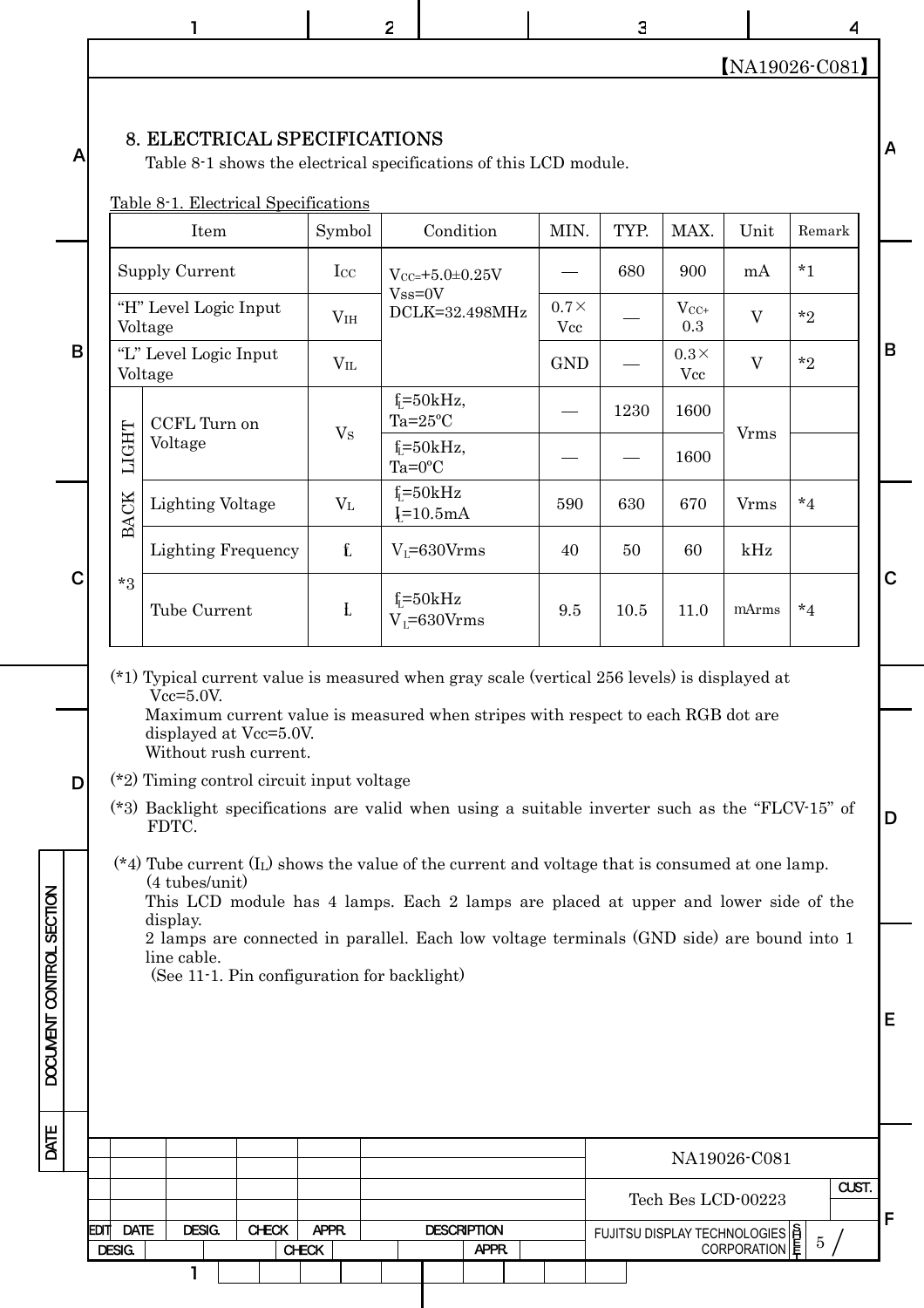1 2 | 3 | 4

【NA19026-C081】

#### 8. ELECTRICAL SPECIFICATIONS

Table 8-1 shows the electrical specifications of this LCD module.

Table 8-1. Electrical Specifications

|                   |              | Item                             | Symbol          | Condition                               | MIN.                     | TYP. | MAX.               | Unit           | Remark      |   |
|-------------------|--------------|----------------------------------|-----------------|-----------------------------------------|--------------------------|------|--------------------|----------------|-------------|---|
|                   |              | Supply Current                   | $_{\rm{Lcc}}$   | $V_{CC=}+5.0\pm0.25V$                   |                          | 680  | 900                | mA             | $*_{1}$     |   |
|                   |              | "H" Level Logic Input<br>Voltage | V <sub>IH</sub> | $Vss=0V$<br>DCLK=32.498MHz              | $0.7\times$<br>$\rm Vcc$ |      | $V_{CC+}$<br>0.3   | V              | $*_{2}$     |   |
| В                 |              | "L" Level Logic Input<br>Voltage | $V_{IL}$        |                                         | <b>GND</b>               |      | $0.3\times$<br>Vcc | $\overline{V}$ | $^{\star}2$ | B |
|                   |              | CCFL Turn on                     | V <sub>S</sub>  | $f_i = 50kHz$ ,<br>$Ta=25^{\circ}C$     |                          | 1230 | 1600               | <b>V</b> rms   |             |   |
|                   | <b>LIGHT</b> | Voltage                          |                 | $f = 50kHz$ ,<br>$Ta=0$ <sup>o</sup> C  |                          |      | 1600               |                |             |   |
|                   | <b>BACK</b>  | <b>Lighting Voltage</b>          | $V_{L}$         | $f = 50kHz$<br>$I = 10.5mA$             | 590                      | 630  | 670                | <b>V</b> rms   | $*_{4}$     |   |
|                   |              | <b>Lighting Frequency</b>        | $f_{\rm L}$     | $V_1 = 630V$ rms                        | 40                       | 50   | 60                 | kHz            |             |   |
| $\mathsf{C}\vert$ | $*3$         | Tube Current                     | Ł               | $f_{\rm I} = 50kHz$<br>$V_1 = 630V$ rms | 9.5                      | 10.5 | 11.0               | mArms          | $*_{4}$     | C |

(\*1) Typical current value is measured when gray scale (vertical 256 levels) is displayed at Vcc=5.0V. Maximum current value is measured when stripes with respect to each RGB dot are displayed at Vcc=5.0V. Without rush current.

(\*2) Timing control circuit input voltage

D

DOCUMENT CONTROL SECTION

A

B

|       | (*3) Backlight specifications are valid when using a suitable inverter such as the "FLCV-15" of |  |  |  |  |  |  |
|-------|-------------------------------------------------------------------------------------------------|--|--|--|--|--|--|
| FDTC. |                                                                                                 |  |  |  |  |  |  |

 $(*4)$  Tube current  $(I_L)$  shows the value of the current and voltage that is consumed at one lamp. (4 tubes/unit) This LCD module has 4 lamps. Each 2 lamps are placed at upper and lower side of the display.

2 lamps are connected in parallel. Each low voltage terminals (GND side) are bound into 1 line cable.

(See 11-1. Pin configuration for backlight)

DATE DOCUMENT CONTROL SECTION DATE NA19026-C081 CUST. Tech Bes LCD-00223 F EDIT DATE DESIG. CHECK APPR. DESCRIPTION FUJITSU DISPLAY TECHNOLOGIES  $\begin{bmatrix} 8 \\ 1 \\ 2 \end{bmatrix}$  5 5 CORPORATION DESIG. CHECK CHECK APPR. 1

A

D

E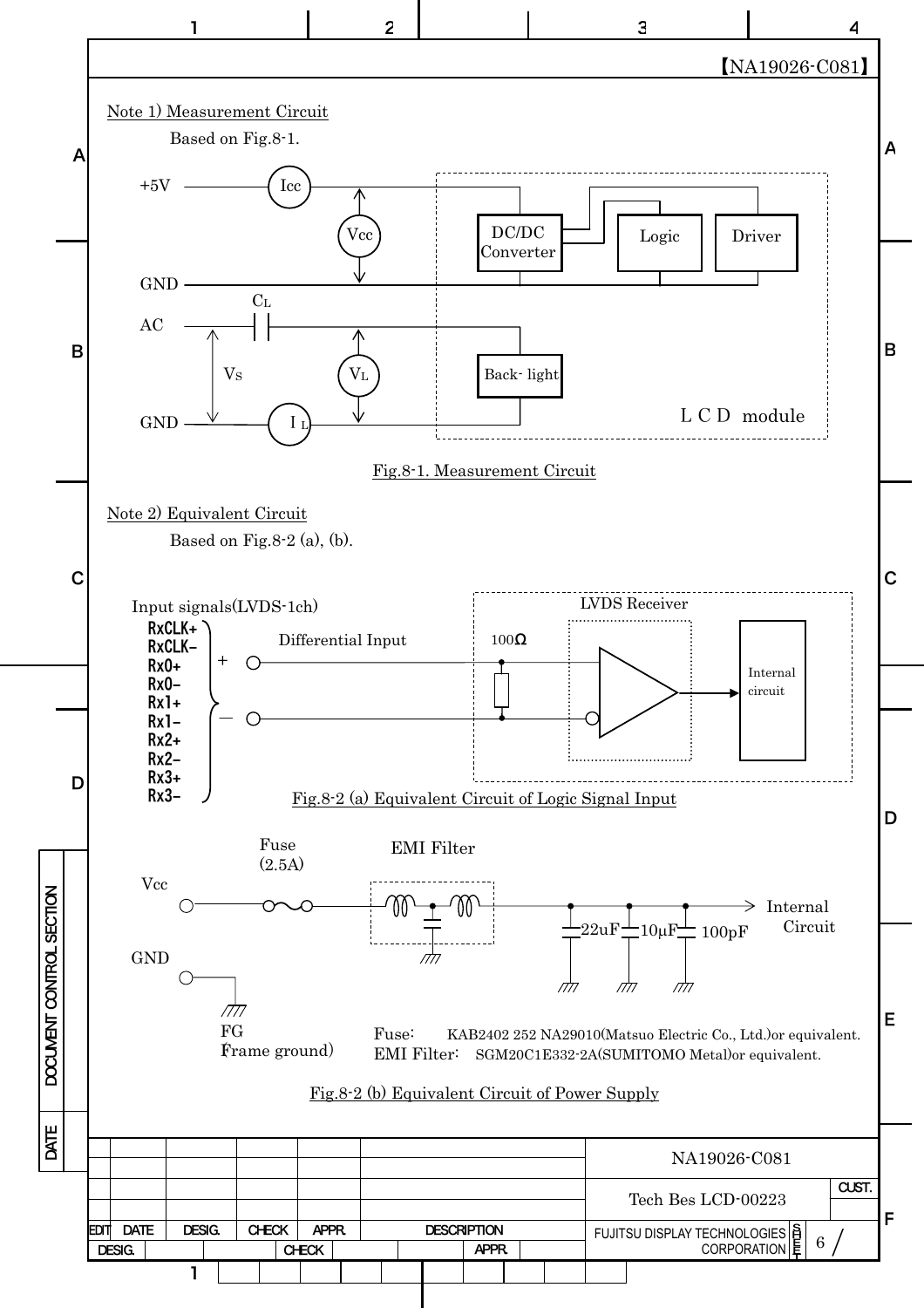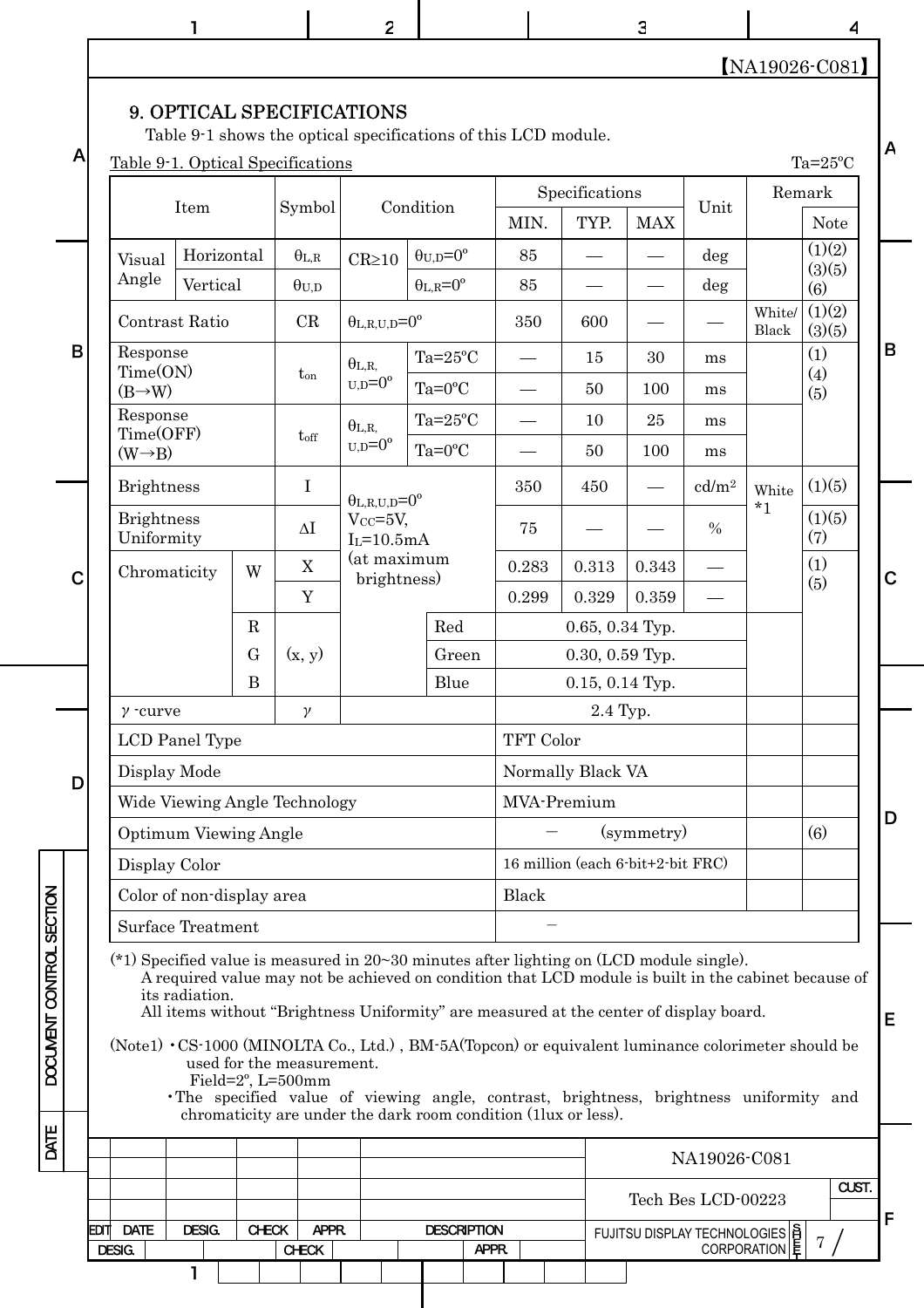|                          |      |                                                                                                                                                                                                                                                                                                                                                                                                                                                                                                                                                                                                                                             | ı                                                             |              |                              | $\overline{c}$                                                                              |                            |                                              |           |                                   | 3          |                                                 |                       | 4                |             |
|--------------------------|------|---------------------------------------------------------------------------------------------------------------------------------------------------------------------------------------------------------------------------------------------------------------------------------------------------------------------------------------------------------------------------------------------------------------------------------------------------------------------------------------------------------------------------------------------------------------------------------------------------------------------------------------------|---------------------------------------------------------------|--------------|------------------------------|---------------------------------------------------------------------------------------------|----------------------------|----------------------------------------------|-----------|-----------------------------------|------------|-------------------------------------------------|-----------------------|------------------|-------------|
|                          |      |                                                                                                                                                                                                                                                                                                                                                                                                                                                                                                                                                                                                                                             |                                                               |              |                              |                                                                                             |                            |                                              |           |                                   |            |                                                 |                       | NA19026-C081     |             |
| A                        |      |                                                                                                                                                                                                                                                                                                                                                                                                                                                                                                                                                                                                                                             | Table 9-1. Optical Specifications                             |              |                              | 9. OPTICAL SPECIFICATIONS<br>Table 9-1 shows the optical specifications of this LCD module. |                            |                                              |           |                                   |            |                                                 |                       | $Ta=25^{\circ}C$ | A           |
|                          |      |                                                                                                                                                                                                                                                                                                                                                                                                                                                                                                                                                                                                                                             | Item                                                          |              | Symbol                       | Condition                                                                                   |                            | Specifications<br>MIN.<br>TYP.<br><b>MAX</b> |           |                                   | Unit       |                                                 | Remark<br><b>Note</b> |                  |             |
|                          |      | Visual                                                                                                                                                                                                                                                                                                                                                                                                                                                                                                                                                                                                                                      | Horizontal                                                    |              | $\theta_{\rm L,R}$           | $CR \ge 10$                                                                                 |                            | $\theta_{U,D}=0^{\circ}$                     | 85        |                                   |            | deg                                             |                       | (1)(2)<br>(3)(5) |             |
|                          |      | Angle                                                                                                                                                                                                                                                                                                                                                                                                                                                                                                                                                                                                                                       | Vertical                                                      |              | $\theta_{U,D}$               |                                                                                             |                            | $\theta_{L,R} = 0^{\circ}$                   | 85        |                                   |            | deg                                             |                       | (6)              |             |
|                          |      |                                                                                                                                                                                                                                                                                                                                                                                                                                                                                                                                                                                                                                             | Contrast Ratio                                                |              | CR                           | $\theta_{L,R,U,D} = 0^{\circ}$                                                              |                            |                                              | 350       | 600                               |            |                                                 | White/<br>Black       | (1)(2)<br>(3)(5) |             |
| B                        |      | Response<br>Time(ON)                                                                                                                                                                                                                                                                                                                                                                                                                                                                                                                                                                                                                        |                                                               |              | $t_{on}$                     | $\theta_{L,R,}$<br>$_{U,D}=0^{\circ}$                                                       |                            | $Ta=25^{\circ}C$                             |           | 15                                | 30         | ms                                              |                       | (1)<br>(4)       | B           |
|                          |      | $(B\rightarrow W)$<br>Response                                                                                                                                                                                                                                                                                                                                                                                                                                                                                                                                                                                                              |                                                               |              |                              |                                                                                             |                            | $Ta=0$ <sup>o</sup> C                        |           | 50                                | 100        | ms                                              |                       | (5)              |             |
|                          |      | Time(OFF)                                                                                                                                                                                                                                                                                                                                                                                                                                                                                                                                                                                                                                   |                                                               |              | $t_{\rm off}$                | $\theta_{L,R}$<br>$U.D = 0^{\circ}$                                                         |                            | $Ta=25^{\circ}C$<br>$Ta=0$ <sup>o</sup> C    |           | 10<br>50                          | 25<br>100  | ms                                              |                       |                  |             |
|                          |      | $(W \rightarrow B)$                                                                                                                                                                                                                                                                                                                                                                                                                                                                                                                                                                                                                         |                                                               |              |                              |                                                                                             |                            |                                              |           |                                   |            | ms                                              |                       | (1)(5)           |             |
|                          |      | <b>Brightness</b><br><b>Brightness</b>                                                                                                                                                                                                                                                                                                                                                                                                                                                                                                                                                                                                      |                                                               |              | $\bf I$<br>$\Delta \text{I}$ | $\theta_{L,R,U,D}=0^{\circ}$<br>$V_{CC}=5V$ ,                                               |                            |                                              | 350<br>75 | 450                               |            | cd/m <sup>2</sup><br>$\%$                       | White<br>$*_{1}$      | (1)(5)           |             |
|                          |      | Uniformity                                                                                                                                                                                                                                                                                                                                                                                                                                                                                                                                                                                                                                  |                                                               |              |                              | $I_L = 10.5mA$<br>(at maximum                                                               |                            |                                              | 0.283     | 0.313                             | 0.343      |                                                 |                       | (7)<br>(1)       |             |
| C                        |      | X<br>Chromaticity<br>W<br>brightness)<br>Y                                                                                                                                                                                                                                                                                                                                                                                                                                                                                                                                                                                                  |                                                               |              |                              |                                                                                             |                            |                                              | 0.299     | 0.329                             | 0.359      |                                                 |                       | (5)              | $\mathbf C$ |
|                          |      |                                                                                                                                                                                                                                                                                                                                                                                                                                                                                                                                                                                                                                             |                                                               | $\mathbf R$  |                              | Red                                                                                         |                            |                                              |           | 0.65, 0.34 Typ.                   |            |                                                 |                       |                  |             |
|                          |      |                                                                                                                                                                                                                                                                                                                                                                                                                                                                                                                                                                                                                                             | G<br>(x, y)                                                   |              |                              |                                                                                             | Green<br>$0.30, 0.59$ Typ. |                                              |           |                                   |            |                                                 |                       |                  |             |
|                          |      |                                                                                                                                                                                                                                                                                                                                                                                                                                                                                                                                                                                                                                             |                                                               | $\bf{B}$     |                              |                                                                                             |                            | Blue                                         |           | $0.15, 0.14$ Typ.                 |            |                                                 |                       |                  |             |
|                          |      | $\gamma$ -curve<br>$\gamma$                                                                                                                                                                                                                                                                                                                                                                                                                                                                                                                                                                                                                 |                                                               |              |                              |                                                                                             |                            |                                              |           | 2.4 Typ.                          |            |                                                 |                       |                  |             |
|                          |      |                                                                                                                                                                                                                                                                                                                                                                                                                                                                                                                                                                                                                                             | LCD Panel Type                                                |              |                              |                                                                                             |                            |                                              | TFT Color |                                   |            |                                                 |                       |                  |             |
| D                        |      |                                                                                                                                                                                                                                                                                                                                                                                                                                                                                                                                                                                                                                             | Display Mode                                                  |              |                              |                                                                                             |                            |                                              |           | Normally Black VA                 |            |                                                 |                       |                  |             |
|                          |      |                                                                                                                                                                                                                                                                                                                                                                                                                                                                                                                                                                                                                                             | Wide Viewing Angle Technology<br><b>Optimum Viewing Angle</b> |              |                              |                                                                                             |                            |                                              |           | MVA-Premium                       | (symmetry) |                                                 |                       | (6)              | D           |
|                          |      |                                                                                                                                                                                                                                                                                                                                                                                                                                                                                                                                                                                                                                             | Display Color                                                 |              |                              |                                                                                             |                            |                                              |           | 16 million (each 6-bit+2-bit FRC) |            |                                                 |                       |                  |             |
|                          |      |                                                                                                                                                                                                                                                                                                                                                                                                                                                                                                                                                                                                                                             | Color of non-display area                                     |              |                              |                                                                                             |                            |                                              | Black     |                                   |            |                                                 |                       |                  |             |
|                          |      |                                                                                                                                                                                                                                                                                                                                                                                                                                                                                                                                                                                                                                             | <b>Surface Treatment</b>                                      |              |                              |                                                                                             |                            |                                              |           |                                   |            |                                                 |                       |                  |             |
| DOCUMENT CONTROL SECTION |      | (*1) Specified value is measured in $20 \sim 30$ minutes after lighting on (LCD module single).<br>A required value may not be achieved on condition that LCD module is built in the cabinet because of<br>its radiation.<br>All items without "Brightness Uniformity" are measured at the center of display board.<br>Е<br>(Note1) CS-1000 (MINOLTA Co., Ltd.), BM-5A(Topcon) or equivalent luminance colorimeter should be<br>used for the measurement.<br>Field=2°, L=500mm<br>· The specified value of viewing angle, contrast, brightness, brightness uniformity and<br>chromaticity are under the dark room condition (1lux or less). |                                                               |              |                              |                                                                                             |                            |                                              |           |                                   |            |                                                 |                       |                  |             |
| DATE                     |      |                                                                                                                                                                                                                                                                                                                                                                                                                                                                                                                                                                                                                                             |                                                               |              |                              |                                                                                             |                            |                                              |           |                                   |            |                                                 |                       |                  |             |
|                          |      |                                                                                                                                                                                                                                                                                                                                                                                                                                                                                                                                                                                                                                             |                                                               |              |                              |                                                                                             |                            |                                              |           |                                   |            | NA19026-C081                                    |                       | CUST.            |             |
|                          |      |                                                                                                                                                                                                                                                                                                                                                                                                                                                                                                                                                                                                                                             |                                                               |              |                              |                                                                                             |                            |                                              |           |                                   |            | Tech Bes LCD-00223                              |                       |                  | F           |
|                          | EDIT | <b>DATE</b><br>DESIG.                                                                                                                                                                                                                                                                                                                                                                                                                                                                                                                                                                                                                       | <b>DESIG.</b>                                                 | <b>CHECK</b> | <b>APPR</b><br><b>CHECK</b>  |                                                                                             |                            | <b>DESCRIPTION</b><br>APPR.                  |           |                                   |            | FUJITSU DISPLAY TECHNOLOGIES  S<br> CORPORATION |                       | $7\phantom{.}$   |             |
|                          |      |                                                                                                                                                                                                                                                                                                                                                                                                                                                                                                                                                                                                                                             | 1                                                             |              |                              |                                                                                             |                            |                                              |           |                                   |            |                                                 |                       |                  |             |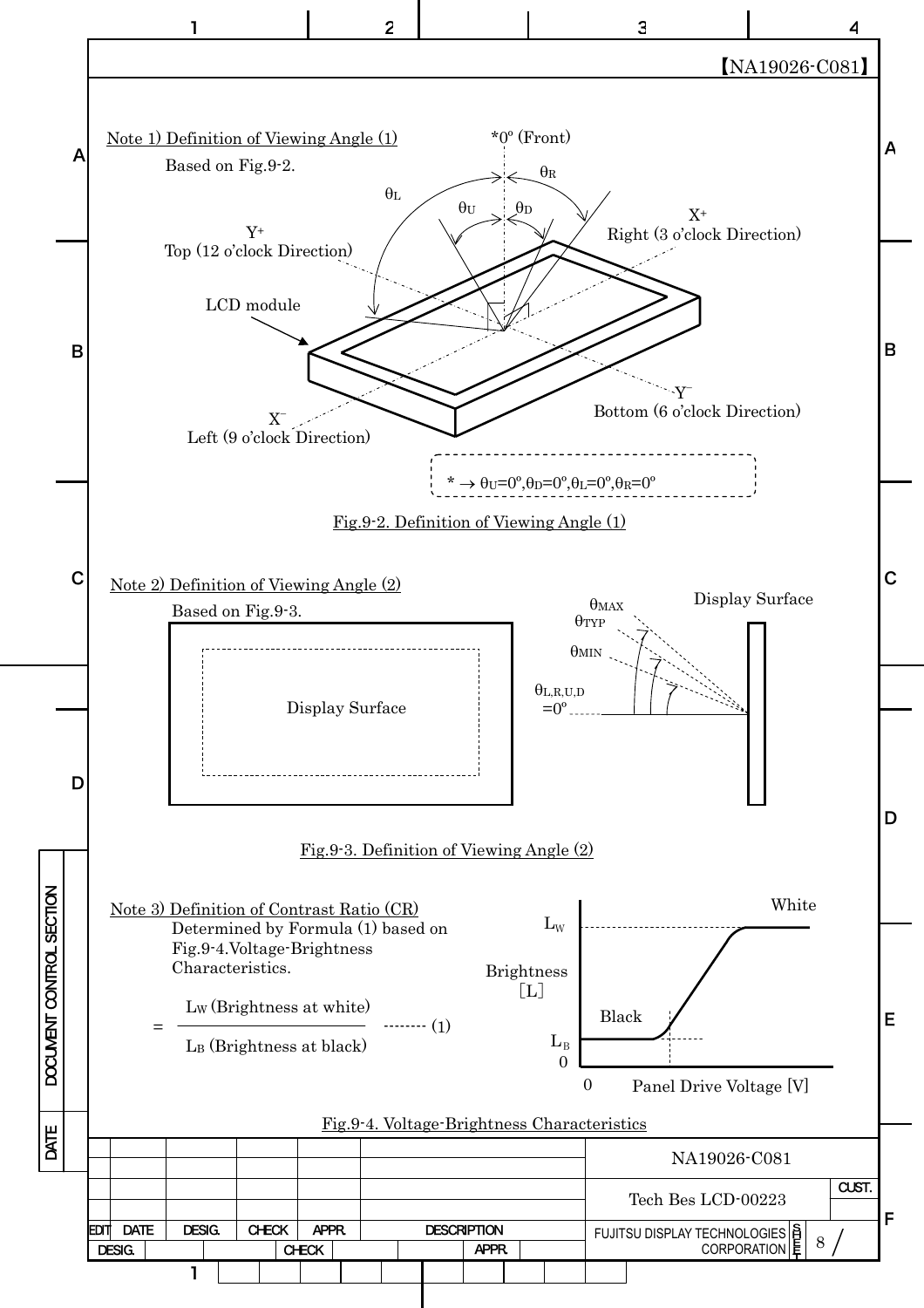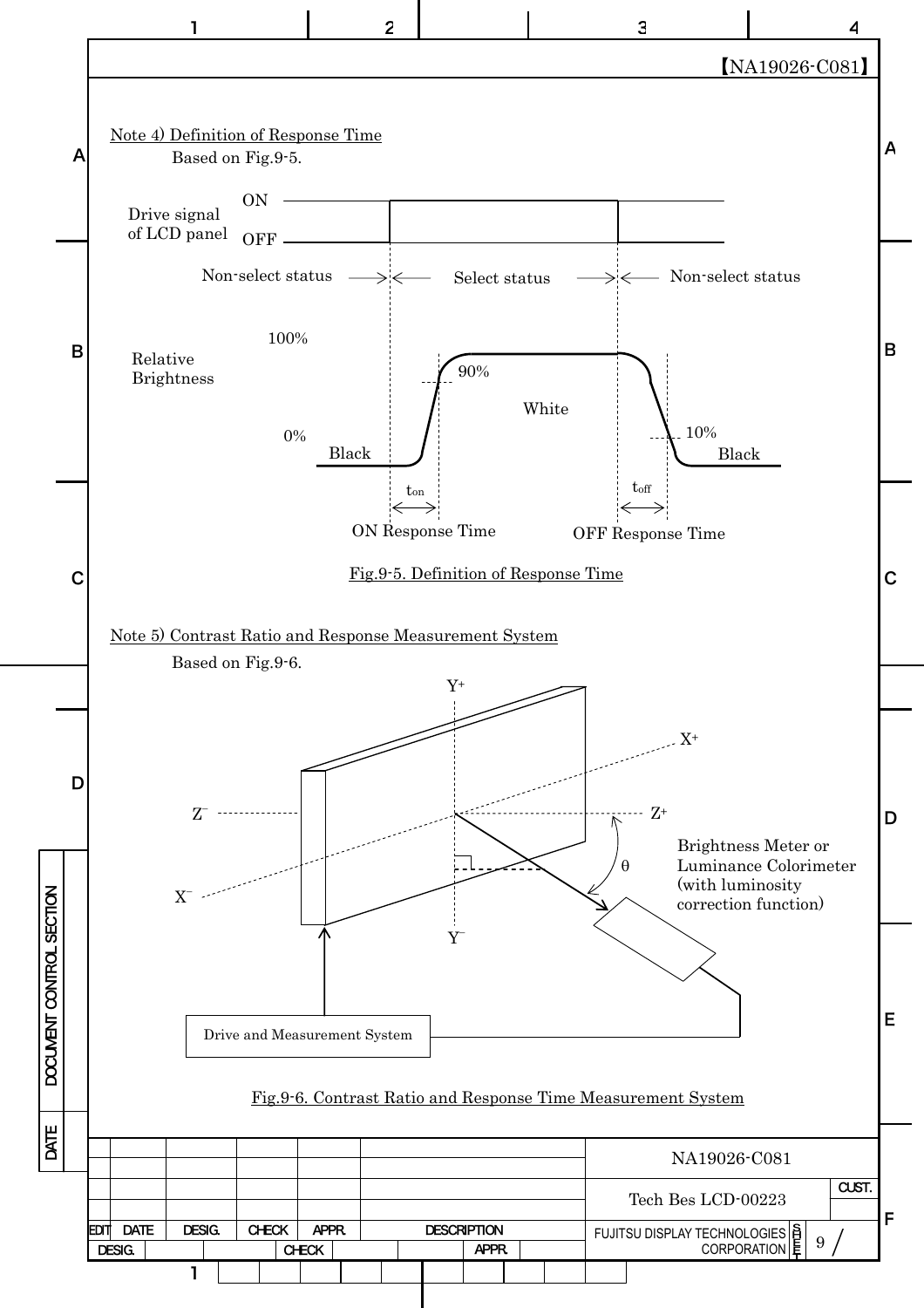![](_page_9_Figure_0.jpeg)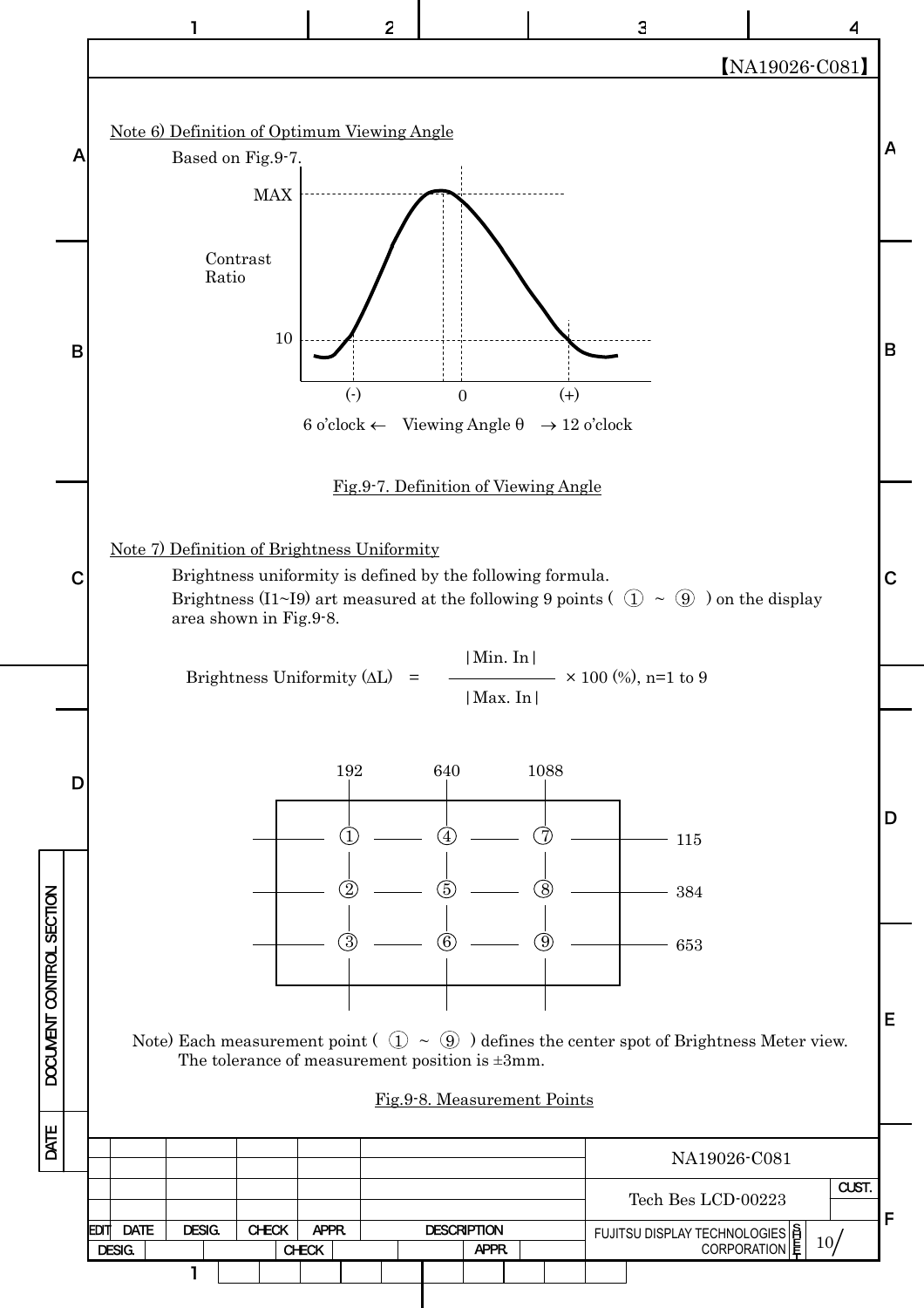![](_page_10_Figure_0.jpeg)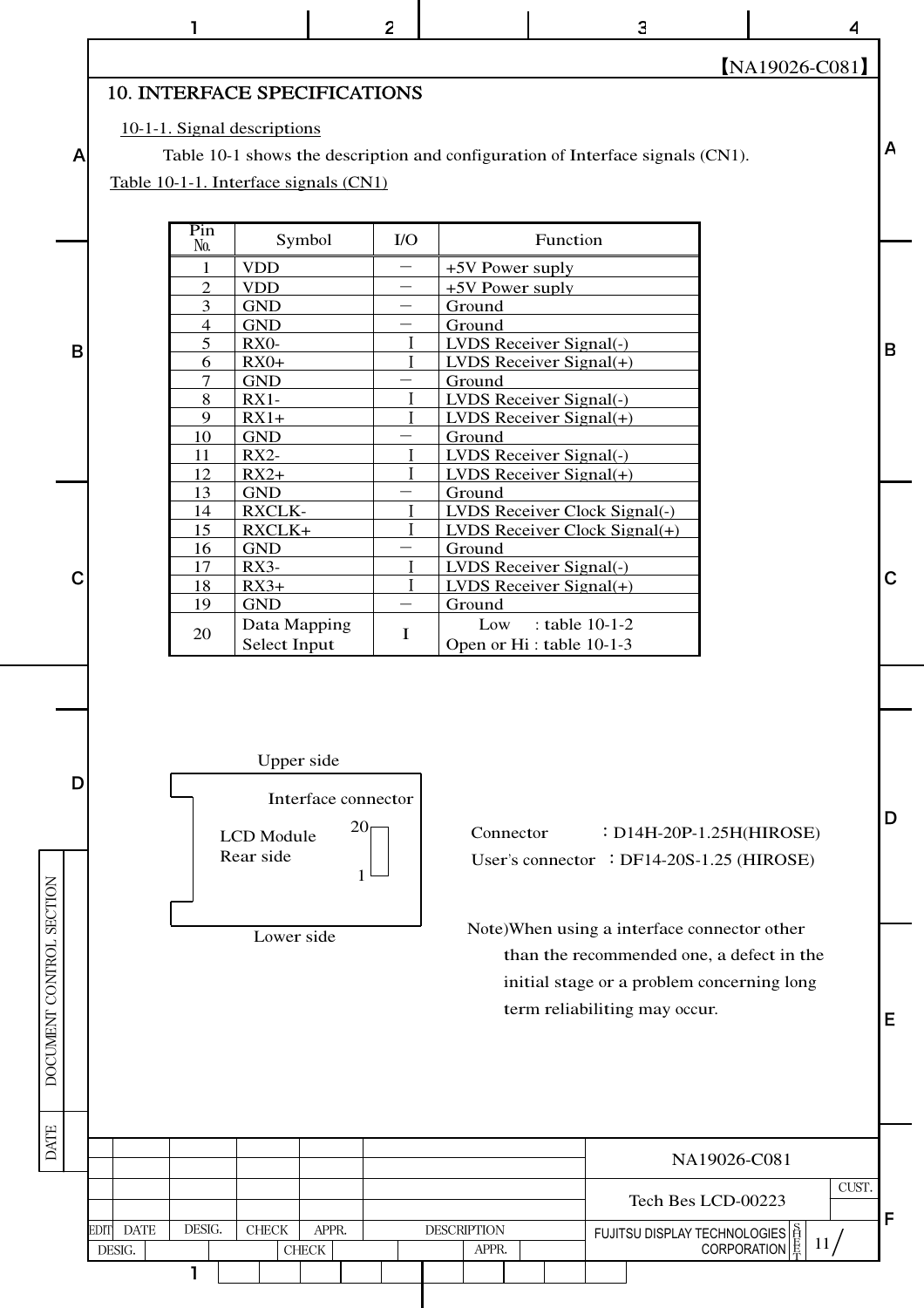$\overline{2}$ 

[NA19026-C081]

 $\overline{\mathbf{A}}$ 

 $\overline{A}$ 

 $\mathsf B$ 

 $\mathbf C$ 

D

E

 $\mathbf{3}$ 

#### 10. INTERFACE SPECIFICATIONS

#### 10-1-1. Signal descriptions

 $\mathbf{I}$ 

 $\overline{A}$ 

B

 $\mathbf C$ 

D

DOCUMENT CONTROL SECTION

Table 10-1 shows the description and configuration of Interface signals (CN1).

Table 10-1-1. Interface signals (CN1)

| Pin<br>No.     | Symbol            | $\rm I/O$ | Function                             |
|----------------|-------------------|-----------|--------------------------------------|
| 1              | <b>VDD</b>        |           | +5V Power suply                      |
| $\overline{2}$ | <b>VDD</b>        |           | +5V Power suply                      |
| 3              | <b>GND</b>        |           | Ground                               |
| $\overline{4}$ | <b>GND</b>        |           | Ground                               |
| 5              | RX <sub>0</sub> - |           | LVDS Receiver Signal(-)              |
| 6              | $RX0+$            |           | $LVDS$ Receiver Signal(+)            |
| 7              | <b>GND</b>        |           | Ground                               |
| 8              | $RX1-$            |           | <b>LVDS Receiver Signal(-)</b>       |
| 9              | $RX1+$            |           | $LVDS$ Receiver Signal(+)            |
| 10             | <b>GND</b>        |           | Ground                               |
| 11             | $RX2-$            |           | <b>LVDS Receiver Signal(-)</b>       |
| 12             | $RX2+$            |           | $LVDS$ Receiver Signal(+)            |
| 13             | <b>GND</b>        |           | Ground                               |
| 14             | <b>RXCLK-</b>     |           | <b>LVDS Receiver Clock Signal(-)</b> |
| 15             | RXCLK+            |           | LVDS Receiver Clock Signal(+)        |
| 16             | <b>GND</b>        |           | Ground                               |
| 17             | $RX3-$            |           | <b>LVDS Receiver Signal(-)</b>       |
| 18             | $RX3+$            |           | LVDS Receiver Signal $(+)$           |
| 19             | <b>GND</b>        |           | Ground                               |
|                | Data Mapping      | T         | Low : table $10-1-2$                 |
| 20             | Select Input      |           | Open or Hi: table 10-1-3             |

![](_page_11_Figure_7.jpeg)

Lower side

Connector : D14H-20P-1.25H(HIROSE) User's connector : DF14-20S-1.25 (HIROSE)

Note) When using a interface connector other than the recommended one, a defect in the initial stage or a problem concerning long term reliabiliting may occur.

| $\mathbf{L}$ |                                         |  |              |       |       |  |                             |  |                                                                                                      |  | NA19026-C081       |       |  |
|--------------|-----------------------------------------|--|--------------|-------|-------|--|-----------------------------|--|------------------------------------------------------------------------------------------------------|--|--------------------|-------|--|
|              |                                         |  |              |       |       |  |                             |  |                                                                                                      |  | Tech Bes LCD-00223 | CUST. |  |
|              | DESIG.<br><b>DATE</b><br>EDIT<br>DESIG. |  | <b>CHECK</b> | CHECK | APPR. |  | <b>DESCRIPTION</b><br>APPR. |  | FUJITSU DISPLAY TECHNOLOGIES $\left \frac{S}{H}\right $ CORPORATION $\left \frac{S}{K}\right $<br>11 |  | Е                  |       |  |
|              |                                         |  |              |       |       |  |                             |  |                                                                                                      |  |                    |       |  |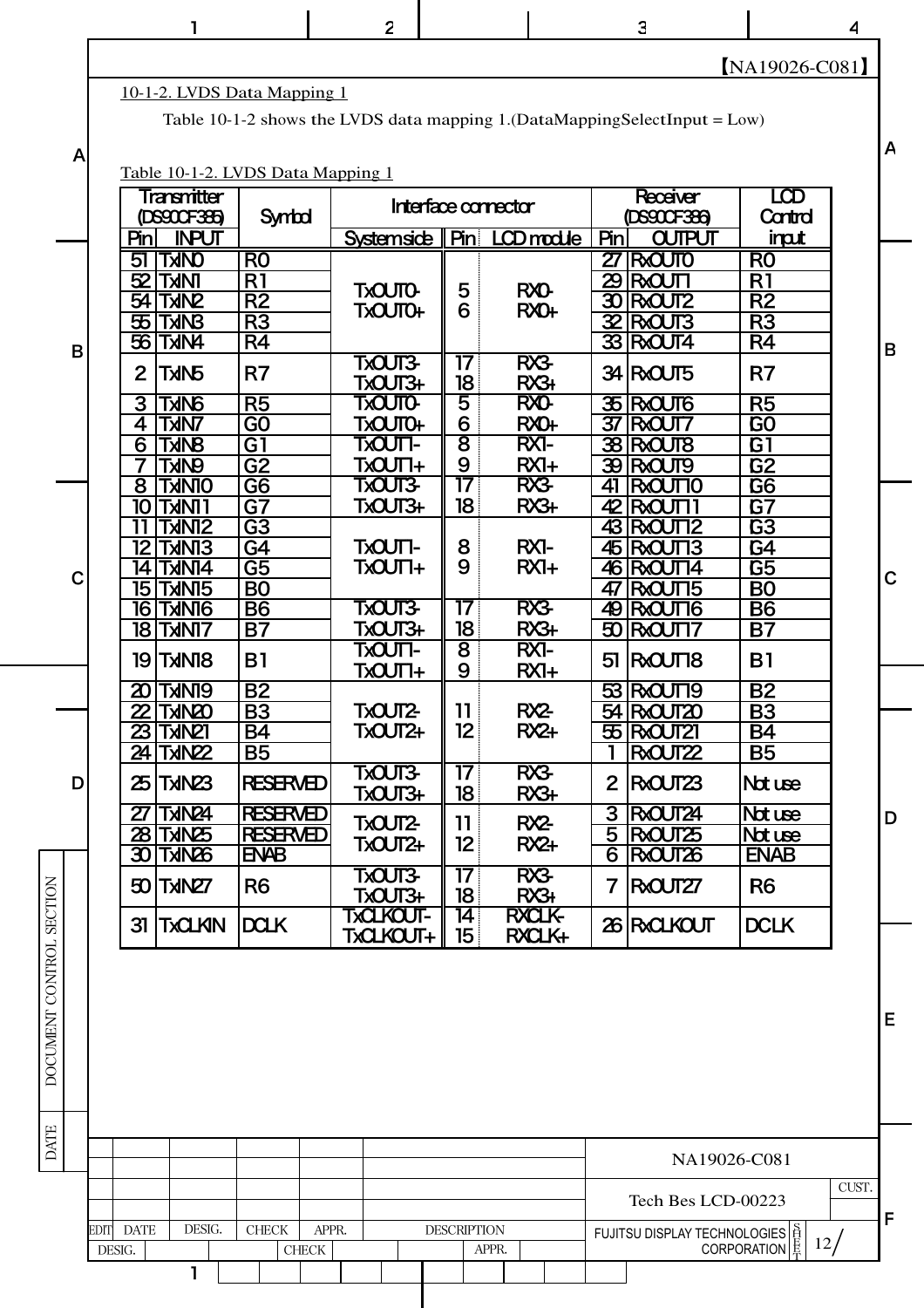|   |                |                            |                                  |                                   | $\overline{c}$                   |                     |                       |                                 |                             | 3                                                                             |                                    | 4     |              |
|---|----------------|----------------------------|----------------------------------|-----------------------------------|----------------------------------|---------------------|-----------------------|---------------------------------|-----------------------------|-------------------------------------------------------------------------------|------------------------------------|-------|--------------|
|   |                |                            |                                  |                                   |                                  |                     |                       |                                 |                             |                                                                               | $NA19026-C081$                     |       |              |
|   |                |                            |                                  | 10-1-2. LVDS Data Mapping 1       |                                  |                     |                       |                                 |                             |                                                                               |                                    |       |              |
|   |                |                            |                                  |                                   |                                  |                     |                       |                                 |                             | Table 10-1-2 shows the LVDS data mapping 1. (DataMappingSelectInput = $Low$ ) |                                    |       |              |
| A |                |                            |                                  |                                   |                                  |                     |                       |                                 |                             |                                                                               |                                    |       | A            |
|   |                |                            |                                  | Table 10-1-2. LVDS Data Mapping 1 |                                  |                     |                       |                                 |                             |                                                                               |                                    |       |              |
|   |                |                            | Transmitter                      |                                   |                                  | Interface connector |                       |                                 |                             | <b>Receiver</b>                                                               | LCD                                |       |              |
|   |                |                            | (DS900F385)                      | Symbol                            |                                  |                     |                       |                                 |                             | DS90CF386                                                                     | Cantral                            |       |              |
|   |                | Pin<br>51                  | <b>INPUT</b><br><b>ONKT</b>      | R <sub>0</sub>                    | Systemside                       | $P_{\text{in}}$     |                       | LCD module                      | Pin                         | <b>OUTPUT</b><br>$27$ RX $0$ JTO                                              | input<br>R <sub>0</sub>            |       |              |
|   |                | 52                         | <b>TANT</b>                      | R1                                |                                  |                     |                       |                                 | 29                          | <b>IRXOUTT</b>                                                                | R1                                 |       |              |
|   |                | 54                         | <b>SVIKT</b>                     | R2                                | <b>TXOUTO-</b><br><b>TXOUTO+</b> | 5<br>6              |                       | <b>RXO-</b><br>RX <sub>O+</sub> | $\boldsymbol{\mathfrak{D}}$ | <b>RXQUT2</b>                                                                 | R <sub>2</sub>                     |       |              |
|   |                | $\mathfrak{B}$             | <b>SUKT</b>                      | R <sub>3</sub>                    |                                  |                     |                       |                                 |                             | $\frac{32}{R}$ RX $\frac{1}{3}$                                               | R <sub>3</sub>                     |       |              |
| В |                | 56                         | <b>ANKT</b>                      | R4                                |                                  |                     |                       |                                 |                             | 33 RXQUT4                                                                     | R4                                 |       | B            |
|   |                | 2                          | <b>JUNT</b>                      | R <sub>7</sub>                    | TXOUT3-<br><b>TXOUT3+</b>        |                     | 17<br>$\overline{18}$ | RX3<br>RX3+                     |                             | 34 RXQUT5                                                                     | R7                                 |       |              |
|   |                | 3                          | <b>GUNT</b>                      | R <sub>5</sub>                    | <b>TXOUTO-</b>                   | 5                   |                       | <b>RXO-</b>                     |                             | 35 RXQUT6                                                                     | R <sub>5</sub>                     |       |              |
|   |                | 4                          | <b>TXINT</b>                     | G <sub>O</sub>                    | <b>TXOUTO+</b>                   | 6                   |                       | RX0+                            |                             | <b>37 RXQUT7</b>                                                              | G <sub>O</sub>                     |       |              |
|   |                | 6                          | <b>BNKT</b>                      | G1                                | -TXOUTT                          | $\overline{8}$      |                       | <b>RX1-</b>                     |                             | 38 RXQUT8                                                                     | G1                                 |       |              |
|   |                | 8                          | <b>GNKT</b>                      | $\overline{G2}$                   | <b>TXOUTI+</b><br><b>TXOUT3-</b> | 9                   | $\overline{17}$       | $RXI+$<br>RX3                   |                             | 39 RXQUT9                                                                     | $\overline{G2}$                    |       |              |
|   |                | 10                         | <b>OINKT</b><br><b>TXNIT</b>     | G <sub>6</sub><br>$\overline{G}$  | <b>TXOUT3+</b>                   | 18                  |                       | RX3+                            | 41<br>42                    | <b>RXCUTTO</b><br><b>RXQUT</b>                                                | G <sub>6</sub><br>G7               |       |              |
|   |                | 11                         | <b>SINKT</b>                     | G3                                |                                  |                     |                       |                                 |                             | 43 RXCUT12                                                                    | G3                                 |       |              |
|   |                | 12                         | <b>EINIXT</b>                    | G4                                | <b>-TXOUTI-</b>                  | 8                   |                       | <b>RX1-</b>                     |                             | 45 RXCUT13                                                                    | G4                                 |       |              |
| С |                | 14                         | TxINI4                           | <u>G5</u>                         | <b>TXOUT1+</b>                   | 9                   |                       | $RXI+$                          |                             | 46 RXCUT14                                                                    | $\overline{G5}$                    |       | $\mathbf C$  |
|   |                | 15                         | <b>TXINT5</b><br><b>9INKT 61</b> | B <sub>0</sub>                    | <b>TXOUT3-</b>                   |                     | 17                    | RX3                             | 47                          | RXQUT15<br>49 RXCUT16                                                         | B <sub>O</sub>                     |       |              |
|   |                |                            | <b>TIMKT 8F</b>                  | <b>B6</b><br><b>B7</b>            | TXOUT3+                          |                     | 18                    | RX3+                            | 50                          | <b>RXQUT17</b>                                                                | <b>B6</b><br><b>B7</b>             |       |              |
|   |                |                            |                                  |                                   | -TXOUTI                          | 8                   |                       | RX1-                            |                             |                                                                               |                                    |       |              |
|   |                | 19                         | <b>SIMKT</b>                     | <b>B1</b>                         | <b>TXOUT1+</b>                   | 9                   |                       | $RXI+$                          |                             | 51 RXQUT18                                                                    | B <sub>1</sub>                     |       |              |
|   |                |                            | <b>20 TXN19</b>                  | <b>B2</b>                         |                                  |                     |                       |                                 |                             | 53 RXCUT19                                                                    | <b>B2</b>                          |       |              |
|   |                | $\boldsymbol{\mathcal{Z}}$ | <b>CEVIKT</b><br><b>23 TXN21</b> | <b>B3</b><br><b>B4</b>            | <b>TXOUT2-</b><br>TXOUT2+        | 12                  | 11                    | RX2<br>$RX +$                   |                             | 54 RXCUT20<br>55 RXCUT21                                                      | <b>B3</b><br><b>B4</b>             |       |              |
|   |                |                            | <b>24 TXN22</b>                  | <b>B5</b>                         |                                  |                     |                       |                                 |                             | RXQUT22                                                                       | <b>B5</b>                          |       |              |
| D |                |                            | $25$ TXN $23$                    | <b>RESERVED</b>                   | <b>TXOUT3-</b><br><b>TXOUT3+</b> |                     | 17<br>18              | RX3<br>RX3+                     | $\mathbf{2}$                | RXQUT23                                                                       | Not use                            |       |              |
|   |                | 27                         | <b>PSVIkT</b>                    | <b>RESERVED</b>                   |                                  |                     |                       |                                 | 3                           | RXQUT24                                                                       | Not use                            |       | D            |
|   |                |                            | 28 TXN25                         | <b>RESERVED</b>                   | TXOUT2-<br>TXOUT2+               | 11<br>12            |                       | RX <sub>2</sub><br>$RX +$       | 5                           | RXQUT25                                                                       | Not use                            |       |              |
|   |                |                            | <b>30 TXING</b>                  | ENAB                              |                                  |                     |                       |                                 | $\overline{6}$              | RXOUT26                                                                       | <b>ENAB</b>                        |       |              |
|   |                |                            | <b>SOITXIN27</b>                 | R <sub>6</sub>                    | <b>TXOUT3-</b><br><b>TXOUT3+</b> |                     | 17<br>18              | RX3<br>RX3+                     | 7                           | RXQUT27                                                                       | R <sub>6</sub>                     |       |              |
|   |                | 31                         | <b>TXCLKIN</b>                   | <b>DCLK</b>                       | <b>TXCLKOUT-</b><br>TXCLKOUT+    |                     | 14<br>15 <sub>1</sub> | <b>BXCLK-</b><br>RXCLK+         |                             | 26 RXCLKOUT                                                                   | <b>DCLK</b>                        |       |              |
|   |                |                            |                                  |                                   |                                  |                     |                       |                                 |                             |                                                                               |                                    |       | E            |
|   |                |                            |                                  |                                   |                                  |                     |                       |                                 |                             | NA19026-C081                                                                  |                                    |       |              |
|   |                |                            |                                  |                                   |                                  |                     |                       |                                 |                             | Tech Bes LCD-00223                                                            |                                    | CUST. |              |
|   |                |                            |                                  |                                   |                                  |                     |                       |                                 |                             |                                                                               |                                    |       | $\mathsf{F}$ |
|   | EDIT<br>DESIG. | <b>DATE</b>                | DESIG.                           | <b>CHECK</b><br>${\rm CHECK}$     | APPR.                            | <b>DESCRIPTION</b>  | APPR.                 |                                 |                             | FUJITSU DISPLAY TECHNOLOGIES                                                  | 12 <sub>l</sub><br>CORPORATION   最 |       |              |
|   |                |                            | 1                                |                                   |                                  |                     |                       |                                 |                             |                                                                               |                                    |       |              |

DATE | DOCUMENT CONTROL SECTION DATE I DOCUMENT CONTROL SECTION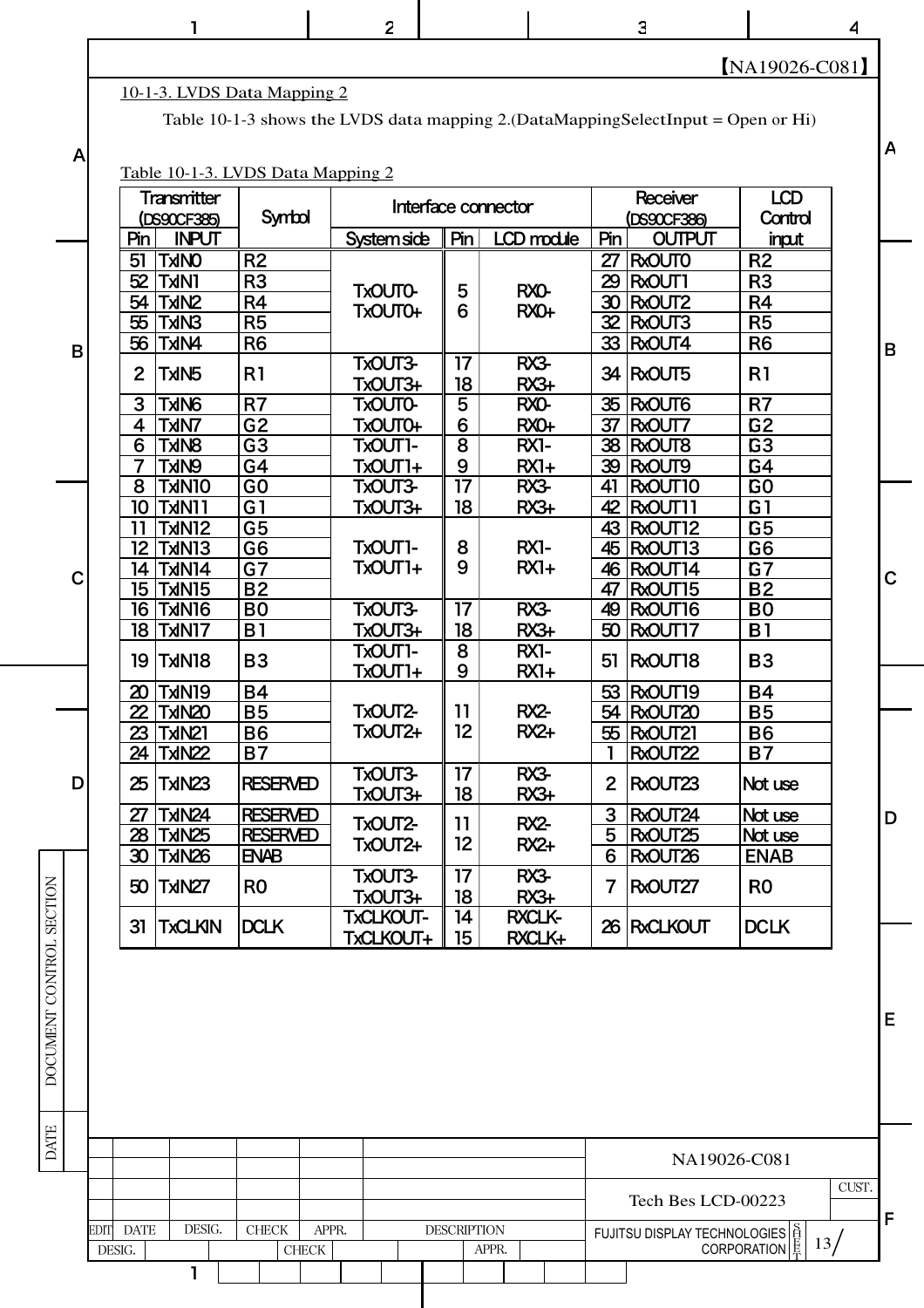|   |                | 1                             |                                   | $\overline{2}$                                                                    |                       |                         |              | 3                            |                         | 4 |
|---|----------------|-------------------------------|-----------------------------------|-----------------------------------------------------------------------------------|-----------------------|-------------------------|--------------|------------------------------|-------------------------|---|
|   |                |                               |                                   |                                                                                   |                       |                         |              |                              | NA19026-C081            |   |
|   |                |                               | 10-1-3. LVDS Data Mapping 2       |                                                                                   |                       |                         |              |                              |                         |   |
|   |                |                               |                                   | Table 10-1-3 shows the LVDS data mapping 2. (DataMappingSelectInput = Open or Hi) |                       |                         |              |                              |                         |   |
|   |                |                               |                                   |                                                                                   |                       |                         |              |                              |                         |   |
| A |                |                               | Table 10-1-3. LVDS Data Mapping 2 |                                                                                   |                       |                         |              |                              |                         |   |
|   |                |                               |                                   |                                                                                   |                       |                         |              |                              |                         |   |
|   |                | Transmitter                   | Symbol                            |                                                                                   |                       | Interface connector     |              | Receiver                     | <b>LCD</b>              |   |
|   | Pin            | (DS90CF385)<br><b>INPUT</b>   |                                   | <b>System side</b>                                                                | Pin                   | LCD module              | Pin          | (DS90CF386)<br><b>OUTPUT</b> | Control                 |   |
|   | 51             | <b>OVIKT</b>                  | R <sub>2</sub>                    |                                                                                   |                       |                         |              | 27 RxOUTO                    | input<br>R <sub>2</sub> |   |
|   | 52             | <b>TXIN1</b>                  | R <sub>3</sub>                    |                                                                                   |                       |                         | 29           | <b>R</b> xOUT1               | R3                      |   |
|   |                | 54 TxIN2                      | R <sub>4</sub>                    | <b>TxOUTO-</b>                                                                    | 5                     | RXO-                    |              | 30 RxOUT2                    | R <sub>4</sub>          |   |
|   |                | 55 TxIN3                      | R <sub>5</sub>                    | <b>TXOUTO+</b>                                                                    | 6                     | RX0+                    |              | 32 RxOUT3                    | R <sub>5</sub>          |   |
|   |                | 56 TxIN4                      | R <sub>6</sub>                    |                                                                                   |                       |                         |              | 33 RxOUT4                    | R <sub>6</sub>          |   |
|   |                |                               |                                   | TxOUT3-                                                                           | 17                    | RX3                     |              |                              |                         |   |
|   | $\overline{2}$ | <b>JUNT</b>                   | R <sub>1</sub>                    | <b>TxOUT3+</b>                                                                    | 18                    | RX3+                    | 34           | <b>R</b> XOUT5               | R <sub>1</sub>          |   |
|   | 3              | <b>GNKT</b>                   | R <sub>7</sub>                    | <b>TxOUTO-</b>                                                                    | 5                     | RXO-                    |              | 35 RxOUT6                    | R7                      |   |
|   | 4              | <b>TAINT</b>                  | G <sub>2</sub>                    | <b>TXOUTO+</b>                                                                    | 6                     | RX0+                    |              | 37 RxOUT7                    | G <sub>2</sub>          |   |
|   | 6              | <b>SVIKT</b>                  | G <sub>3</sub>                    | -TxOUT1                                                                           | $\overline{8}$        | <b>RX1-</b>             |              | 38 RXOUT8                    | G <sub>3</sub>          |   |
|   | $\overline{7}$ | <b>GNKT</b>                   | G4                                | <b>TXOUT1+</b>                                                                    | 9                     | $RX1+$                  |              | 39 RxOUT9                    | G4                      |   |
|   | 8              | <b>OIVINT</b>                 | $\overline{G}$                    | TxOUT3-                                                                           | 17                    | RX3                     | 41           | RxOUT10                      | G <sub>O</sub>          |   |
|   | 10             | <b>TXN11</b>                  | G <sub>1</sub>                    | TxOUT3+                                                                           | 18                    | $RX3+$                  |              | 42 RxOUT11                   | G <sub>1</sub>          |   |
|   | 11             | <b>SINKT</b>                  | G <sub>5</sub>                    |                                                                                   |                       |                         |              | 43 RxOUT12                   | G <sub>5</sub>          |   |
|   |                | 12 TxIN13                     | G <sub>6</sub>                    | -TXOUT1                                                                           | 8                     | RX1-                    |              | 45 RxOUT13                   | G <sub>6</sub>          |   |
|   |                | 14 TxN14                      | G7                                | TxOUT1+                                                                           | 9                     | $RX1+$                  |              | <b>46 RxOUT14</b>            | G7                      |   |
|   |                | <b>15 TxIN15</b>              | <b>B2</b>                         |                                                                                   |                       |                         | 47           | RxOUT15                      | <b>B2</b>               |   |
|   |                | <b><i><u>OINKT</u></i> 16</b> | B <sub>0</sub>                    | TxOUT3-                                                                           | 17                    | RX3                     |              | 49 RxOUT16                   | B <sub>0</sub>          |   |
|   |                | <b>18 TMN17</b>               | B <sub>1</sub>                    | <b>TxOUT3+</b>                                                                    | 18                    | $RX3+$                  | 50           | <b>R</b> XOUT17              | B <sub>1</sub>          |   |
|   |                | <b>8INKT   91</b>             | <b>B3</b>                         | -TXOUT1<br><b>TXOUT1+</b>                                                         | 8<br>9                | RX1-<br>$RXI+$          |              | 51 RxOUT18                   | <b>B3</b>               |   |
|   |                | 20 TxIN19                     | <b>B4</b>                         |                                                                                   |                       |                         |              | 53 RxOUT19                   | <b>B4</b>               |   |
|   |                | 22 TxN20                      | <b>B5</b>                         | TxOUT2-                                                                           | 11                    | RX2-                    |              | 54 RxOUT20                   | <b>B5</b>               |   |
|   |                | 23   TxIN21                   | <b>B6</b>                         | TxOUT2+                                                                           | 12 <sup>°</sup>       | $RX+$                   |              | 55 RXOUT21                   | <b>B6</b>               |   |
|   |                | 24 TxIN22                     | <b>B7</b>                         |                                                                                   |                       |                         |              | RxOUT22                      | <b>B7</b>               |   |
|   |                | 25 TxIN23                     | <b>RESERVED</b>                   | TxOUT3-<br>TxOUT3+                                                                | 17<br>18              | RX3<br>$RX3+$           | $\mathbf{2}$ | <b>R</b> XOUT23              | Not use                 |   |
|   | 27             | <b>TxIN24</b>                 | <b>RESERVED</b>                   |                                                                                   |                       | RX2-                    | 3            | RxOUT24                      | Not use                 |   |
|   |                | 28 TxIN25                     | <b>RESERVED</b>                   | TxOUT2-<br>TxOUT2+                                                                | 11<br>12 <sup>°</sup> | $RX +$                  | 5            | RxOUT25                      | Not use                 |   |
|   |                | 30 TxIN26                     | <b>ENAB</b>                       |                                                                                   |                       |                         | 6            | RxOUT26                      | <b>ENAB</b>             |   |
|   |                | 50 TxIN27                     | R <sub>0</sub>                    | TxOUT3-<br>TxOUT3+                                                                | 17<br>18              | RX3<br>$RX3+$           |              | 7 RxOUT27                    | R <sub>0</sub>          |   |
|   |                | 31 TxCLKIN                    | <b>DCLK</b>                       | TxCLKOUT-<br>TxCLKOUT+                                                            | 14<br>15              | <b>RXCLK-</b><br>RXCLK+ |              | 26 RXCLKOUT                  | <b>DCLK</b>             |   |

 $\frac{1}{2}$  13/ DESIG. CHECK APPR. DESCRIPTION CUST. S<br>H<br>E<br>E 1 F EDIT DATE DESIG. CHECK APPR. DESCRIPTION DESIG. CHECK CHECK APPR. NA19026-C081 Tech Bes LCD-00223 FUJITSU DISPLAY TECHNOLOGIES CORPORATION

DATE I DOCUMENT CONTROL SECTION

DATE

DOCUMENT CONTROL SECTION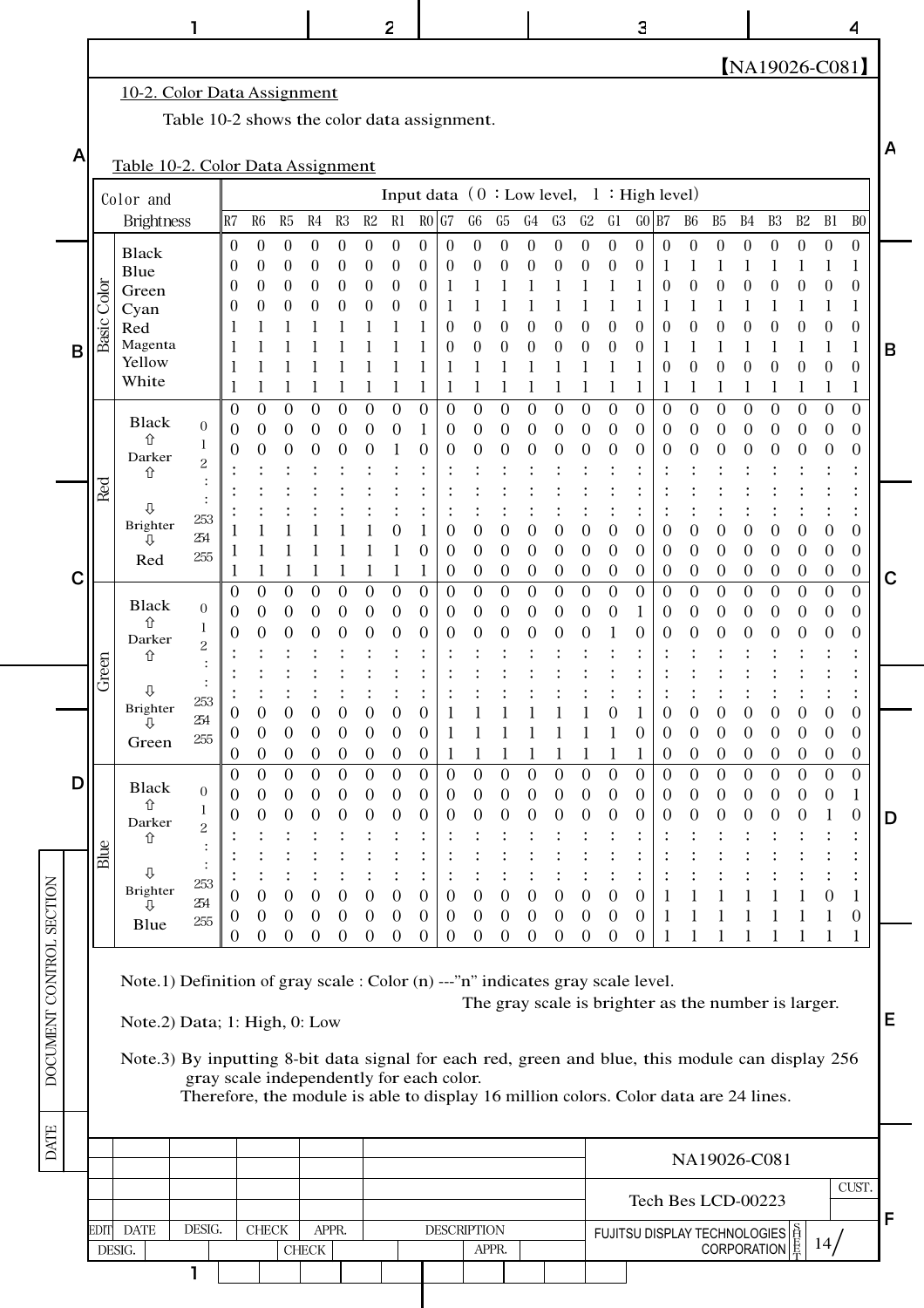【NA19026-C081】 1 2 | 3 | 4

#### -2. Color Data Assignment

A

Table 10-2 shows the color data assignment.

Table 10-2. Color Data Assignment

|                          |                               |                                                                                                  |                                                                                      |                            |                                      |                                    | $\frac{1}{2}$                      |                                      |                                  |                              |                                  |                              |                            |                                      |                                              |                       |                                    |                                      |                       |                            |                                      |                                  |                                                     |                                      |                            |                                      |                                      |             |
|--------------------------|-------------------------------|--------------------------------------------------------------------------------------------------|--------------------------------------------------------------------------------------|----------------------------|--------------------------------------|------------------------------------|------------------------------------|--------------------------------------|----------------------------------|------------------------------|----------------------------------|------------------------------|----------------------------|--------------------------------------|----------------------------------------------|-----------------------|------------------------------------|--------------------------------------|-----------------------|----------------------------|--------------------------------------|----------------------------------|-----------------------------------------------------|--------------------------------------|----------------------------|--------------------------------------|--------------------------------------|-------------|
|                          | Color and                     |                                                                                                  |                                                                                      |                            |                                      |                                    |                                    |                                      |                                  |                              |                                  |                              |                            |                                      | Input data $(0 : Low level, 1 : High level)$ |                       |                                    |                                      |                       |                            |                                      |                                  |                                                     |                                      |                            |                                      |                                      |             |
|                          |                               | <b>Brightness</b>                                                                                |                                                                                      | R7                         | R <sub>6</sub>                       | R <sub>5</sub>                     | R4                                 | R3                                   | $\mathbb{R}2$                    | R1                           |                                  | <b>RO</b> G7                 | ${\rm G}6$                 | G5                                   | G4                                           | G3                    | ${\rm G}2$                         | G1                                   | $GO$ B7               |                            | B <sub>6</sub>                       | B5                               | B4                                                  | B3                                   | B2                         | B <sub>1</sub>                       | B <sub>0</sub>                       |             |
|                          |                               | <b>Black</b>                                                                                     |                                                                                      | $\overline{0}$<br>$\theta$ | $\theta$<br>0                        | $\boldsymbol{0}$<br>$\theta$       | $\boldsymbol{0}$<br>0              | $\boldsymbol{0}$<br>0                | $\boldsymbol{0}$<br>0            | $\boldsymbol{0}$<br>$\theta$ | $\boldsymbol{0}$<br>0            | $\boldsymbol{0}$<br>$\theta$ | $\overline{0}$<br>$\theta$ | $\boldsymbol{0}$<br>0                | $\boldsymbol{0}$<br>$\theta$                 | $\boldsymbol{0}$<br>0 | $\boldsymbol{0}$<br>$\overline{0}$ | $\boldsymbol{0}$<br>$\boldsymbol{0}$ | $\boldsymbol{0}$<br>0 | $\boldsymbol{0}$<br>1      | 0                                    | $\boldsymbol{0}$                 | $\boldsymbol{0}$                                    | $\boldsymbol{0}$                     | $\boldsymbol{0}$           | $\boldsymbol{0}$<br>1                | $\boldsymbol{0}$                     |             |
|                          |                               | Blue<br>Green                                                                                    |                                                                                      | $\theta$                   | 0                                    | $\theta$                           | $\theta$                           | $\boldsymbol{0}$                     | $\boldsymbol{0}$                 | $\boldsymbol{0}$             | 0                                |                              |                            |                                      |                                              |                       |                                    |                                      |                       | $\theta$                   | $\theta$                             | $\boldsymbol{0}$                 | 0                                                   | 0                                    | $\boldsymbol{0}$           | $\boldsymbol{0}$                     | $\boldsymbol{0}$                     |             |
|                          |                               | Cyan                                                                                             |                                                                                      | 0                          | 0                                    | 0                                  | $\theta$                           | 0                                    | 0                                | $\theta$                     | 0                                |                              |                            |                                      |                                              |                       |                                    |                                      |                       | 1                          |                                      |                                  |                                                     |                                      |                            | 1                                    |                                      |             |
|                          | Basic Color                   | Red<br>Magenta                                                                                   |                                                                                      |                            |                                      |                                    |                                    |                                      |                                  |                              |                                  | $\theta$<br>$\theta$         | $\theta$                   | $\boldsymbol{0}$                     | $\theta$<br>$\theta$                         | 0                     | 0                                  | $\boldsymbol{0}$                     | 0                     | $\boldsymbol{0}$           | 0                                    | $\boldsymbol{0}$                 |                                                     | 0                                    | $\boldsymbol{0}$           | 0                                    | $\boldsymbol{0}$                     |             |
| B                        |                               | Yellow                                                                                           |                                                                                      |                            |                                      |                                    |                                    |                                      |                                  |                              |                                  |                              |                            | $\boldsymbol{0}$                     |                                              | $\theta$              | $\theta$                           | $\boldsymbol{0}$                     | $\theta$              | 1<br>$\theta$              | $\theta$                             | 0                                | 0                                                   | 0                                    | 0                          | 0                                    | 1<br>$\theta$                        | B           |
|                          |                               | White                                                                                            |                                                                                      |                            |                                      |                                    |                                    |                                      |                                  |                              | 1                                |                              |                            |                                      |                                              |                       |                                    |                                      |                       | 1                          |                                      |                                  |                                                     |                                      |                            | 1                                    |                                      |             |
|                          |                               | <b>Black</b>                                                                                     |                                                                                      | $\overline{0}$             | $\overline{0}$                       | $\overline{0}$                     | $\boldsymbol{0}$                   | $\boldsymbol{0}$                     | $\overline{0}$                   | $\boldsymbol{0}$             | $\overline{0}$                   | $\mathbf{0}$                 | $\boldsymbol{0}$           | $\mathbf{0}$                         | $\mathbf{0}$                                 | $\boldsymbol{0}$      | $\overline{0}$                     | $\mathbf{0}$                         | $\overline{0}$        | $\overline{0}$             | $\boldsymbol{0}$                     | $\boldsymbol{0}$                 | $\overline{0}$                                      | $\boldsymbol{0}$                     | $\mathbf{0}$               | $\boldsymbol{0}$                     | $\overline{0}$                       |             |
|                          |                               | 仚                                                                                                | $\boldsymbol{0}$<br>1                                                                | 0                          | $\boldsymbol{0}$                     | $\boldsymbol{0}$                   | $\overline{0}$                     | $\boldsymbol{0}$                     | 0                                | 0                            | 1                                | $\boldsymbol{0}$             | $\boldsymbol{0}$           | $\boldsymbol{0}$                     | $\boldsymbol{0}$                             | $\boldsymbol{0}$      | $\boldsymbol{0}$                   | $\boldsymbol{0}$                     | 0                     | 0                          | $\boldsymbol{0}$                     | $\boldsymbol{0}$                 | 0                                                   | $\boldsymbol{0}$                     | $\boldsymbol{0}$           | $\boldsymbol{0}$                     | $\boldsymbol{0}$                     |             |
|                          |                               | Darker<br>⇧                                                                                      | $\overline{\mathbf{c}}$                                                              | $\theta$                   | $\boldsymbol{0}$                     | $\boldsymbol{0}$                   | 0                                  | 0                                    | 0                                |                              | 0                                | 0                            | 0                          | 0                                    | 0                                            | 0                     | $\boldsymbol{0}$                   | 0                                    | 0                     | $\theta$                   | 0                                    | 0                                | $\theta$                                            | 0                                    | 0                          | $\theta$                             | $\boldsymbol{0}$                     |             |
|                          | Red                           |                                                                                                  |                                                                                      |                            |                                      |                                    |                                    |                                      |                                  |                              |                                  |                              |                            |                                      |                                              |                       |                                    |                                      |                       |                            |                                      |                                  |                                                     |                                      |                            |                                      |                                      |             |
|                          |                               | ⇩                                                                                                | 253                                                                                  |                            |                                      |                                    |                                    |                                      |                                  |                              |                                  |                              |                            |                                      |                                              |                       |                                    |                                      |                       |                            |                                      |                                  |                                                     |                                      |                            |                                      |                                      |             |
|                          |                               | Brighter<br>⇩                                                                                    | 254                                                                                  |                            |                                      |                                    |                                    |                                      |                                  | O                            |                                  | 0                            | $\theta$                   | $\boldsymbol{0}$                     | 0                                            | 0                     | $\boldsymbol{0}$                   | $\boldsymbol{0}$                     | 0                     | $\overline{0}$             | $\boldsymbol{0}$                     | 0                                | 0                                                   | 0                                    | 0                          | $\boldsymbol{0}$                     | $\boldsymbol{0}$                     |             |
|                          |                               | Red                                                                                              | 255                                                                                  |                            |                                      | $\mathbf{I}$                       |                                    |                                      | $\perp$                          |                              | 0<br>1                           | $\theta$<br>$\theta$         | $\theta$<br>$\overline{0}$ | $\boldsymbol{0}$<br>$\boldsymbol{0}$ | 0<br>0                                       | 0<br>$\boldsymbol{0}$ | 0<br>0                             | $\boldsymbol{0}$<br>$\boldsymbol{0}$ | 0<br>0                | $\overline{0}$<br>0        | 0<br>0                               | 0<br>$\boldsymbol{0}$            | $\theta$<br>0                                       | 0<br>$\boldsymbol{0}$                | $\boldsymbol{0}$<br>0      | $\boldsymbol{0}$<br>$\boldsymbol{0}$ | $\boldsymbol{0}$<br>$\boldsymbol{0}$ |             |
| С                        |                               |                                                                                                  |                                                                                      | $\boldsymbol{0}$           | $\boldsymbol{0}$                     | $\overline{0}$                     | $\theta$                           | $\boldsymbol{0}$                     | $\mathbf{0}$                     | $\boldsymbol{0}$             | $\overline{0}$                   | $\theta$                     | $\boldsymbol{0}$           | $\boldsymbol{0}$                     | $\mathbf{0}$                                 | 0                     | $\boldsymbol{0}$                   | $\mathbf{0}$                         | $\overline{0}$        | 0                          | 0                                    | $\mathbf{0}$                     | $\overline{0}$                                      | $\boldsymbol{0}$                     | $\theta$                   | $\boldsymbol{0}$                     | $\overline{0}$                       | $\mathbf C$ |
|                          |                               | <b>Black</b><br>仚                                                                                | $\boldsymbol{0}$                                                                     | $\theta$                   | $\boldsymbol{0}$                     | 0                                  | $\overline{0}$                     | 0                                    | 0                                | 0                            | 0                                | $\theta$                     | $\theta$                   | $\boldsymbol{0}$                     | 0                                            | 0                     | 0                                  | $\boldsymbol{0}$                     |                       | 0                          | 0                                    | 0                                | 0                                                   | $\boldsymbol{0}$                     | 0                          | $\boldsymbol{0}$                     | $\boldsymbol{0}$                     |             |
|                          |                               | Darker                                                                                           | 1<br>$\overline{c}$                                                                  | $\theta$                   | 0                                    | 0                                  | $\theta$                           | 0                                    | 0                                | $\theta$                     | 0                                | 0                            | $\theta$                   | 0                                    | 0                                            | 0                     | 0                                  |                                      | 0                     | $\theta$                   | 0                                    | 0                                | 0                                                   | 0                                    | 0                          | $\theta$                             | $\theta$                             |             |
|                          | Green                         | ⇧                                                                                                |                                                                                      |                            |                                      |                                    |                                    |                                      |                                  |                              |                                  |                              |                            |                                      |                                              |                       |                                    |                                      |                       |                            |                                      |                                  |                                                     |                                      |                            |                                      |                                      |             |
|                          |                               | ⇩                                                                                                |                                                                                      |                            |                                      |                                    |                                    |                                      |                                  |                              |                                  |                              |                            |                                      |                                              |                       |                                    |                                      |                       |                            |                                      |                                  |                                                     |                                      |                            |                                      |                                      |             |
|                          |                               | Brighter<br>⇩                                                                                    | 253<br>254                                                                           | 0                          | 0                                    | $\boldsymbol{0}$                   | $\theta$                           | 0                                    | $\boldsymbol{0}$                 | $\boldsymbol{0}$             | 0                                |                              |                            |                                      |                                              |                       |                                    | 0                                    |                       | 0                          | $\boldsymbol{0}$                     | 0                                | 0                                                   | $\boldsymbol{0}$                     | $\boldsymbol{0}$           | $\boldsymbol{0}$                     | $\boldsymbol{0}$                     |             |
|                          |                               | Green                                                                                            | 255                                                                                  | O                          | 0                                    | 0                                  | $\overline{0}$                     | 0                                    | 0                                | 0                            | 0                                |                              |                            |                                      |                                              |                       |                                    |                                      | 0                     | 0                          | 0                                    | $\boldsymbol{0}$                 | 0                                                   | $\boldsymbol{0}$                     | 0                          | $\boldsymbol{0}$                     | $\boldsymbol{0}$                     |             |
|                          |                               |                                                                                                  |                                                                                      | $\theta$<br>$\theta$       | $\boldsymbol{0}$<br>$\boldsymbol{0}$ | $\boldsymbol{0}$<br>$\overline{0}$ | $\overline{0}$<br>$\boldsymbol{0}$ | $\boldsymbol{0}$<br>$\boldsymbol{0}$ | $\boldsymbol{0}$<br>$\mathbf{0}$ | 0<br>$\boldsymbol{0}$        | $\boldsymbol{0}$<br>$\mathbf{0}$ | 1<br>$\mathbf{0}$            | $\boldsymbol{0}$           | 1<br>$\boldsymbol{0}$                | $\boldsymbol{0}$                             | 1<br>$\boldsymbol{0}$ | 1<br>$\overline{0}$                | 1<br>$\theta$                        | 1<br>$\boldsymbol{0}$ | $\theta$<br>$\overline{0}$ | $\boldsymbol{0}$<br>$\boldsymbol{0}$ | $\boldsymbol{0}$<br>$\mathbf{0}$ | $\boldsymbol{0}$<br>$\overline{0}$                  | $\boldsymbol{0}$<br>$\boldsymbol{0}$ | $\overline{0}$<br>$\theta$ | $\theta$<br>$\overline{0}$           | $\boldsymbol{0}$<br>$\boldsymbol{0}$ |             |
| D                        |                               | <b>Black</b>                                                                                     | $\overline{0}$                                                                       | $\theta$                   | $\boldsymbol{0}$                     | $\boldsymbol{0}$                   | $\overline{0}$                     | 0                                    | $\boldsymbol{0}$                 | 0                            | 0                                | $\theta$                     | $\overline{0}$             | 0                                    | 0                                            | 0                     | $\boldsymbol{0}$                   | 0                                    | 0                     | 0                          | 0                                    | 0                                | 0                                                   | $\boldsymbol{0}$                     | 0                          | $\boldsymbol{0}$                     | 1                                    |             |
|                          |                               | ⇧<br>Darker                                                                                      | 1                                                                                    | 0                          | 0                                    | 0                                  | $\left( \right)$                   | 0                                    | 0                                | 0                            | 0                                | 0                            | 0                          | 0                                    | 0                                            | 0                     | 0                                  | 0                                    | 0                     | $\theta$                   | 0                                    | 0                                | $\left( \right)$                                    | 0                                    | 0                          |                                      | $\boldsymbol{0}$                     | D           |
|                          |                               | ⇧                                                                                                | $\overline{c}$                                                                       |                            |                                      |                                    |                                    |                                      |                                  |                              |                                  |                              |                            |                                      |                                              |                       |                                    |                                      |                       |                            |                                      |                                  |                                                     |                                      |                            |                                      |                                      |             |
|                          | Blue                          | ⇩                                                                                                |                                                                                      |                            |                                      |                                    |                                    |                                      |                                  |                              |                                  |                              |                            |                                      |                                              |                       |                                    |                                      |                       |                            |                                      |                                  |                                                     |                                      |                            |                                      |                                      |             |
|                          |                               | Brighter                                                                                         | 253<br>254                                                                           | $\theta$                   | $\boldsymbol{0}$                     | $\boldsymbol{0}$                   | $\mathbf{0}$                       | $\boldsymbol{0}$                     | $\theta$                         | $\theta$                     | $\boldsymbol{0}$                 | $\boldsymbol{0}$             | $\boldsymbol{0}$           | $\boldsymbol{0}$                     | $\overline{0}$                               | $\boldsymbol{0}$      | $\boldsymbol{0}$                   | $\boldsymbol{0}$                     | $\boldsymbol{0}$      | 1                          |                                      |                                  |                                                     |                                      |                            | $\boldsymbol{0}$                     | 1                                    |             |
|                          |                               | ⇩<br>Blue                                                                                        | 255                                                                                  | $\mathbf{0}$               | $\boldsymbol{0}$                     | $\boldsymbol{0}$                   | $\mathbf{0}$                       | $\theta$                             | $\mathbf{0}$                     | $\boldsymbol{0}$             | $\mathbf{0}$                     | $\overline{0}$               | $\boldsymbol{0}$           | $\boldsymbol{0}$                     | $\overline{0}$                               | $\mathbf{0}$          | $\boldsymbol{0}$                   | $\boldsymbol{0}$                     | $\overline{0}$        | $\mathbf{l}$               |                                      |                                  |                                                     |                                      |                            | 1                                    | $\overline{0}$                       |             |
|                          |                               |                                                                                                  |                                                                                      | 0                          | $\boldsymbol{0}$                     | $\theta$                           | $\overline{0}$                     | $\theta$                             | $\theta$                         | $\theta$                     | $\overline{0}$                   | $\theta$                     | $\overline{0}$             | $\overline{0}$                       | $\theta$                                     | $\theta$              | $\overline{0}$                     | $\theta$                             | $\overline{0}$        | 1                          |                                      |                                  |                                                     |                                      | 1                          | 1                                    | 1                                    |             |
|                          |                               |                                                                                                  |                                                                                      |                            |                                      |                                    |                                    |                                      |                                  |                              |                                  |                              |                            |                                      |                                              |                       |                                    |                                      |                       |                            |                                      |                                  |                                                     |                                      |                            |                                      |                                      |             |
|                          |                               | Note.1) Definition of gray scale : Color $(n)$ ---"n" indicates gray scale level.                |                                                                                      |                            |                                      |                                    |                                    |                                      |                                  |                              |                                  |                              |                            |                                      |                                              |                       |                                    |                                      |                       |                            |                                      |                                  | The gray scale is brighter as the number is larger. |                                      |                            |                                      |                                      |             |
| DOCUMENT CONTROL SECTION |                               | Note.2) Data; 1: High, 0: Low                                                                    |                                                                                      |                            |                                      |                                    |                                    |                                      |                                  |                              |                                  |                              |                            |                                      |                                              |                       |                                    |                                      |                       |                            |                                      |                                  |                                                     |                                      |                            |                                      |                                      | Е           |
|                          |                               | Note.3) By inputting 8-bit data signal for each red, green and blue, this module can display 256 |                                                                                      |                            |                                      |                                    |                                    |                                      |                                  |                              |                                  |                              |                            |                                      |                                              |                       |                                    |                                      |                       |                            |                                      |                                  |                                                     |                                      |                            |                                      |                                      |             |
|                          |                               |                                                                                                  | gray scale independently for each color.                                             |                            |                                      |                                    |                                    |                                      |                                  |                              |                                  |                              |                            |                                      |                                              |                       |                                    |                                      |                       |                            |                                      |                                  |                                                     |                                      |                            |                                      |                                      |             |
|                          |                               |                                                                                                  | Therefore, the module is able to display 16 million colors. Color data are 24 lines. |                            |                                      |                                    |                                    |                                      |                                  |                              |                                  |                              |                            |                                      |                                              |                       |                                    |                                      |                       |                            |                                      |                                  |                                                     |                                      |                            |                                      |                                      |             |
| <b>DATE</b>              |                               |                                                                                                  |                                                                                      |                            |                                      |                                    |                                    |                                      |                                  |                              |                                  |                              |                            |                                      |                                              |                       |                                    |                                      |                       |                            |                                      |                                  |                                                     |                                      |                            |                                      |                                      |             |
|                          |                               |                                                                                                  |                                                                                      |                            |                                      |                                    |                                    |                                      |                                  |                              |                                  |                              |                            |                                      |                                              |                       |                                    |                                      |                       |                            |                                      |                                  | NA19026-C081                                        |                                      |                            |                                      |                                      |             |
|                          |                               |                                                                                                  |                                                                                      |                            |                                      |                                    |                                    |                                      |                                  |                              |                                  |                              |                            |                                      |                                              |                       |                                    |                                      |                       |                            |                                      |                                  | Tech Bes LCD-00223                                  |                                      |                            |                                      | CUST.                                |             |
|                          |                               |                                                                                                  |                                                                                      |                            |                                      |                                    |                                    |                                      |                                  |                              |                                  |                              |                            |                                      |                                              |                       |                                    |                                      |                       |                            |                                      |                                  |                                                     |                                      |                            |                                      |                                      | F           |
|                          | DESIG.<br>EDIT<br><b>DATE</b> |                                                                                                  |                                                                                      |                            | <b>CHECK</b>                         |                                    | ${\rm CHECK}$                      | APPR.                                |                                  |                              |                                  |                              | <b>DESCRIPTION</b>         | APPR.                                |                                              |                       |                                    |                                      |                       |                            |                                      |                                  | FUJITSU DISPLAY TECHNOLOGIES<br><b>CORPORATION</b>  |                                      | 旨意                         | 14 <sub>l</sub>                      |                                      |             |
|                          | DESIG.                        |                                                                                                  |                                                                                      |                            |                                      |                                    |                                    |                                      |                                  |                              |                                  |                              |                            |                                      |                                              |                       |                                    |                                      |                       |                            |                                      |                                  |                                                     |                                      |                            |                                      |                                      |             |

A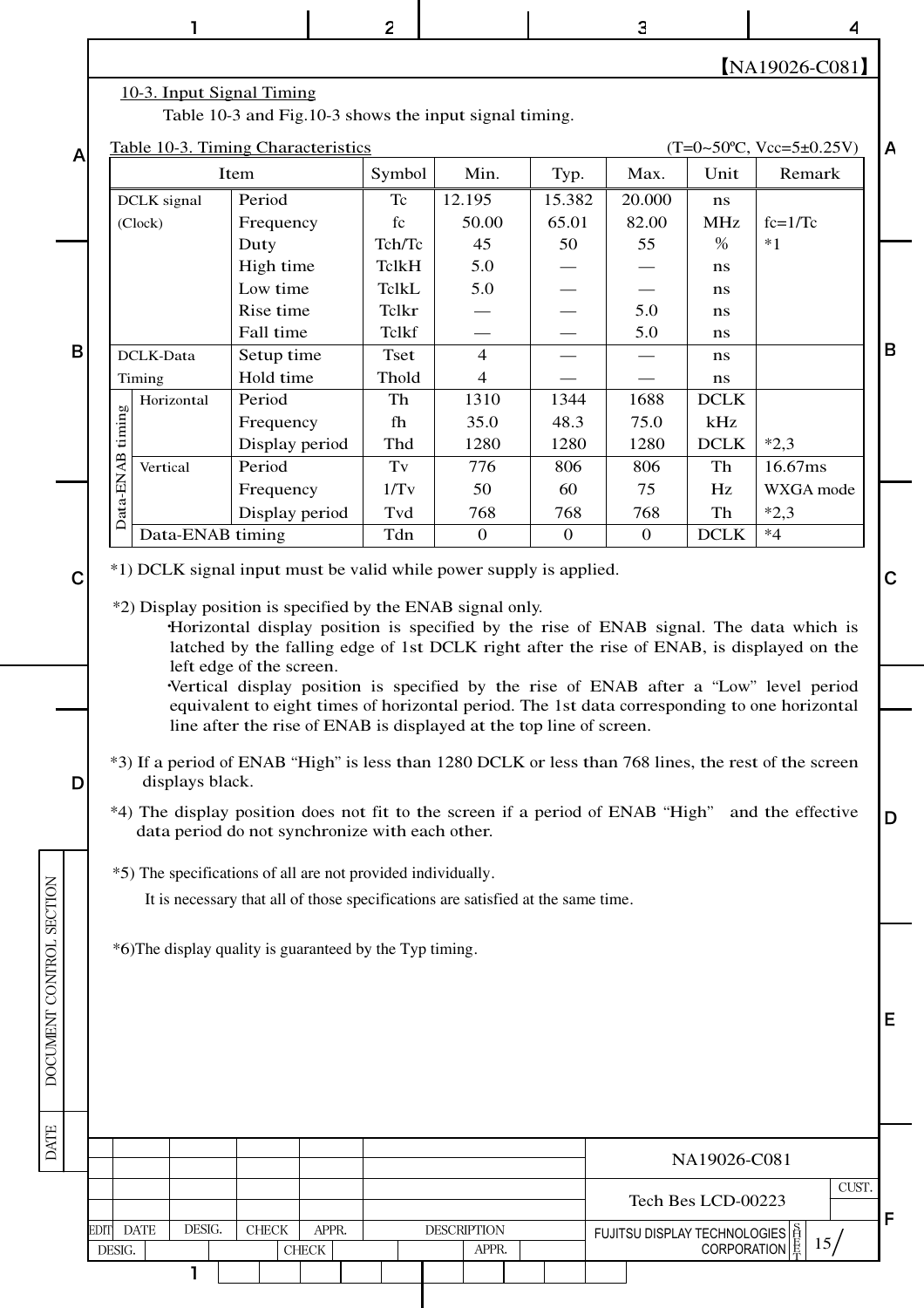|                          |   |           |             |                  |                                                                                  |               | 2                     |                    |                |              | 3                                                                              |                    |                                                                                                                                                                                       | 4     |   |
|--------------------------|---|-----------|-------------|------------------|----------------------------------------------------------------------------------|---------------|-----------------------|--------------------|----------------|--------------|--------------------------------------------------------------------------------|--------------------|---------------------------------------------------------------------------------------------------------------------------------------------------------------------------------------|-------|---|
|                          |   |           |             |                  |                                                                                  |               |                       |                    |                |              |                                                                                |                    | $[NA19026-C081]$                                                                                                                                                                      |       |   |
|                          |   |           |             |                  | 10-3. Input Signal Timing                                                        |               |                       |                    |                |              |                                                                                |                    |                                                                                                                                                                                       |       |   |
|                          |   |           |             |                  | Table 10-3 and Fig.10-3 shows the input signal timing.                           |               |                       |                    |                |              |                                                                                |                    |                                                                                                                                                                                       |       |   |
|                          | A |           |             |                  | Table 10-3. Timing Characteristics                                               |               |                       |                    |                |              |                                                                                |                    | $(T=0~50^{\circ}C, Vcc=5~t0.25V)$                                                                                                                                                     |       | A |
|                          |   |           |             |                  | Item                                                                             |               | Symbol                |                    | Min.           | Typ.         | Max.                                                                           | Unit               | Remark                                                                                                                                                                                |       |   |
|                          |   |           | DCLK signal |                  | Period                                                                           |               | Tc                    | 12.195             |                | 15.382       | 20.000                                                                         | ns                 |                                                                                                                                                                                       |       |   |
|                          |   |           | (Clock)     |                  | Frequency                                                                        |               | fc                    |                    | 50.00          | 65.01        | 82.00                                                                          | <b>MHz</b>         | $fc=1/Tc$                                                                                                                                                                             |       |   |
|                          |   |           |             |                  | Duty                                                                             |               | Tch/Tc                |                    | 45             | 50           | 55                                                                             | $\%$               | $*1$                                                                                                                                                                                  |       |   |
|                          |   |           |             |                  | High time                                                                        |               | <b>TclkH</b>          |                    | 5.0            |              |                                                                                | ns                 |                                                                                                                                                                                       |       |   |
|                          |   |           |             |                  | Low time<br>Rise time                                                            |               | <b>TclkL</b><br>Telkr |                    | 5.0            |              | 5.0                                                                            | ns                 |                                                                                                                                                                                       |       |   |
|                          |   |           |             |                  | Fall time                                                                        |               | Tclkf                 |                    |                |              | 5.0                                                                            | ns<br>ns           |                                                                                                                                                                                       |       |   |
|                          | B |           | DCLK-Data   |                  | Setup time                                                                       |               | <b>Tset</b>           |                    | $\overline{4}$ |              |                                                                                | ns                 |                                                                                                                                                                                       |       | B |
|                          |   |           | Timing      |                  | Hold time                                                                        |               | Thold                 |                    | $\overline{4}$ |              |                                                                                | ns                 |                                                                                                                                                                                       |       |   |
|                          |   |           |             | Horizontal       | Period                                                                           |               | Th                    |                    | 1310           | 1344         | 1688                                                                           | <b>DCLK</b>        |                                                                                                                                                                                       |       |   |
|                          |   | timing    |             |                  | Frequency                                                                        |               | fh                    |                    | 35.0           | 48.3         | 75.0                                                                           | kHz                |                                                                                                                                                                                       |       |   |
|                          |   |           |             |                  | Display period                                                                   |               | Thd                   |                    | 1280           | 1280         | 1280                                                                           | <b>DCLK</b>        | $*2,3$                                                                                                                                                                                |       |   |
|                          |   | Data-ENAB | Vertical    |                  | Period                                                                           |               | Tv                    |                    | 776            | 806          | 806                                                                            | Th                 | 16.67ms                                                                                                                                                                               |       |   |
|                          |   |           |             |                  | Frequency                                                                        |               | 1/Tv                  |                    | 50             | 60           | 75                                                                             | Hz                 | WXGA mode                                                                                                                                                                             |       |   |
|                          |   |           |             |                  | Display period                                                                   |               | Tvd                   |                    | 768            | 768          | 768                                                                            | Th                 | $*2,3$<br>$*4$                                                                                                                                                                        |       |   |
|                          |   |           |             | Data-ENAB timing |                                                                                  |               | Tdn                   |                    | $\mathbf{0}$   | $\mathbf{0}$ | $\overline{0}$                                                                 | <b>DCLK</b>        |                                                                                                                                                                                       |       |   |
|                          | С |           |             |                  | *1) DCLK signal input must be valid while power supply is applied.               |               |                       |                    |                |              |                                                                                |                    |                                                                                                                                                                                       |       | C |
|                          |   |           |             |                  | *2) Display position is specified by the ENAB signal only.                       |               |                       |                    |                |              |                                                                                |                    |                                                                                                                                                                                       |       |   |
|                          |   |           |             |                  |                                                                                  |               |                       |                    |                |              |                                                                                |                    | Horizontal display position is specified by the rise of ENAB signal. The data which is                                                                                                |       |   |
|                          |   |           |             |                  |                                                                                  |               |                       |                    |                |              |                                                                                |                    | latched by the falling edge of 1st DCLK right after the rise of ENAB, is displayed on the                                                                                             |       |   |
|                          |   |           |             |                  | left edge of the screen.                                                         |               |                       |                    |                |              |                                                                                |                    |                                                                                                                                                                                       |       |   |
|                          |   |           |             |                  |                                                                                  |               |                       |                    |                |              |                                                                                |                    | Vertical display position is specified by the rise of ENAB after a "Low" level period<br>equivalent to eight times of horizontal period. The 1st data corresponding to one horizontal |       |   |
|                          |   |           |             |                  | line after the rise of ENAB is displayed at the top line of screen.              |               |                       |                    |                |              |                                                                                |                    |                                                                                                                                                                                       |       |   |
|                          |   |           |             |                  |                                                                                  |               |                       |                    |                |              |                                                                                |                    |                                                                                                                                                                                       |       |   |
|                          | D |           |             | displays black.  |                                                                                  |               |                       |                    |                |              |                                                                                |                    | *3) If a period of ENAB "High" is less than 1280 DCLK or less than 768 lines, the rest of the screen                                                                                  |       |   |
|                          |   |           |             |                  |                                                                                  |               |                       |                    |                |              |                                                                                |                    |                                                                                                                                                                                       |       |   |
|                          |   |           |             |                  | data period do not synchronize with each other.                                  |               |                       |                    |                |              | *4) The display position does not fit to the screen if a period of ENAB "High" |                    | and the effective                                                                                                                                                                     |       | D |
|                          |   |           |             |                  |                                                                                  |               |                       |                    |                |              |                                                                                |                    |                                                                                                                                                                                       |       |   |
|                          |   |           |             |                  | *5) The specifications of all are not provided individually.                     |               |                       |                    |                |              |                                                                                |                    |                                                                                                                                                                                       |       |   |
|                          |   |           |             |                  | It is necessary that all of those specifications are satisfied at the same time. |               |                       |                    |                |              |                                                                                |                    |                                                                                                                                                                                       |       |   |
| DOCUMENT CONTROL SECTION |   |           |             |                  |                                                                                  |               |                       |                    |                |              |                                                                                |                    |                                                                                                                                                                                       |       |   |
|                          |   |           |             |                  | *6)The display quality is guaranteed by the Typ timing.                          |               |                       |                    |                |              |                                                                                |                    |                                                                                                                                                                                       |       |   |
|                          |   |           |             |                  |                                                                                  |               |                       |                    |                |              |                                                                                |                    |                                                                                                                                                                                       |       |   |
|                          |   |           |             |                  |                                                                                  |               |                       |                    |                |              |                                                                                |                    |                                                                                                                                                                                       |       |   |
|                          |   |           |             |                  |                                                                                  |               |                       |                    |                |              |                                                                                |                    |                                                                                                                                                                                       |       | Е |
|                          |   |           |             |                  |                                                                                  |               |                       |                    |                |              |                                                                                |                    |                                                                                                                                                                                       |       |   |
|                          |   |           |             |                  |                                                                                  |               |                       |                    |                |              |                                                                                |                    |                                                                                                                                                                                       |       |   |
|                          |   |           |             |                  |                                                                                  |               |                       |                    |                |              |                                                                                |                    |                                                                                                                                                                                       |       |   |
|                          |   |           |             |                  |                                                                                  |               |                       |                    |                |              |                                                                                |                    |                                                                                                                                                                                       |       |   |
| <b>DATE</b>              |   |           |             |                  |                                                                                  |               |                       |                    |                |              |                                                                                |                    |                                                                                                                                                                                       |       |   |
|                          |   |           |             |                  |                                                                                  |               |                       |                    |                |              |                                                                                | NA19026-C081       |                                                                                                                                                                                       |       |   |
|                          |   |           |             |                  |                                                                                  |               |                       |                    |                |              |                                                                                | Tech Bes LCD-00223 |                                                                                                                                                                                       | CUST. |   |
|                          |   | EDIT      | <b>DATE</b> | DESIG.           | <b>CHECK</b>                                                                     | APPR.         |                       | <b>DESCRIPTION</b> |                |              | FUJITSU DISPLAY TECHNOLOGIES  <br>CORPORATION E                                |                    |                                                                                                                                                                                       |       | F |
|                          |   | DESIG.    |             |                  |                                                                                  | ${\rm CHECK}$ |                       |                    | APPR.          |              |                                                                                | <b>CORPORATION</b> | 15/                                                                                                                                                                                   |       |   |
|                          |   |           |             |                  |                                                                                  |               |                       |                    |                |              |                                                                                |                    |                                                                                                                                                                                       |       |   |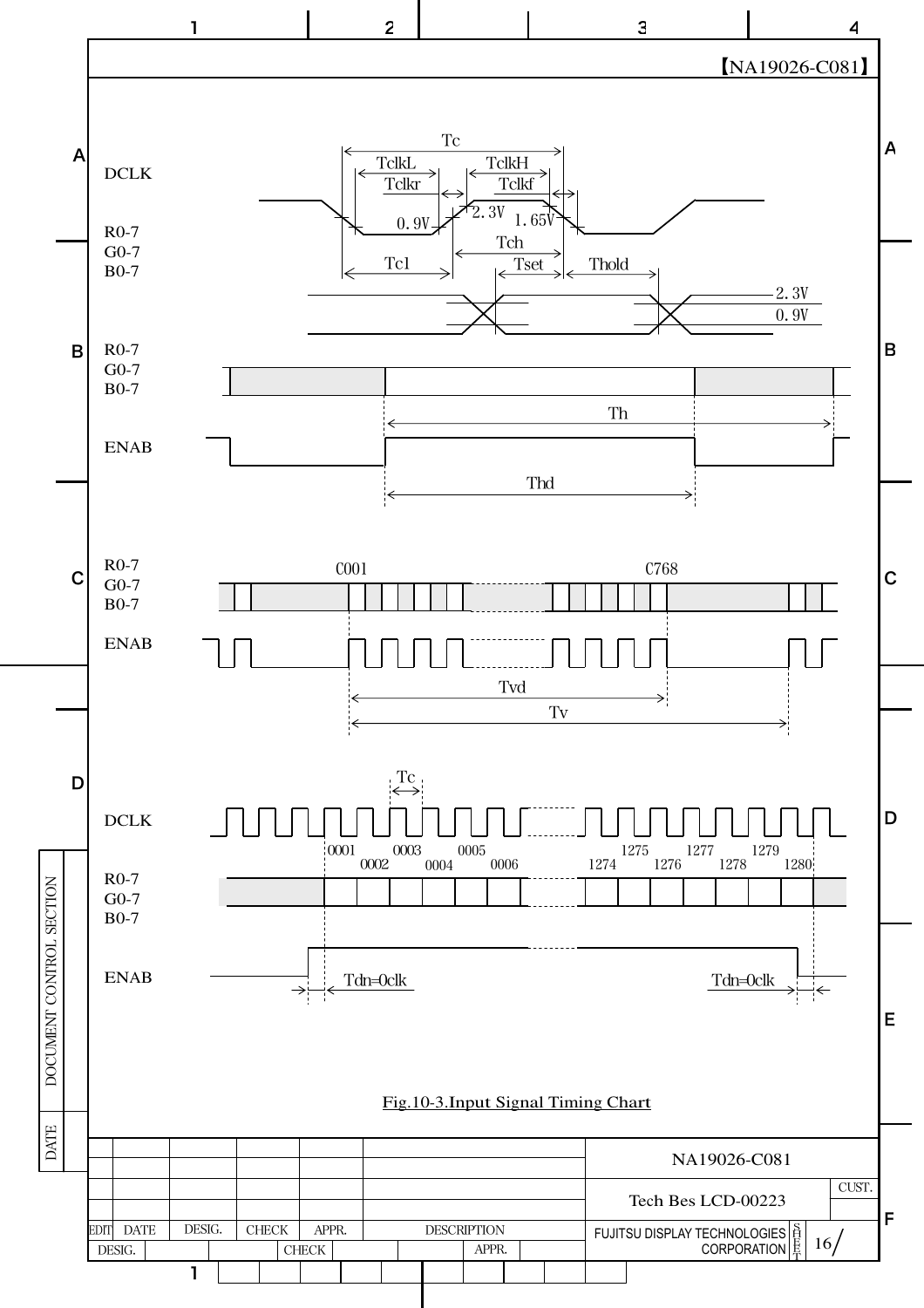![](_page_16_Figure_0.jpeg)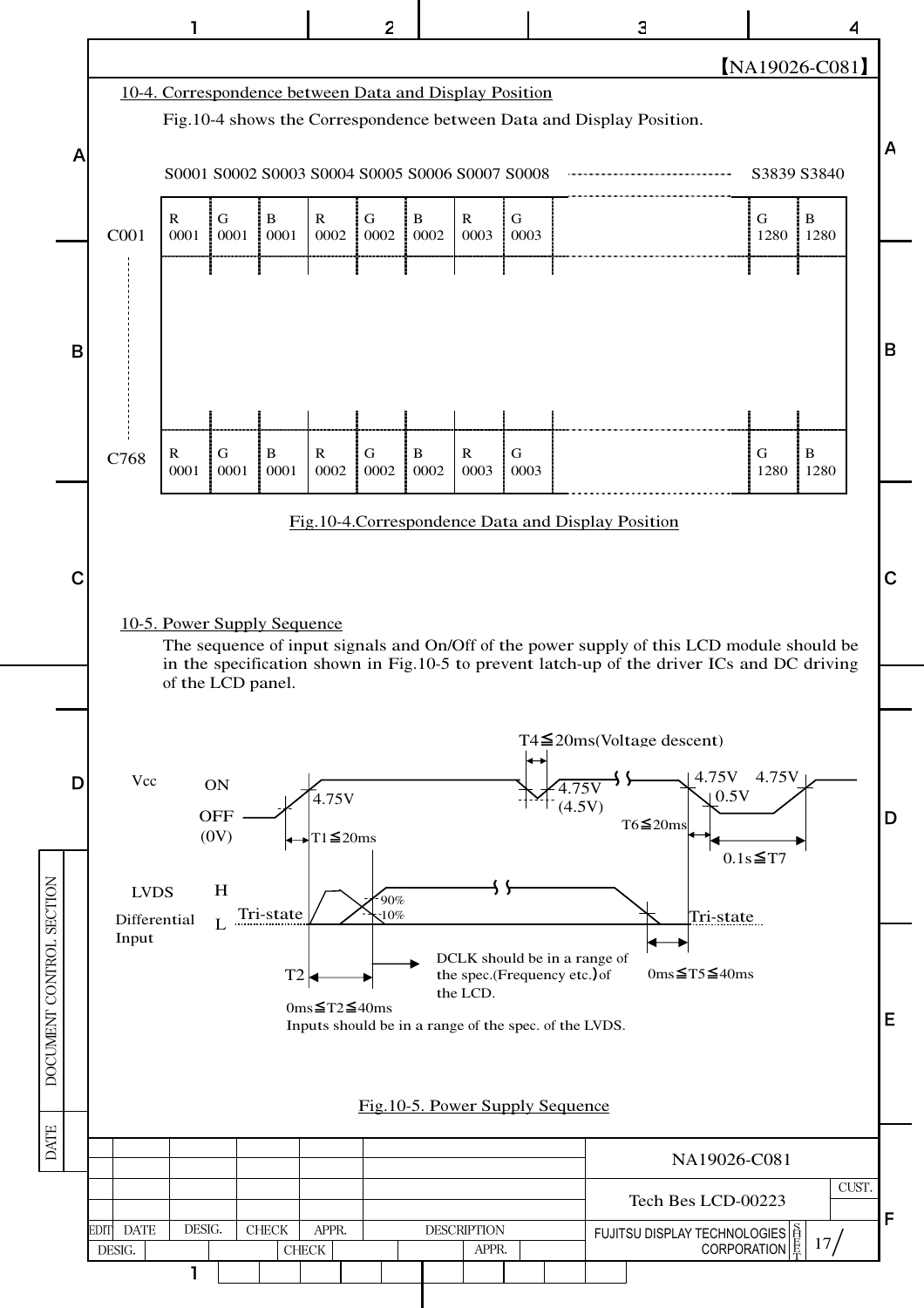![](_page_17_Figure_0.jpeg)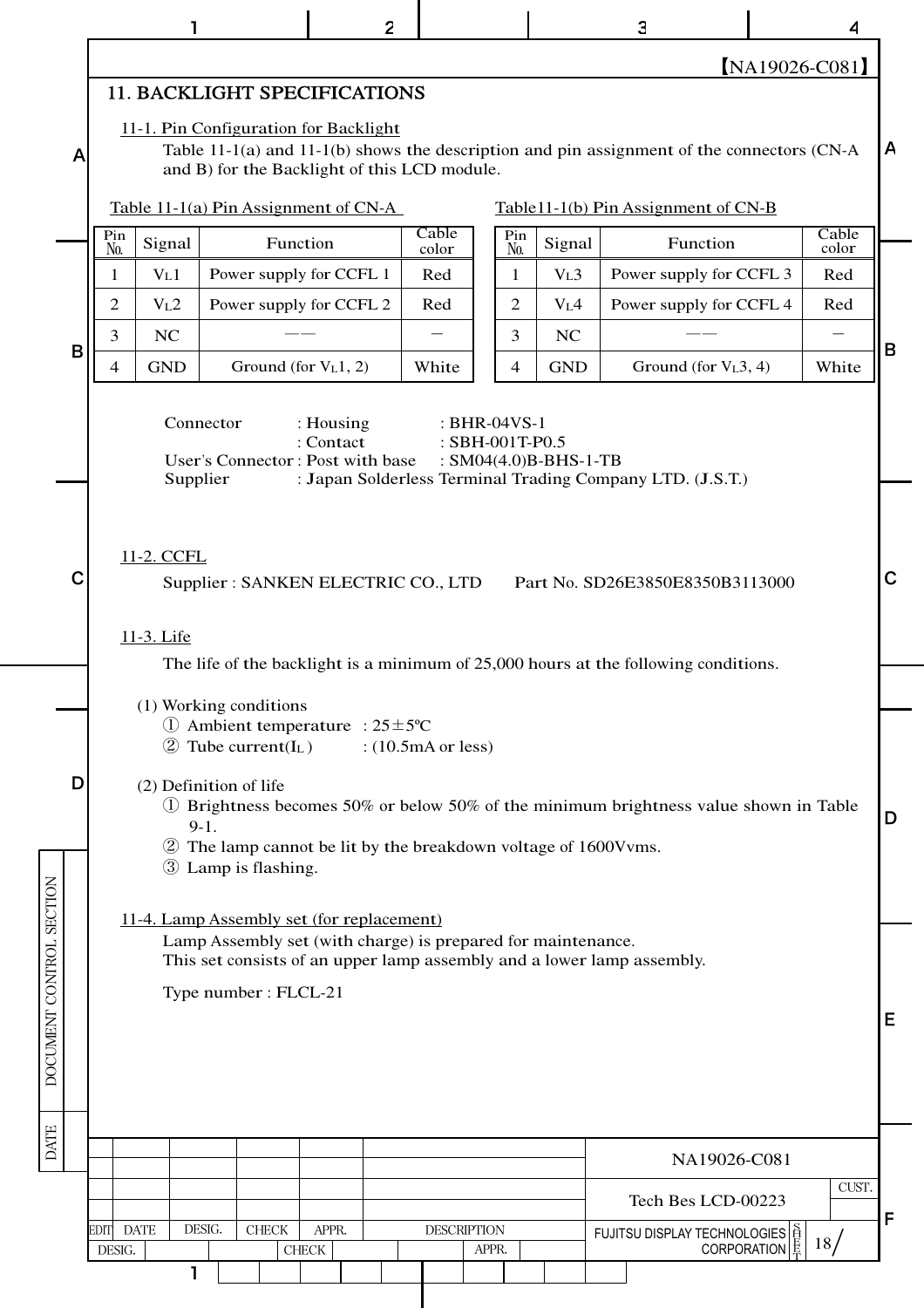|                          |                                                                                                                                                                                                                                                                                                                                                                                | ı                                                                                                                                                                                                              |        |                                              |               | 2 |                |                    |       |                |                  | 3                                                                                             |                        |               | 4              |   |
|--------------------------|--------------------------------------------------------------------------------------------------------------------------------------------------------------------------------------------------------------------------------------------------------------------------------------------------------------------------------------------------------------------------------|----------------------------------------------------------------------------------------------------------------------------------------------------------------------------------------------------------------|--------|----------------------------------------------|---------------|---|----------------|--------------------|-------|----------------|------------------|-----------------------------------------------------------------------------------------------|------------------------|---------------|----------------|---|
|                          |                                                                                                                                                                                                                                                                                                                                                                                |                                                                                                                                                                                                                |        |                                              |               |   |                |                    |       |                |                  |                                                                                               |                        |               | [NA19026-C081] |   |
|                          |                                                                                                                                                                                                                                                                                                                                                                                | <b>11. BACKLIGHT SPECIFICATIONS</b>                                                                                                                                                                            |        |                                              |               |   |                |                    |       |                |                  |                                                                                               |                        |               |                |   |
| A                        |                                                                                                                                                                                                                                                                                                                                                                                | 11-1. Pin Configuration for Backlight                                                                                                                                                                          |        | and B) for the Backlight of this LCD module. |               |   |                |                    |       |                |                  | Table 11-1(a) and 11-1(b) shows the description and pin assignment of the connectors $(CN-A)$ |                        |               |                | A |
|                          |                                                                                                                                                                                                                                                                                                                                                                                | Table 11-1(a) Pin Assignment of $CN-A$                                                                                                                                                                         |        |                                              |               |   |                |                    |       |                |                  | Table11-1(b) Pin Assignment of CN-B                                                           |                        |               |                |   |
|                          | Pin<br>N <sub>0</sub> .                                                                                                                                                                                                                                                                                                                                                        | Signal                                                                                                                                                                                                         |        | Function                                     |               |   | Cable<br>color |                    |       | Pin<br>No.     | Signal           |                                                                                               | Function               |               | Cable<br>color |   |
|                          | 1                                                                                                                                                                                                                                                                                                                                                                              | V <sub>L</sub> 1                                                                                                                                                                                               |        | Power supply for CCFL 1                      |               |   | Red            |                    |       | 1              | V <sub>L</sub> 3 | Power supply for CCFL 3                                                                       |                        |               | Red            |   |
|                          | 2                                                                                                                                                                                                                                                                                                                                                                              | V <sub>L</sub> 2                                                                                                                                                                                               |        | Power supply for CCFL 2                      |               |   | Red            |                    |       | 2              | V <sub>L</sub> 4 | Power supply for CCFL 4                                                                       |                        |               | Red            |   |
| B                        | $\overline{3}$                                                                                                                                                                                                                                                                                                                                                                 | <b>NC</b>                                                                                                                                                                                                      |        |                                              |               |   |                |                    |       | $\overline{3}$ | <b>NC</b>        |                                                                                               |                        |               |                | B |
|                          | $\overline{4}$                                                                                                                                                                                                                                                                                                                                                                 | <b>GND</b>                                                                                                                                                                                                     |        | Ground (for V <sub>L</sub> 1, 2)             |               |   | White          |                    |       | $\overline{4}$ | <b>GND</b>       |                                                                                               | Ground (for $VL3, 4$ ) |               | White          |   |
|                          |                                                                                                                                                                                                                                                                                                                                                                                | Connector<br>: Housing<br>: BHR-04VS-1<br>: Contact<br>: SBH-001T-P0.5<br>User's Connector: Post with base<br>: $SM04(4.0)B-BHS-1-TB$<br>: Japan Solderless Terminal Trading Company LTD. (J.S.T.)<br>Supplier |        |                                              |               |   |                |                    |       |                |                  |                                                                                               |                        |               |                |   |
| C                        | 11-2. CCFL<br>$\mathbf C$<br>Supplier: SANKEN ELECTRIC CO., LTD<br>Part No. SD26E3850E8350B3113000<br>11-3. Life<br>The life of the backlight is a minimum of 25,000 hours at the following conditions.                                                                                                                                                                        |                                                                                                                                                                                                                |        |                                              |               |   |                |                    |       |                |                  |                                                                                               |                        |               |                |   |
|                          |                                                                                                                                                                                                                                                                                                                                                                                |                                                                                                                                                                                                                |        |                                              |               |   |                |                    |       |                |                  |                                                                                               |                        |               |                |   |
| D                        | (1) Working conditions<br>(1) Ambient temperature : $25 \pm 5^{\circ}$ C<br>$\textcircled{2}$ Tube current(I <sub>L</sub> )<br>: $(10.5mA or less)$<br>(2) Definition of life<br>1) Brightness becomes 50% or below 50% of the minimum brightness value shown in Table<br>D<br>$9-1.$<br>2 The lamp cannot be lit by the breakdown voltage of 1600Vvms.<br>3 Lamp is flashing. |                                                                                                                                                                                                                |        |                                              |               |   |                |                    |       |                |                  |                                                                                               |                        |               |                |   |
| DOCUMENT CONTROL SECTION | 11-4. Lamp Assembly set (for replacement)<br>Lamp Assembly set (with charge) is prepared for maintenance.<br>This set consists of an upper lamp assembly and a lower lamp assembly.<br>Type number: FLCL-21<br>Е                                                                                                                                                               |                                                                                                                                                                                                                |        |                                              |               |   |                |                    |       |                |                  |                                                                                               |                        |               |                |   |
| <b>DATE</b>              |                                                                                                                                                                                                                                                                                                                                                                                |                                                                                                                                                                                                                |        |                                              |               |   |                |                    |       |                |                  |                                                                                               | NA19026-C081           |               |                |   |
|                          |                                                                                                                                                                                                                                                                                                                                                                                |                                                                                                                                                                                                                |        |                                              |               |   |                |                    |       |                |                  |                                                                                               | Tech Bes LCD-00223     |               | CUST.          |   |
|                          | EDIT DATE                                                                                                                                                                                                                                                                                                                                                                      |                                                                                                                                                                                                                | DESIG. | ${\rm CHECK}$                                | APPR.         |   |                | <b>DESCRIPTION</b> |       |                |                  | FUJITSU DISPLAY TECHNOLOGIES                                                                  |                        |               |                | F |
|                          | DESIG.                                                                                                                                                                                                                                                                                                                                                                         |                                                                                                                                                                                                                |        |                                              | ${\rm CHECK}$ |   |                |                    | APPR. |                |                  |                                                                                               |                        | CORPORATION 最 | 18/            |   |
|                          |                                                                                                                                                                                                                                                                                                                                                                                | 1                                                                                                                                                                                                              |        |                                              |               |   |                |                    |       |                |                  |                                                                                               |                        |               |                |   |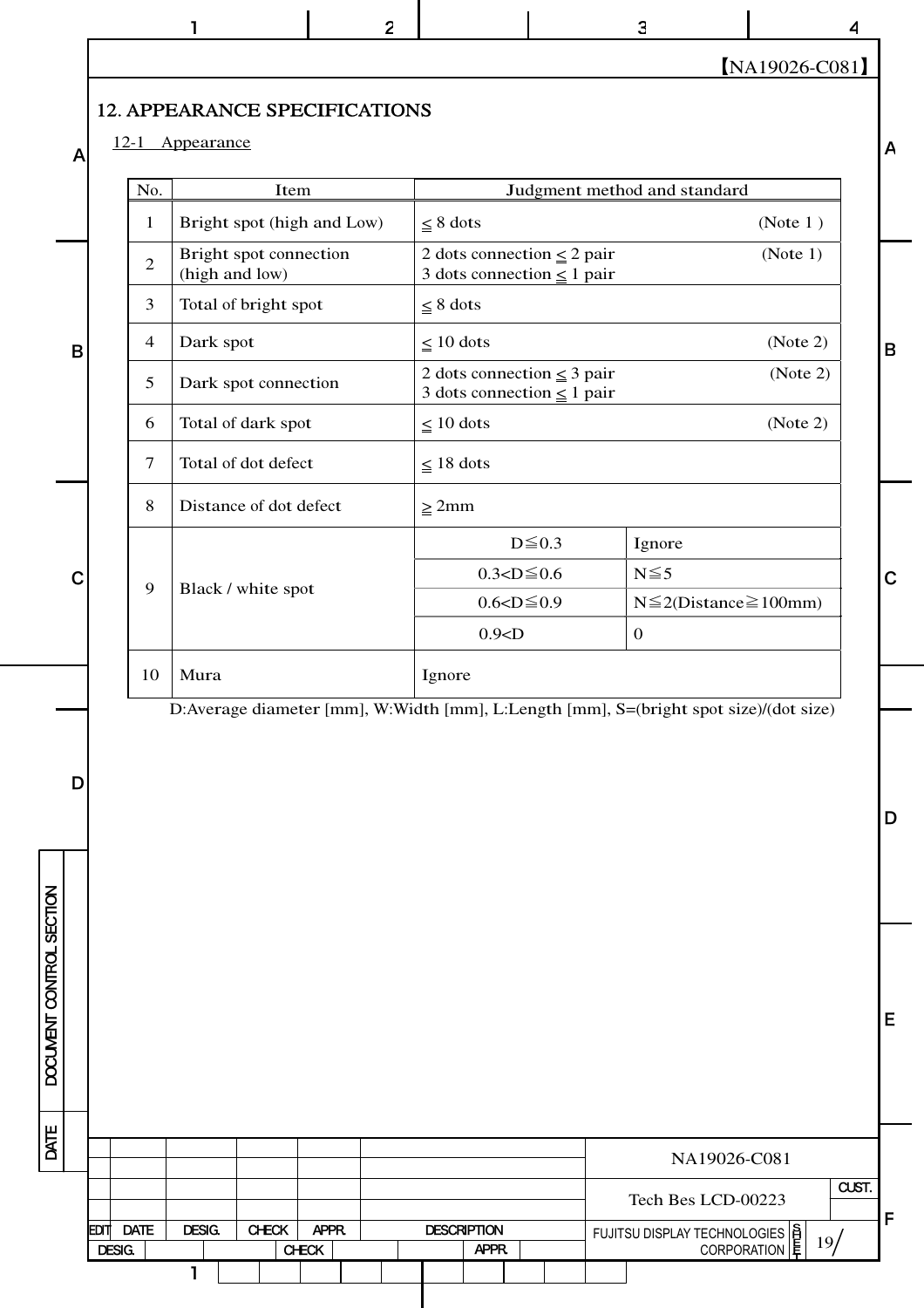1 2 | 3 | 4

【NA19026-C081】

19

**INTER**  $\frac{5}{7}$  19/

FUJITSU DISPLAY TECHNOLOGIES

CORPORATION

## 12. APPEARANCE SPECIFICATIONS

EDIT DATE DESIG. CHECK APPR. DESCRIPTION

DESIG. CHECK CHECK APPR

1

DATE DOCUMENT CONTROL SECTION

DATE

DOCUMENT CONTROL SECTION

D

12-1 Appearance

A

B

|                | Item                                     |                                                                    | Judgment method and standard                                                          |
|----------------|------------------------------------------|--------------------------------------------------------------------|---------------------------------------------------------------------------------------|
| $\mathbf 1$    | Bright spot (high and Low)               | $\leq$ 8 dots                                                      | (Note $1$ )                                                                           |
| $\overline{2}$ | Bright spot connection<br>(high and low) | 2 dots connection $\leq$ 2 pair<br>3 dots connection $\leq$ 1 pair | (Note 1)                                                                              |
| 3              | Total of bright spot                     | $\leq$ 8 dots                                                      |                                                                                       |
| $\overline{4}$ | Dark spot                                | $\leq 10$ dots                                                     | (Note 2)                                                                              |
| 5              | Dark spot connection                     | 2 dots connection $\leq$ 3 pair<br>3 dots connection $\leq$ 1 pair | (Note 2)                                                                              |
| 6              | Total of dark spot                       | $\leq 10$ dots                                                     | (Note 2)                                                                              |
| $\tau$         | Total of dot defect                      | $\leq$ 18 dots                                                     |                                                                                       |
| 8              | Distance of dot defect                   | $\geq$ 2mm                                                         |                                                                                       |
|                |                                          | $D \le 0.3$                                                        | Ignore                                                                                |
|                |                                          | $0.3 < D \le 0.6$                                                  | $N \leq 5$                                                                            |
| 9              | Black / white spot                       | $0.6 < D \le 0.9$                                                  | $N \leq 2(Distance \geq 100mm)$                                                       |
|                |                                          | 0.9 < D                                                            | $\boldsymbol{0}$                                                                      |
| 10             | Mura                                     | Ignore                                                             |                                                                                       |
|                |                                          |                                                                    | D:Average diameter [mm], W:Width [mm], L:Length [mm], S=(bright spot size)/(dot size) |
|                |                                          |                                                                    |                                                                                       |
|                |                                          |                                                                    | NA19026-C081                                                                          |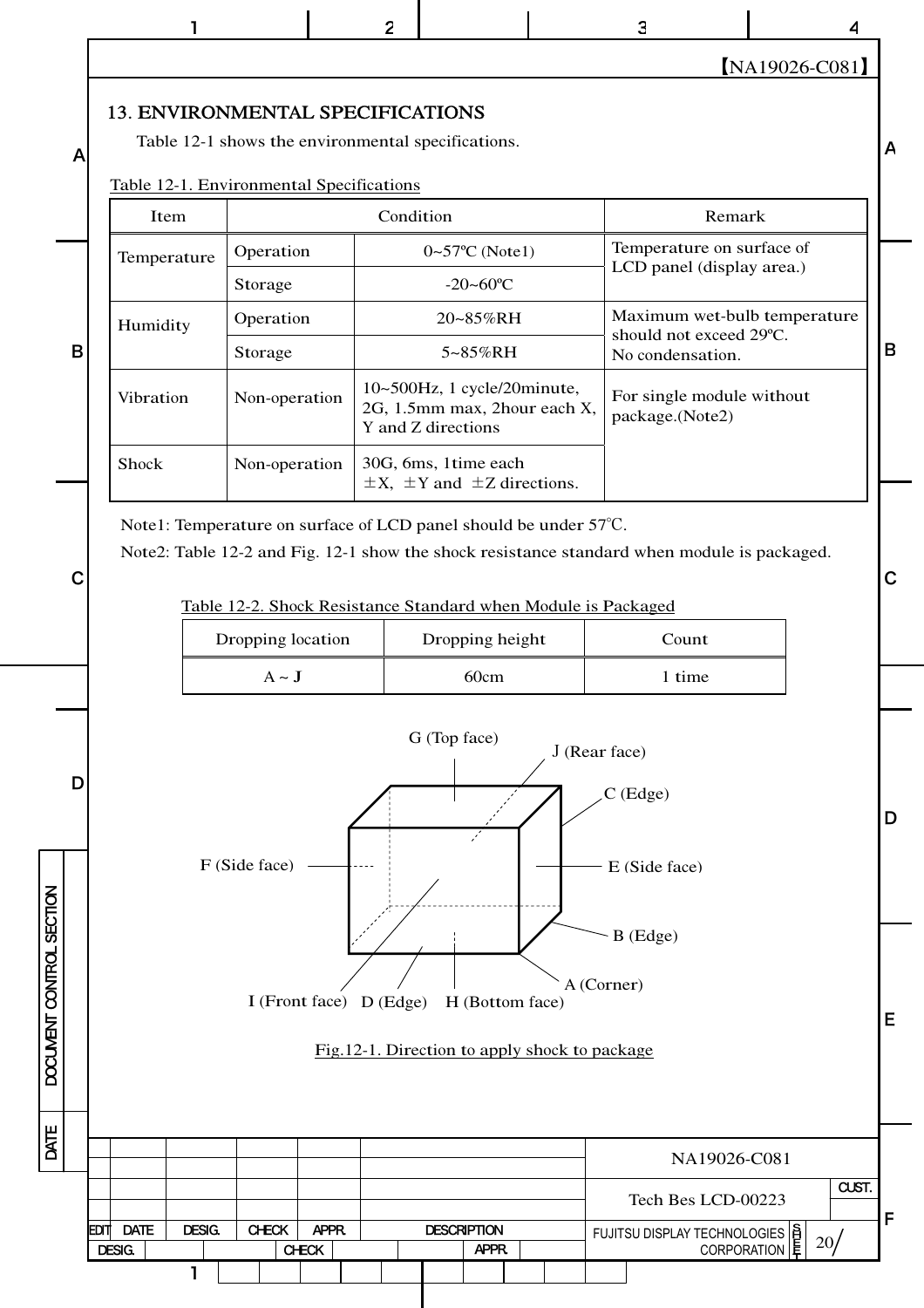|                          |   |                                          | ı             |                                                    |                                                            | 2                       |              |                                                                   |                                                                           | 3                                                                                                                                                                     |                                                         |                  |  |             |
|--------------------------|---|------------------------------------------|---------------|----------------------------------------------------|------------------------------------------------------------|-------------------------|--------------|-------------------------------------------------------------------|---------------------------------------------------------------------------|-----------------------------------------------------------------------------------------------------------------------------------------------------------------------|---------------------------------------------------------|------------------|--|-------------|
|                          |   |                                          |               |                                                    |                                                            |                         |              |                                                                   |                                                                           |                                                                                                                                                                       |                                                         | $[NA19026-C081]$ |  |             |
|                          | A | 13. ENVIRONMENTAL SPECIFICATIONS         |               | Table 12-1 shows the environmental specifications. |                                                            |                         |              |                                                                   |                                                                           |                                                                                                                                                                       |                                                         |                  |  | A           |
|                          |   | Table 12-1. Environmental Specifications |               |                                                    |                                                            |                         |              |                                                                   |                                                                           |                                                                                                                                                                       |                                                         |                  |  |             |
|                          |   | Item                                     |               | Operation                                          |                                                            |                         | Condition    | $0 - 57$ °C (Note1)                                               |                                                                           |                                                                                                                                                                       | Remark<br>Temperature on surface of                     |                  |  |             |
|                          |   | Temperature                              |               | Storage                                            |                                                            |                         |              | $-20 - 60^{\circ}C$                                               |                                                                           |                                                                                                                                                                       | LCD panel (display area.)                               |                  |  |             |
|                          |   | Humidity                                 |               | Operation                                          |                                                            |                         |              | 20~85%RH                                                          |                                                                           |                                                                                                                                                                       | Maximum wet-bulb temperature<br>should not exceed 29°C. |                  |  |             |
|                          | B |                                          |               | Storage                                            |                                                            |                         |              | 5~85%RH                                                           |                                                                           |                                                                                                                                                                       | No condensation.                                        |                  |  | $\mathbf B$ |
|                          |   | Vibration                                |               | Non-operation                                      |                                                            | Y and Z directions      |              |                                                                   | 10~500Hz, 1 cycle/20minute,<br>2G, 1.5mm max, 2hour each X,               | package.(Note2)                                                                                                                                                       | For single module without                               |                  |  |             |
|                          |   | Shock                                    |               | Non-operation                                      |                                                            |                         |              | 30G, 6ms, 1time each<br>$\pm X$ , $\pm Y$ and $\pm Z$ directions. |                                                                           |                                                                                                                                                                       |                                                         |                  |  |             |
|                          | C |                                          |               |                                                    |                                                            |                         |              |                                                                   | Note1: Temperature on surface of LCD panel should be under 57°C.          | Note2: Table 12-2 and Fig. 12-1 show the shock resistance standard when module is packaged.<br>Table 12-2. Shock Resistance Standard when Module is Packaged<br>Count |                                                         |                  |  |             |
|                          |   |                                          |               | Dropping location                                  |                                                            |                         |              | Dropping height                                                   |                                                                           |                                                                                                                                                                       |                                                         |                  |  |             |
|                          |   |                                          |               | $A \sim J$                                         |                                                            |                         |              | 60cm                                                              |                                                                           | 1 time                                                                                                                                                                |                                                         |                  |  |             |
| DOCUMENT CONTROL SECTION | D |                                          |               | F (Side face)                                      |                                                            | I (Front face) D (Edge) | G (Top face) | H (Bottom face)                                                   | Fig. 12-1. Direction to apply shock to package                            | J (Rear face)<br>C (Edge)<br>E (Side face)<br>$B$ (Edge)<br>A (Corner)                                                                                                |                                                         |                  |  |             |
| DATE                     |   |                                          |               |                                                    |                                                            |                         |              |                                                                   | NA19026-C081                                                              |                                                                                                                                                                       |                                                         |                  |  |             |
|                          |   |                                          |               |                                                    |                                                            |                         |              |                                                                   |                                                                           |                                                                                                                                                                       | CUST.<br>Tech Bes LCD-00223                             |                  |  |             |
|                          |   | <b>DATE</b><br>EDIT<br><b>DESIG.</b>     | <b>DESIG.</b> | <b>CHECK</b>                                       | APPR.<br><b>DESCRIPTION</b><br><b>CHECK</b><br><b>APPR</b> |                         |              |                                                                   | FUJITSU DISPLAY TECHNOLOGIES   8<br>20 <sub>l</sub><br><b>CORPORATION</b> |                                                                                                                                                                       |                                                         | F                |  |             |
|                          |   |                                          | 1             |                                                    |                                                            |                         |              |                                                                   |                                                                           |                                                                                                                                                                       |                                                         |                  |  |             |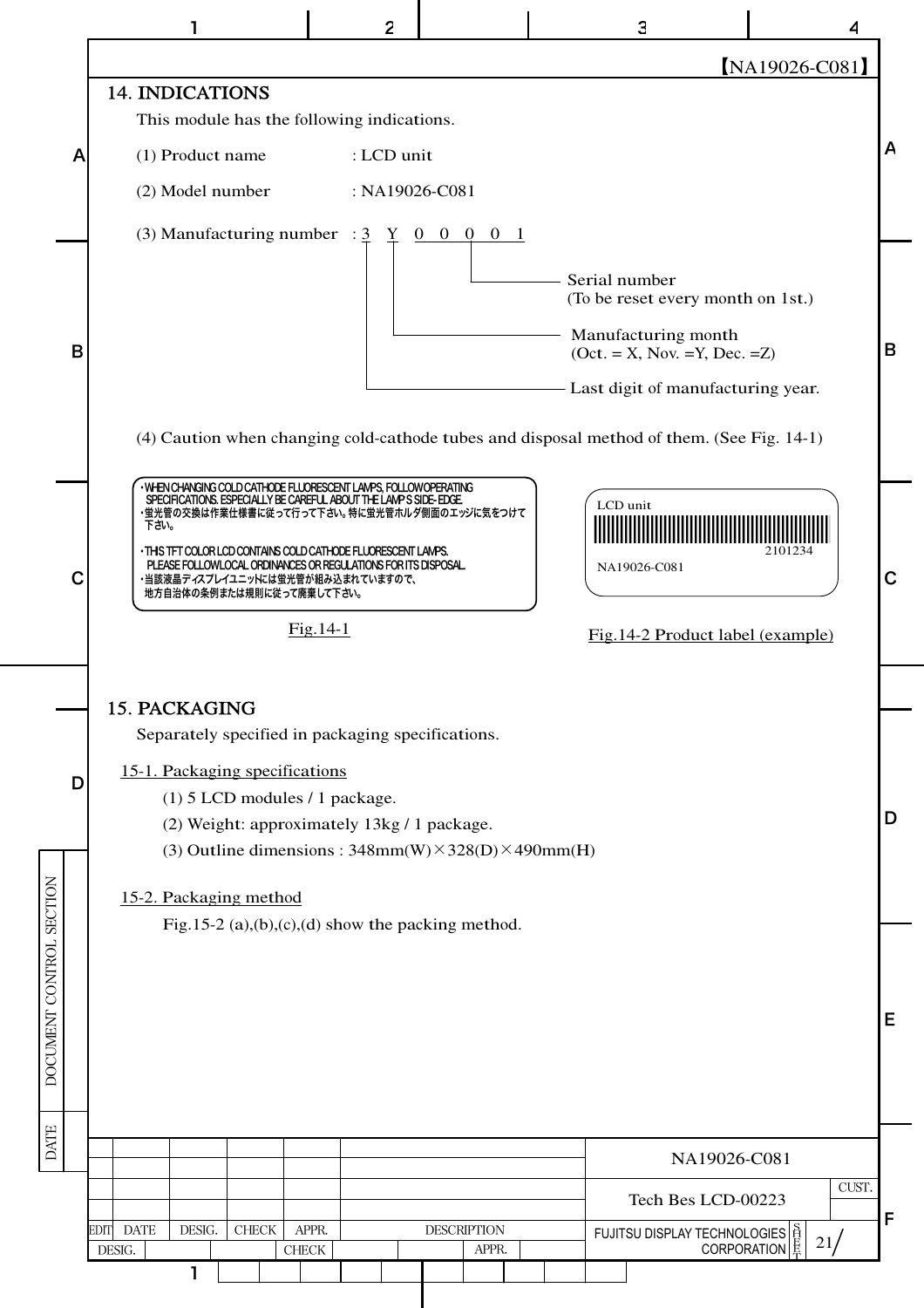|                          |                                                                                                                                                                                                                                                                                                                                                                                                                                                                                                                                                                                       | $\overline{c}$        |                             |  | 3                                                                      | 4                                                                        |   |  |  |  |  |  |  |
|--------------------------|---------------------------------------------------------------------------------------------------------------------------------------------------------------------------------------------------------------------------------------------------------------------------------------------------------------------------------------------------------------------------------------------------------------------------------------------------------------------------------------------------------------------------------------------------------------------------------------|-----------------------|-----------------------------|--|------------------------------------------------------------------------|--------------------------------------------------------------------------|---|--|--|--|--|--|--|
|                          |                                                                                                                                                                                                                                                                                                                                                                                                                                                                                                                                                                                       |                       |                             |  |                                                                        | [NA19026-C081]                                                           |   |  |  |  |  |  |  |
|                          | <b>14. INDICATIONS</b><br>This module has the following indications.                                                                                                                                                                                                                                                                                                                                                                                                                                                                                                                  |                       |                             |  |                                                                        |                                                                          |   |  |  |  |  |  |  |
| A                        | (1) Product name                                                                                                                                                                                                                                                                                                                                                                                                                                                                                                                                                                      | : LCD unit            |                             |  |                                                                        |                                                                          | A |  |  |  |  |  |  |
|                          | (2) Model number                                                                                                                                                                                                                                                                                                                                                                                                                                                                                                                                                                      | : $NA19026-C081$      |                             |  |                                                                        |                                                                          |   |  |  |  |  |  |  |
| B                        | (3) Manufacturing number : $\frac{3}{2}$ $\frac{y}{1}$ 0 0 0 0 1                                                                                                                                                                                                                                                                                                                                                                                                                                                                                                                      |                       |                             |  | Serial number<br>Manufacturing month<br>$(Oct. = X, Nov. =Y, Dec. =Z)$ | (To be reset every month on 1st.)<br>- Last digit of manufacturing year. | B |  |  |  |  |  |  |
| С                        | (4) Caution when changing cold-cathode tubes and disposal method of them. (See Fig. 14-1)<br>WHEN CHANGING COLD CATHODE FLUORESCENT LAMPS, FOLLOWOPERATING<br>SPECIFICATIONS. ESPECIALLY BE CAREFUL ABOUT THE LAWP S SIDE-EDGE.<br>LCD unit<br>・蛍光管の交換は作業仕様書に従って行って下さい。特に蛍光管ホルダ側面のエッジに気をつけて<br>下さい。<br>. THIS TFT COLOR LCD CONTAINS COLD CATHODE FLUORESCENT LAMPS.<br>2101234<br>PLEASE FOLLOWLOCAL ORDINANCES OR REGULATIONS FOR ITS DISPOSAL.<br>NA19026-C081<br>・当該液晶ディスプレイユニットには蛍光管が組み込まれていますので、<br>地方自治体の条例または規則に従って廃棄して下さい。<br>$Fig.14-1$<br>Fig.14-2 Product label (example) |                       |                             |  |                                                                        |                                                                          |   |  |  |  |  |  |  |
|                          |                                                                                                                                                                                                                                                                                                                                                                                                                                                                                                                                                                                       |                       |                             |  |                                                                        |                                                                          |   |  |  |  |  |  |  |
| D                        | <b>15. PACKAGING</b><br>Separately specified in packaging specifications.<br>15-1. Packaging specifications<br>$(1)$ 5 LCD modules / 1 package.<br>(2) Weight: approximately 13kg / 1 package.<br>(3) Outline dimensions: $348mm(W) \times 328(D) \times 490mm(H)$<br>15-2. Packaging method                                                                                                                                                                                                                                                                                          |                       |                             |  |                                                                        |                                                                          | D |  |  |  |  |  |  |
| DOCUMENT CONTROL SECTION | Fig.15-2 (a),(b),(c),(d) show the packing method.                                                                                                                                                                                                                                                                                                                                                                                                                                                                                                                                     |                       |                             |  |                                                                        |                                                                          |   |  |  |  |  |  |  |
| <b>DATE</b>              |                                                                                                                                                                                                                                                                                                                                                                                                                                                                                                                                                                                       |                       |                             |  |                                                                        | NA19026-C081                                                             |   |  |  |  |  |  |  |
|                          |                                                                                                                                                                                                                                                                                                                                                                                                                                                                                                                                                                                       |                       |                             |  |                                                                        | CUST.<br>Tech Bes LCD-00223                                              |   |  |  |  |  |  |  |
|                          | <b>DATE</b><br>DESIG.<br><b>CHECK</b><br>EDITI<br>DESIG.                                                                                                                                                                                                                                                                                                                                                                                                                                                                                                                              | APPR.<br><b>CHECK</b> | <b>DESCRIPTION</b><br>APPR. |  | فَإِ FUJITSU DISPLAY TECHNOLOGIES<br>© CORPORATION                     | 21/                                                                      | F |  |  |  |  |  |  |
|                          |                                                                                                                                                                                                                                                                                                                                                                                                                                                                                                                                                                                       |                       |                             |  |                                                                        |                                                                          |   |  |  |  |  |  |  |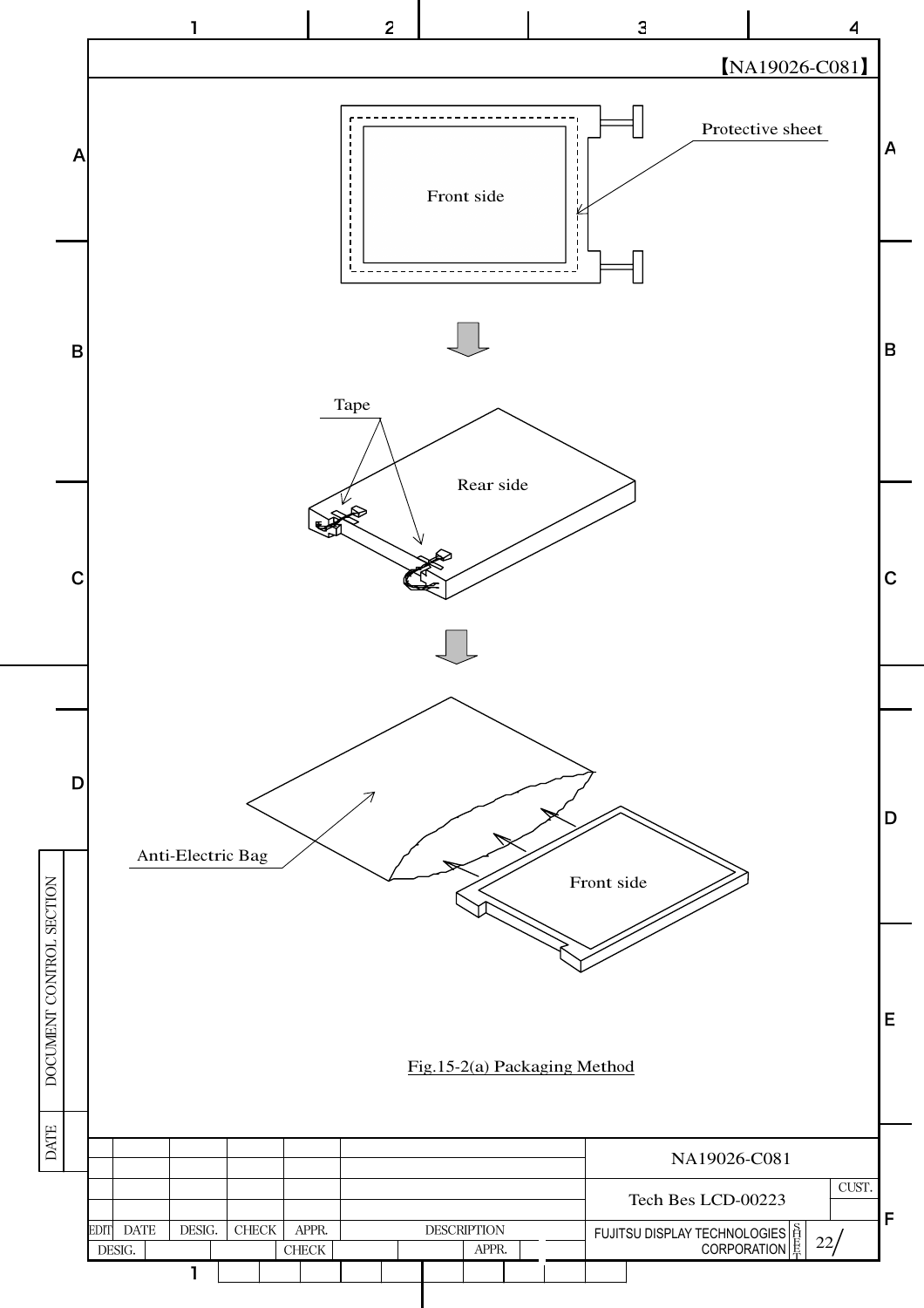![](_page_22_Figure_0.jpeg)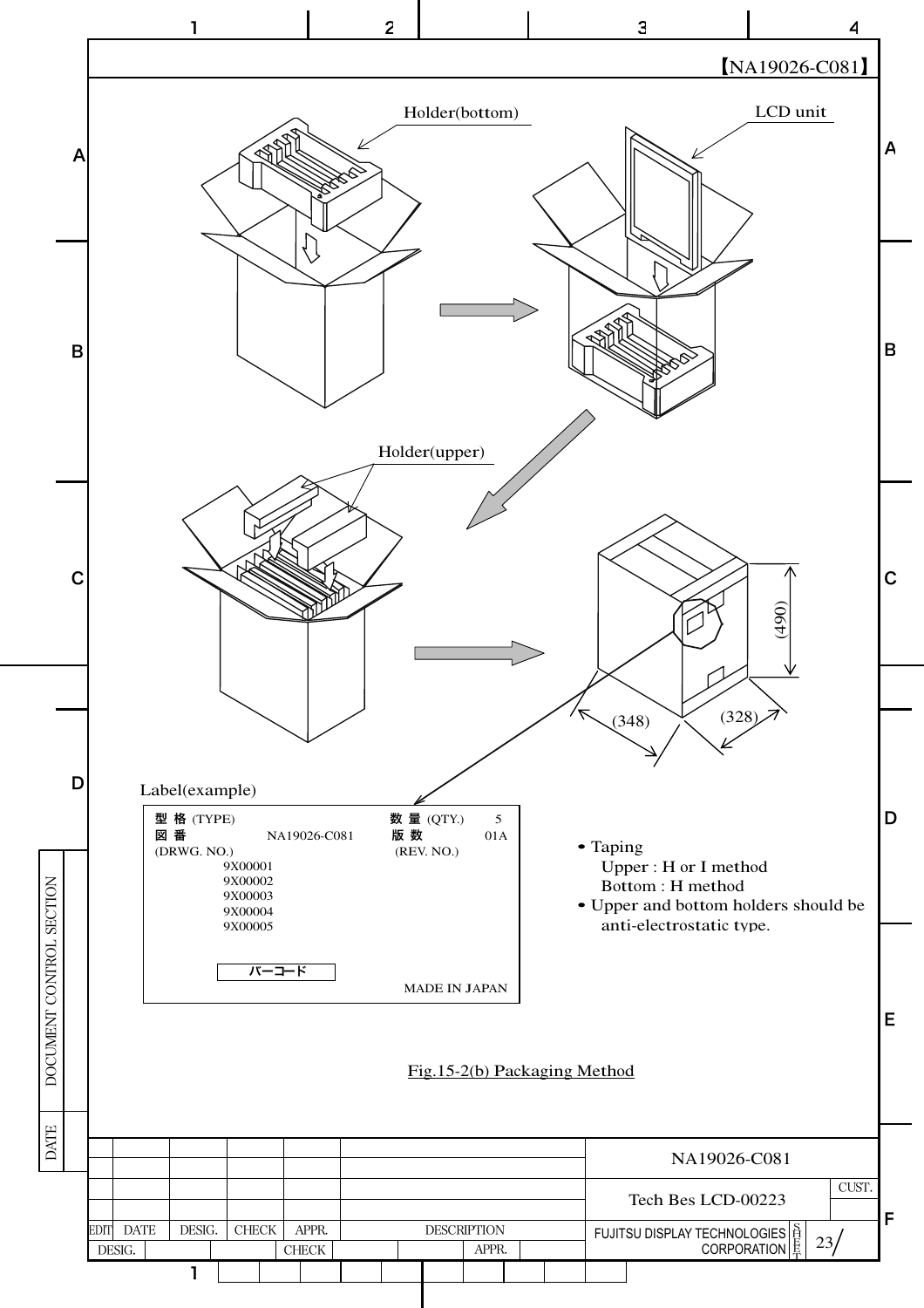![](_page_23_Figure_0.jpeg)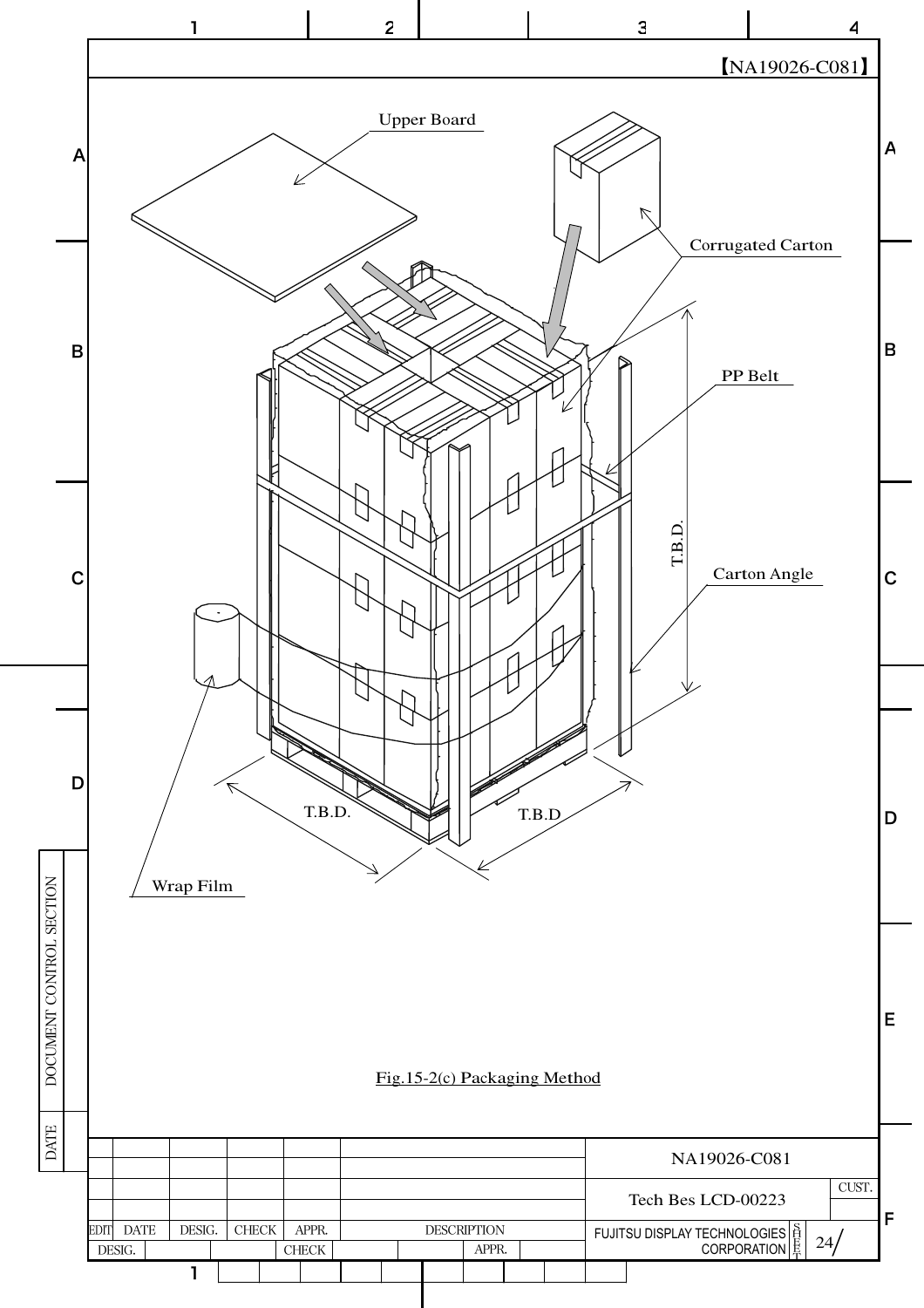![](_page_24_Figure_0.jpeg)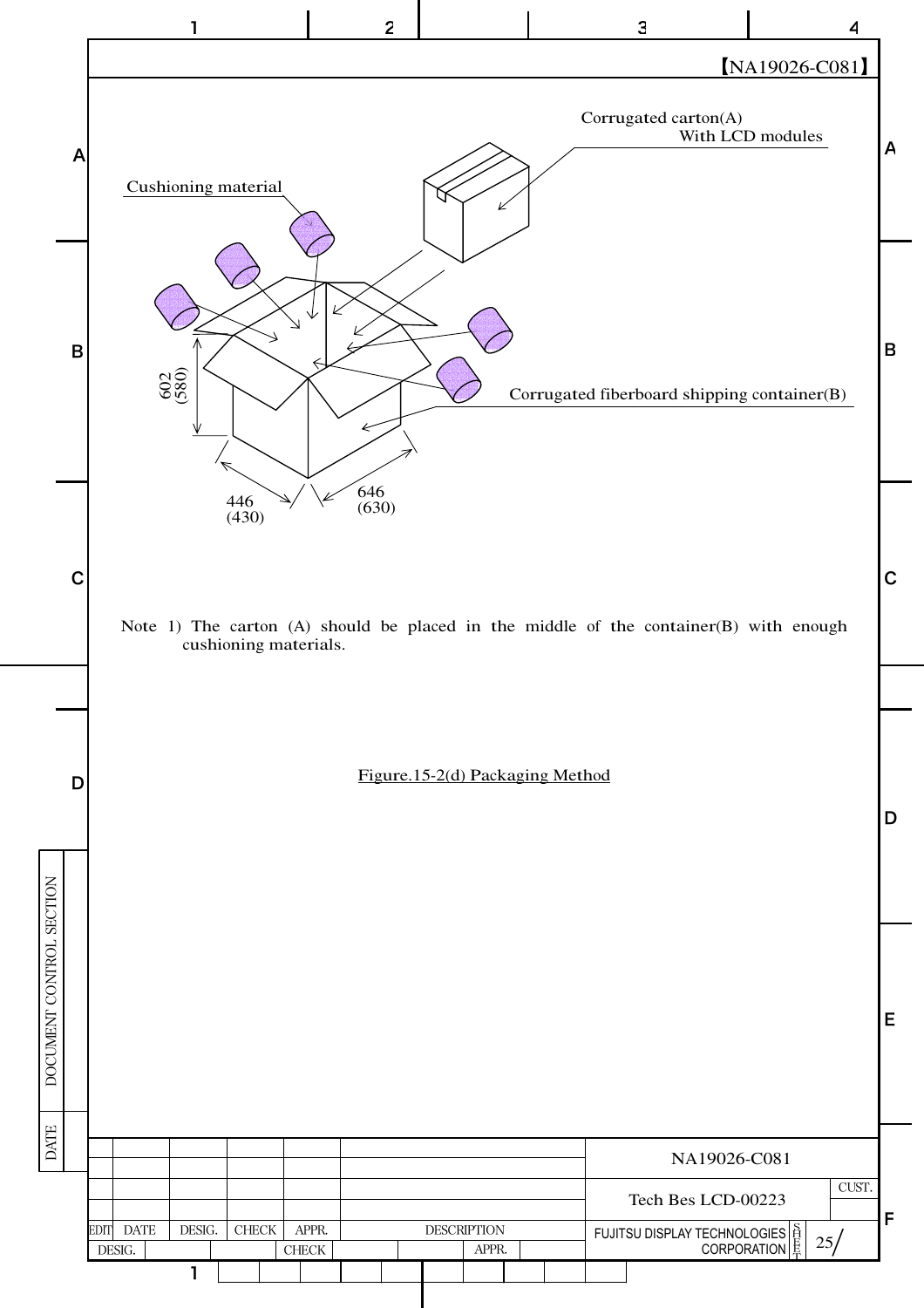![](_page_25_Figure_0.jpeg)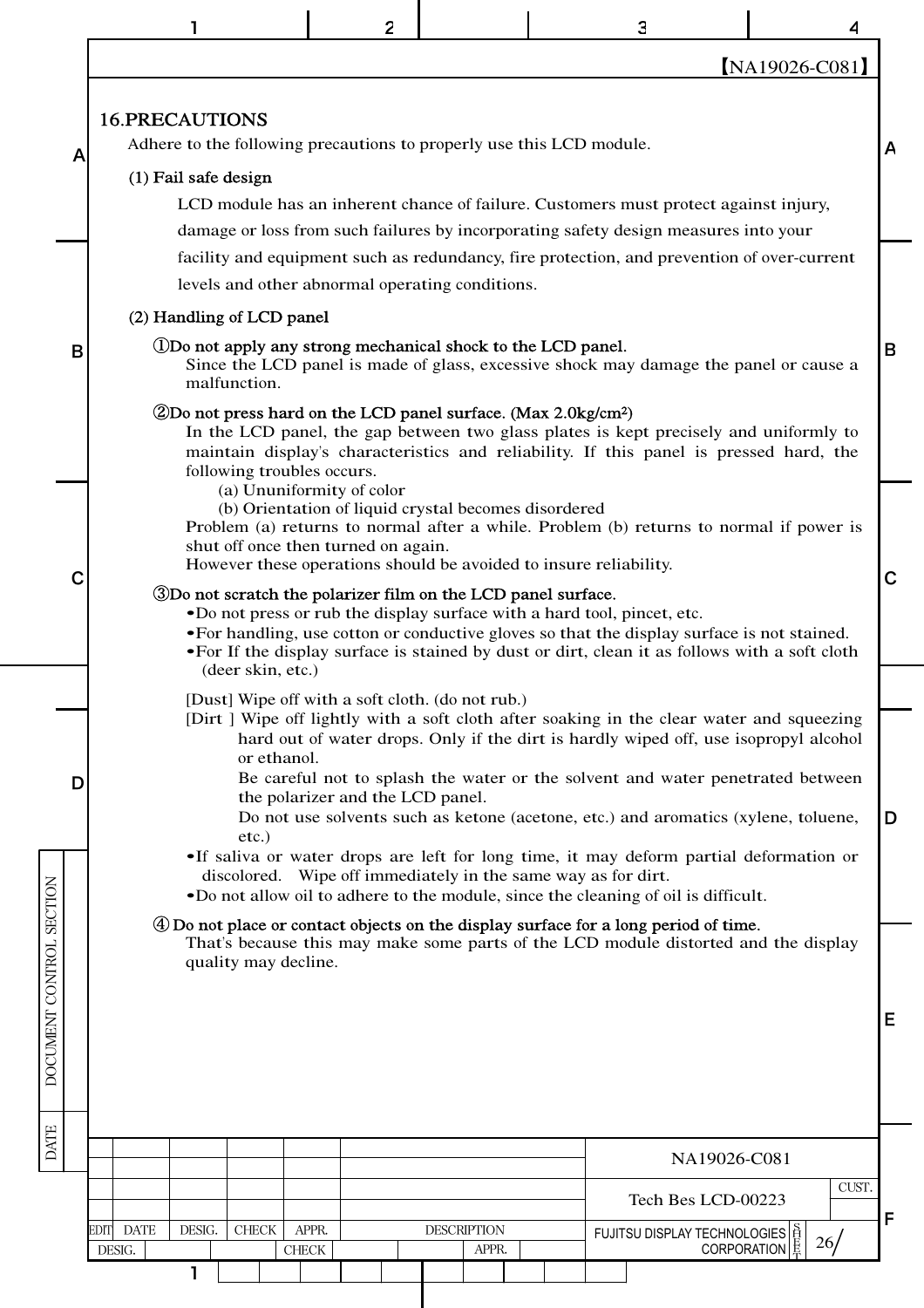|                          |                                                                                                                                                                                                         |                                                                                                                                                                                                                                                                                                                                                                                                                                                                                                                                                                                                                                                                                                                                                                                                                                                                                                                                                                                                                          | 2                                                                                                                |                             |  | З                                                                                                                                                                                   |              |   |  |  |  |  |  |  |
|--------------------------|---------------------------------------------------------------------------------------------------------------------------------------------------------------------------------------------------------|--------------------------------------------------------------------------------------------------------------------------------------------------------------------------------------------------------------------------------------------------------------------------------------------------------------------------------------------------------------------------------------------------------------------------------------------------------------------------------------------------------------------------------------------------------------------------------------------------------------------------------------------------------------------------------------------------------------------------------------------------------------------------------------------------------------------------------------------------------------------------------------------------------------------------------------------------------------------------------------------------------------------------|------------------------------------------------------------------------------------------------------------------|-----------------------------|--|-------------------------------------------------------------------------------------------------------------------------------------------------------------------------------------|--------------|---|--|--|--|--|--|--|
|                          |                                                                                                                                                                                                         |                                                                                                                                                                                                                                                                                                                                                                                                                                                                                                                                                                                                                                                                                                                                                                                                                                                                                                                                                                                                                          |                                                                                                                  |                             |  |                                                                                                                                                                                     | NA19026-C081 |   |  |  |  |  |  |  |
| Α                        | <b>16.PRECAUTIONS</b><br>(1) Fail safe design                                                                                                                                                           |                                                                                                                                                                                                                                                                                                                                                                                                                                                                                                                                                                                                                                                                                                                                                                                                                                                                                                                                                                                                                          | Adhere to the following precautions to properly use this LCD module.                                             |                             |  | LCD module has an inherent chance of failure. Customers must protect against injury,<br>damage or loss from such failures by incorporating safety design measures into your         |              |   |  |  |  |  |  |  |
| B                        | (2) Handling of LCD panel                                                                                                                                                                               | malfunction.                                                                                                                                                                                                                                                                                                                                                                                                                                                                                                                                                                                                                                                                                                                                                                                                                                                                                                                                                                                                             | levels and other abnormal operating conditions.<br>(DDo not apply any strong mechanical shock to the LCD panel.) |                             |  | facility and equipment such as redundancy, fire protection, and prevention of over-current<br>Since the LCD panel is made of glass, excessive shock may damage the panel or cause a |              | B |  |  |  |  |  |  |
| C                        |                                                                                                                                                                                                         | 2Do not press hard on the LCD panel surface. (Max 2.0kg/cm <sup>2</sup> )<br>In the LCD panel, the gap between two glass plates is kept precisely and uniformly to<br>maintain display's characteristics and reliability. If this panel is pressed hard, the<br>following troubles occurs.<br>(a) Ununiformity of color<br>(b) Orientation of liquid crystal becomes disordered<br>Problem (a) returns to normal after a while. Problem (b) returns to normal if power is<br>shut off once then turned on again.<br>However these operations should be avoided to insure reliability.<br>$\mathbf C$<br>3Do not scratch the polarizer film on the LCD panel surface.<br>•Do not press or rub the display surface with a hard tool, pincet, etc.<br>• For handling, use cotton or conductive gloves so that the display surface is not stained.<br>•For If the display surface is stained by dust or dirt, clean it as follows with a soft cloth<br>(deer skin, etc.)<br>[Dust] Wipe off with a soft cloth. (do not rub.) |                                                                                                                  |                             |  |                                                                                                                                                                                     |              |   |  |  |  |  |  |  |
| D                        |                                                                                                                                                                                                         | [Dirt] Wipe off lightly with a soft cloth after soaking in the clear water and squeezing<br>hard out of water drops. Only if the dirt is hardly wiped off, use isopropyl alcohol<br>or ethanol.<br>Be careful not to splash the water or the solvent and water penetrated between<br>the polarizer and the LCD panel.<br>Do not use solvents such as ketone (acetone, etc.) and aromatics (xylene, toluene,<br>D<br>etc.)<br>•If saliva or water drops are left for long time, it may deform partial deformation or<br>discolored. Wipe off immediately in the same way as for dirt.<br>•Do not allow oil to adhere to the module, since the cleaning of oil is difficult.                                                                                                                                                                                                                                                                                                                                               |                                                                                                                  |                             |  |                                                                                                                                                                                     |              |   |  |  |  |  |  |  |
| DOCUMENT CONTROL SECTION | 4 Do not place or contact objects on the display surface for a long period of time.<br>That's because this may make some parts of the LCD module distorted and the display<br>quality may decline.<br>Е |                                                                                                                                                                                                                                                                                                                                                                                                                                                                                                                                                                                                                                                                                                                                                                                                                                                                                                                                                                                                                          |                                                                                                                  |                             |  |                                                                                                                                                                                     |              |   |  |  |  |  |  |  |
| <b>DATE</b>              | EDIT DATE<br>DESIG.<br>DESIG.                                                                                                                                                                           | <b>CHECK</b><br>${\rm CHECK}$                                                                                                                                                                                                                                                                                                                                                                                                                                                                                                                                                                                                                                                                                                                                                                                                                                                                                                                                                                                            | APPR.                                                                                                            | <b>DESCRIPTION</b><br>APPR. |  | NA19026-C081<br>Tech Bes LCD-00223<br>FUJITSU DISPLAY TECHNOLOGIES $\left \frac{S}{H}\right $<br>CORPORATION $\left \frac{S}{K}\right $                                             | CUST.<br>26/ | F |  |  |  |  |  |  |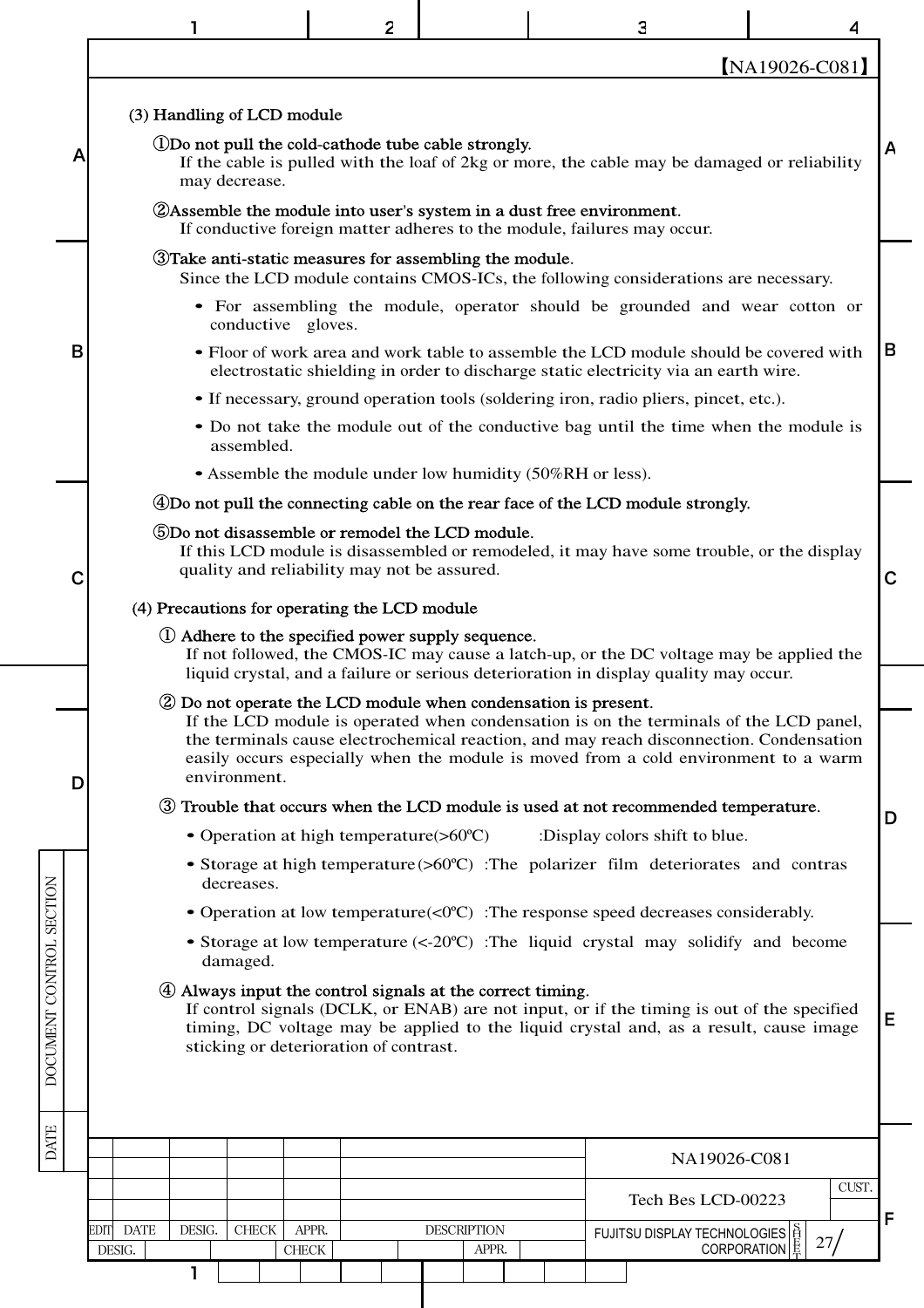|                          |                                |        |                            |                       | 2                                                                                             |                             |  | Э                                                                                                                                                      |                    |                                                                                                                                                                                                                                                                         |       |             |
|--------------------------|--------------------------------|--------|----------------------------|-----------------------|-----------------------------------------------------------------------------------------------|-----------------------------|--|--------------------------------------------------------------------------------------------------------------------------------------------------------|--------------------|-------------------------------------------------------------------------------------------------------------------------------------------------------------------------------------------------------------------------------------------------------------------------|-------|-------------|
|                          |                                |        |                            |                       |                                                                                               |                             |  |                                                                                                                                                        |                    | [NA19026-C081]                                                                                                                                                                                                                                                          |       |             |
|                          |                                |        | (3) Handling of LCD module |                       |                                                                                               |                             |  |                                                                                                                                                        |                    |                                                                                                                                                                                                                                                                         |       |             |
| А                        |                                |        | may decrease.              |                       | (1) Do not pull the cold-cathode tube cable strongly.                                         |                             |  |                                                                                                                                                        |                    | If the cable is pulled with the loaf of 2kg or more, the cable may be damaged or reliability                                                                                                                                                                            |       |             |
|                          |                                |        |                            |                       |                                                                                               |                             |  | <b>2</b> Assemble the module into user's system in a dust free environment.<br>If conductive foreign matter adheres to the module, failures may occur. |                    |                                                                                                                                                                                                                                                                         |       |             |
|                          |                                |        |                            |                       | <b>3</b> Take anti-static measures for assembling the module.                                 |                             |  |                                                                                                                                                        |                    | Since the LCD module contains CMOS-ICs, the following considerations are necessary.                                                                                                                                                                                     |       |             |
|                          |                                |        | conductive gloves.         |                       |                                                                                               |                             |  |                                                                                                                                                        |                    | • For assembling the module, operator should be grounded and wear cotton or                                                                                                                                                                                             |       |             |
| B                        |                                |        |                            |                       |                                                                                               |                             |  | electrostatic shielding in order to discharge static electricity via an earth wire.                                                                    |                    | • Floor of work area and work table to assemble the LCD module should be covered with                                                                                                                                                                                   |       | В           |
|                          |                                |        |                            |                       |                                                                                               |                             |  | • If necessary, ground operation tools (soldering iron, radio pliers, pincet, etc.).                                                                   |                    |                                                                                                                                                                                                                                                                         |       |             |
|                          |                                |        | assembled.                 |                       |                                                                                               |                             |  |                                                                                                                                                        |                    | • Do not take the module out of the conductive bag until the time when the module is                                                                                                                                                                                    |       |             |
|                          |                                |        |                            |                       | • Assemble the module under low humidity (50%RH or less).                                     |                             |  |                                                                                                                                                        |                    |                                                                                                                                                                                                                                                                         |       |             |
|                          |                                |        |                            |                       |                                                                                               |                             |  | 4Do not pull the connecting cable on the rear face of the LCD module strongly.                                                                         |                    |                                                                                                                                                                                                                                                                         |       |             |
| С                        |                                |        |                            |                       | 5Do not disassemble or remodel the LCD module.<br>quality and reliability may not be assured. |                             |  |                                                                                                                                                        |                    | If this LCD module is disassembled or remodeled, it may have some trouble, or the display                                                                                                                                                                               |       | $\mathbf C$ |
|                          |                                |        |                            |                       | (4) Precautions for operating the LCD module                                                  |                             |  |                                                                                                                                                        |                    |                                                                                                                                                                                                                                                                         |       |             |
|                          |                                |        |                            |                       | (1) Adhere to the specified power supply sequence.                                            |                             |  | liquid crystal, and a failure or serious deterioration in display quality may occur.                                                                   |                    | If not followed, the CMOS-IC may cause a latch-up, or the DC voltage may be applied the                                                                                                                                                                                 |       |             |
|                          |                                |        |                            |                       | 2 Do not operate the LCD module when condensation is present.                                 |                             |  |                                                                                                                                                        |                    |                                                                                                                                                                                                                                                                         |       |             |
| D                        |                                |        | environment.               |                       |                                                                                               |                             |  |                                                                                                                                                        |                    | If the LCD module is operated when condensation is on the terminals of the LCD panel,<br>the terminals cause electrochemical reaction, and may reach disconnection. Condensation<br>easily occurs especially when the module is moved from a cold environment to a warm |       |             |
|                          |                                |        |                            |                       |                                                                                               |                             |  | 3 Trouble that occurs when the LCD module is used at not recommended temperature.                                                                      |                    |                                                                                                                                                                                                                                                                         |       |             |
|                          |                                |        |                            |                       | • Operation at high temperature $( >60^{\circ}C)$                                             |                             |  | :Display colors shift to blue.                                                                                                                         |                    |                                                                                                                                                                                                                                                                         |       | D           |
|                          |                                |        | decreases.                 |                       |                                                                                               |                             |  |                                                                                                                                                        |                    | • Storage at high temperature $(>60^{\circ}\text{C})$ : The polarizer film deteriorates and contras                                                                                                                                                                     |       |             |
|                          |                                |        |                            |                       |                                                                                               |                             |  | • Operation at low temperature $\langle 0^{\circ}C \rangle$ : The response speed decreases considerably.                                               |                    |                                                                                                                                                                                                                                                                         |       |             |
|                          |                                |        | damaged.                   |                       |                                                                                               |                             |  |                                                                                                                                                        |                    | • Storage at low temperature (<-20°C) : The liquid crystal may solidify and become                                                                                                                                                                                      |       |             |
| DOCUMENT CONTROL SECTION |                                |        |                            |                       | 4) Always input the control signals at the correct timing.                                    |                             |  |                                                                                                                                                        |                    |                                                                                                                                                                                                                                                                         |       |             |
|                          |                                |        |                            |                       |                                                                                               |                             |  |                                                                                                                                                        |                    | If control signals (DCLK, or ENAB) are not input, or if the timing is out of the specified<br>timing, DC voltage may be applied to the liquid crystal and, as a result, cause image                                                                                     |       | Ε           |
|                          |                                |        |                            |                       | sticking or deterioration of contrast.                                                        |                             |  |                                                                                                                                                        |                    |                                                                                                                                                                                                                                                                         |       |             |
|                          |                                |        |                            |                       |                                                                                               |                             |  |                                                                                                                                                        |                    |                                                                                                                                                                                                                                                                         |       |             |
| <b>DATE</b>              |                                |        |                            |                       |                                                                                               |                             |  |                                                                                                                                                        |                    |                                                                                                                                                                                                                                                                         |       |             |
|                          |                                |        |                            |                       |                                                                                               |                             |  |                                                                                                                                                        | NA19026-C081       |                                                                                                                                                                                                                                                                         |       |             |
|                          |                                |        |                            |                       |                                                                                               |                             |  |                                                                                                                                                        | Tech Bes LCD-00223 |                                                                                                                                                                                                                                                                         | CUST. |             |
|                          | <b>DATE</b><br>EDITI<br>DESIG. | DESIG. | <b>CHECK</b>               | APPR.<br><b>CHECK</b> |                                                                                               | <b>DESCRIPTION</b><br>APPR. |  | FUJITSU DISPLAY TECHNOLOGIES $\left \frac{5}{12}\right $<br>CORPORATION $\left \frac{5}{5}\right $                                                     |                    | 27/                                                                                                                                                                                                                                                                     |       | F           |
|                          |                                | 1      |                            |                       |                                                                                               |                             |  |                                                                                                                                                        |                    |                                                                                                                                                                                                                                                                         |       |             |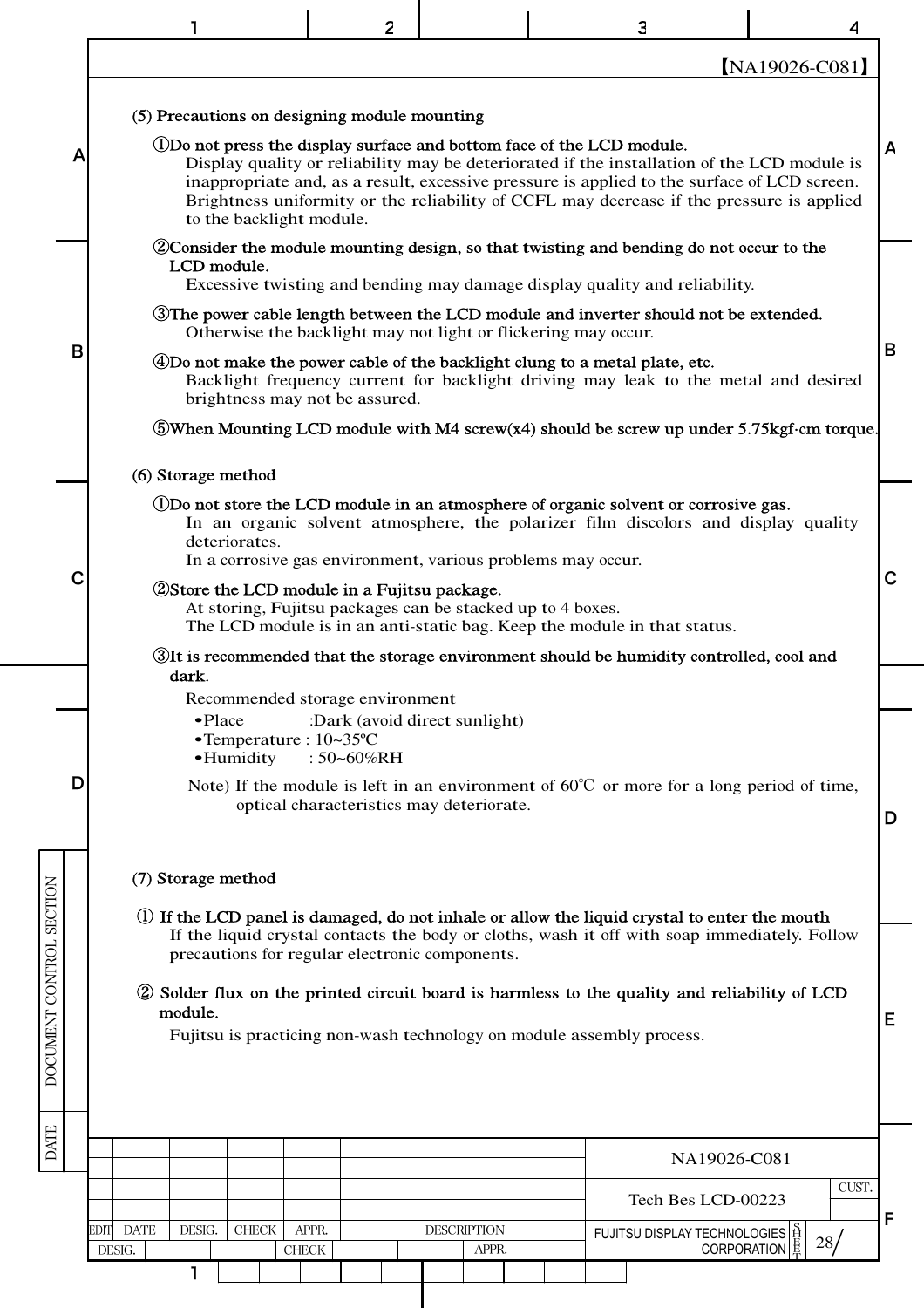|                          |   |                                                                                                            | 2                                        |                    | 3                                                                                                                                                                                                                                                                                                                                                                 |                  |   |
|--------------------------|---|------------------------------------------------------------------------------------------------------------|------------------------------------------|--------------------|-------------------------------------------------------------------------------------------------------------------------------------------------------------------------------------------------------------------------------------------------------------------------------------------------------------------------------------------------------------------|------------------|---|
|                          |   |                                                                                                            |                                          |                    |                                                                                                                                                                                                                                                                                                                                                                   | $[NA19026-C081]$ |   |
|                          |   | (5) Precautions on designing module mounting                                                               |                                          |                    |                                                                                                                                                                                                                                                                                                                                                                   |                  |   |
|                          | Α | to the backlight module.                                                                                   |                                          |                    | (1) Do not press the display surface and bottom face of the LCD module.<br>Display quality or reliability may be deteriorated if the installation of the LCD module is<br>inappropriate and, as a result, excessive pressure is applied to the surface of LCD screen.<br>Brightness uniformity or the reliability of CCFL may decrease if the pressure is applied |                  | А |
|                          |   | LCD module.                                                                                                |                                          |                    | 2 Consider the module mounting design, so that twisting and bending do not occur to the                                                                                                                                                                                                                                                                           |                  |   |
|                          |   |                                                                                                            |                                          |                    | Excessive twisting and bending may damage display quality and reliability.                                                                                                                                                                                                                                                                                        |                  |   |
|                          |   |                                                                                                            |                                          |                    | The power cable length between the LCD module and inverter should not be extended.<br>Otherwise the backlight may not light or flickering may occur.                                                                                                                                                                                                              |                  |   |
|                          | B | brightness may not be assured.                                                                             |                                          |                    | 4 Do not make the power cable of the backlight clung to a metal plate, etc.<br>Backlight frequency current for backlight driving may leak to the metal and desired                                                                                                                                                                                                |                  | B |
|                          |   |                                                                                                            |                                          |                    | $\bullet$ When Mounting LCD module with M4 screw(x4) should be screw up under 5.75 kgf cm torque.                                                                                                                                                                                                                                                                 |                  |   |
|                          |   | (6) Storage method                                                                                         |                                          |                    |                                                                                                                                                                                                                                                                                                                                                                   |                  |   |
|                          |   | deteriorates.<br>In a corrosive gas environment, various problems may occur.                               |                                          |                    | (DDo not store the LCD module in an atmosphere of organic solvent or corrosive gas.<br>In an organic solvent atmosphere, the polarizer film discolors and display quality                                                                                                                                                                                         |                  |   |
|                          | С | 2 Store the LCD module in a Fujitsu package.<br>At storing, Fujitsu packages can be stacked up to 4 boxes. |                                          |                    | The LCD module is in an anti-static bag. Keep the module in that status.                                                                                                                                                                                                                                                                                          |                  | C |
|                          |   | dark.                                                                                                      |                                          |                    | The is recommended that the storage environment should be humidity controlled, cool and                                                                                                                                                                                                                                                                           |                  |   |
|                          |   | Recommended storage environment<br>·Place<br>$\bullet$ Temperature : 10~35 °C                              | :Dark (avoid direct sunlight)            |                    |                                                                                                                                                                                                                                                                                                                                                                   |                  |   |
|                          | D | •Humidity                                                                                                  | : 50~60%RH                               |                    | Note) If the module is left in an environment of $60^{\circ}$ C or more for a long period of time,                                                                                                                                                                                                                                                                |                  |   |
|                          |   |                                                                                                            | optical characteristics may deteriorate. |                    |                                                                                                                                                                                                                                                                                                                                                                   |                  | D |
|                          |   | (7) Storage method                                                                                         |                                          |                    |                                                                                                                                                                                                                                                                                                                                                                   |                  |   |
| DOCUMENT CONTROL SECTION |   |                                                                                                            |                                          |                    | 1) If the LCD panel is damaged, do not inhale or allow the liquid crystal to enter the mouth                                                                                                                                                                                                                                                                      |                  |   |
|                          |   | precautions for regular electronic components.                                                             |                                          |                    | If the liquid crystal contacts the body or cloths, wash it off with soap immediately. Follow                                                                                                                                                                                                                                                                      |                  |   |
|                          |   |                                                                                                            |                                          |                    | 2 Solder flux on the printed circuit board is harmless to the quality and reliability of LCD                                                                                                                                                                                                                                                                      |                  |   |
|                          |   | module.                                                                                                    |                                          |                    | Fujitsu is practicing non-wash technology on module assembly process.                                                                                                                                                                                                                                                                                             |                  | Е |
|                          |   |                                                                                                            |                                          |                    |                                                                                                                                                                                                                                                                                                                                                                   |                  |   |
|                          |   |                                                                                                            |                                          |                    |                                                                                                                                                                                                                                                                                                                                                                   |                  |   |
| <b>DATE</b>              |   |                                                                                                            |                                          |                    | NA19026-C081                                                                                                                                                                                                                                                                                                                                                      |                  |   |
|                          |   |                                                                                                            |                                          |                    | Tech Bes LCD-00223                                                                                                                                                                                                                                                                                                                                                | CUST.            |   |
|                          |   | DESIG.<br><b>DATE</b><br><b>CHECK</b><br>EDIT                                                              | APPR.                                    | <b>DESCRIPTION</b> | FUJITSU DISPLAY TECHNOLOGIES $\left \frac{S}{H}\right $<br>CORPORATION $\left \frac{S}{K}\right $                                                                                                                                                                                                                                                                 | 28/              | F |
|                          |   | DESIG.<br><b>CHECK</b><br>1                                                                                |                                          | APPR.              |                                                                                                                                                                                                                                                                                                                                                                   |                  |   |
|                          |   |                                                                                                            |                                          |                    |                                                                                                                                                                                                                                                                                                                                                                   |                  |   |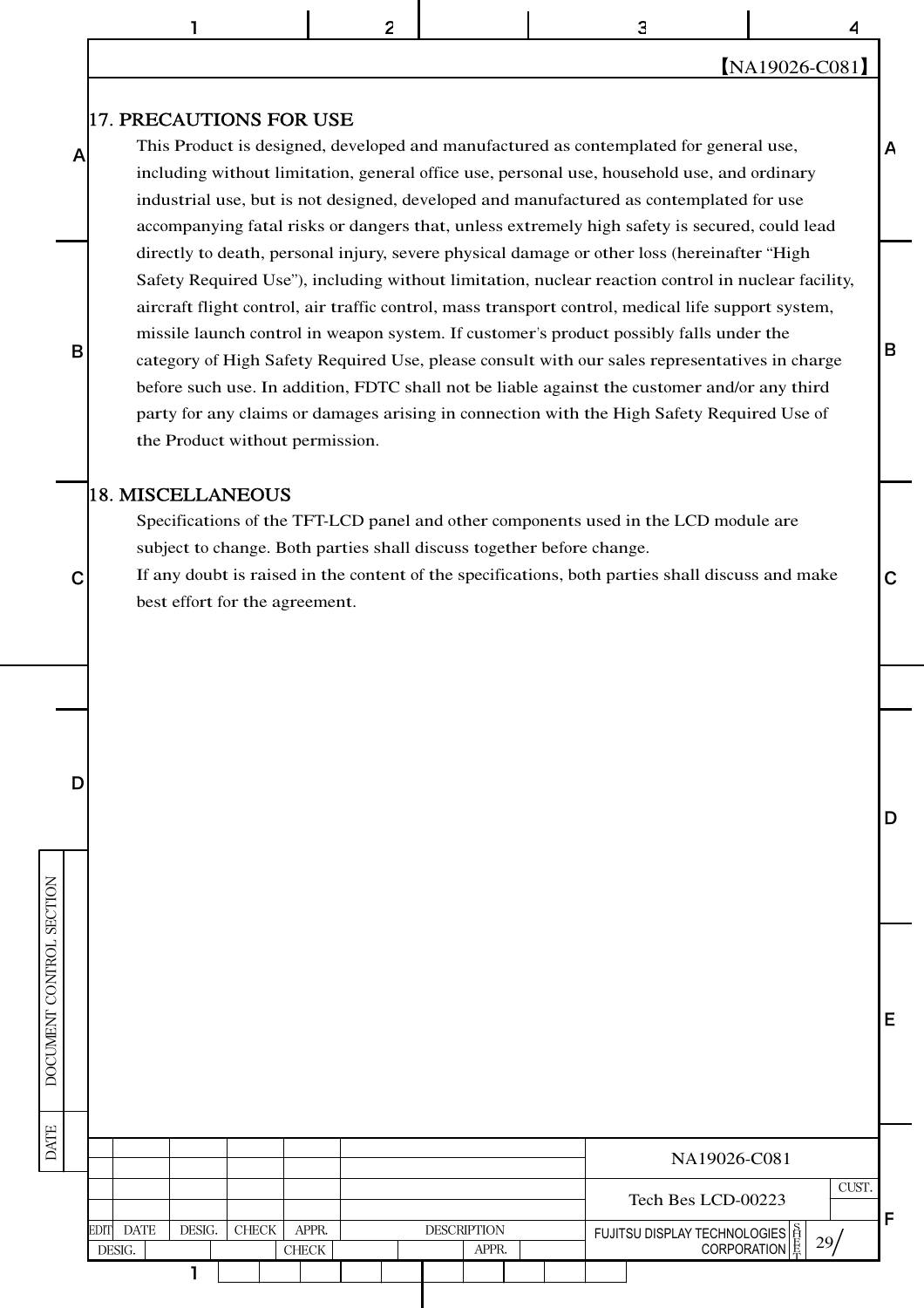1 2 | 3 | 4

#### 【NA19026-C081】

D

B

A

#### 17. PRECAUTIONS FOR USE

This Product is designed, developed and manufactured as contemplated for general use, including without limitation, general office use, personal use, household use, and ordinary industrial use, but is not designed, developed and manufactured as contemplated for use accompanying fatal risks or dangers that, unless extremely high safety is secured, could lead directly to death, personal injury, severe physical damage or other loss (hereinafter "High Safety Required Use"), including without limitation, nuclear reaction control in nuclear facility, aircraft flight control, air traffic control, mass transport control, medical life support system, missile launch control in weapon system. If customer's product possibly falls under the category of High Safety Required Use, please consult with our sales representatives in charge before such use. In addition, FDTC shall not be liable against the customer and/or any third party for any claims or damages arising in connection with the High Safety Required Use of the Product without permission.

#### 18. MISCELLANEOUS

D

A

B

Specifications of the TFT-LCD panel and other components used in the LCD module are subject to change. Both parties shall discuss together before change.

 $\mathsf{C}$  If any doubt is raised in the content of the specifications, both parties shall discuss and make  $\mathsf{C}$ best effort for the agreement.

| <b>SECTION</b>   |             |                       |        |               |                        |                    |       |  |                                       |              |
|------------------|-------------|-----------------------|--------|---------------|------------------------|--------------------|-------|--|---------------------------------------|--------------|
| DOCUMENT CONTROL |             |                       |        |               |                        |                    |       |  |                                       | E            |
| <b>DATE</b>      |             |                       |        |               |                        |                    |       |  | NA19026-C081                          |              |
|                  |             |                       |        |               |                        |                    |       |  | CUST.<br>Tech Bes LCD-00223           |              |
|                  | <b>EDIT</b> | <b>DATE</b><br>DESIG. | DESIG. | ${\rm CHECK}$ | APPR.<br>${\rm CHECK}$ | <b>DESCRIPTION</b> | APPR. |  | FUJITSU DISPLAY TECHNOLOGIES E<br>29/ | $\mathsf{F}$ |
|                  |             |                       |        |               |                        |                    |       |  |                                       |              |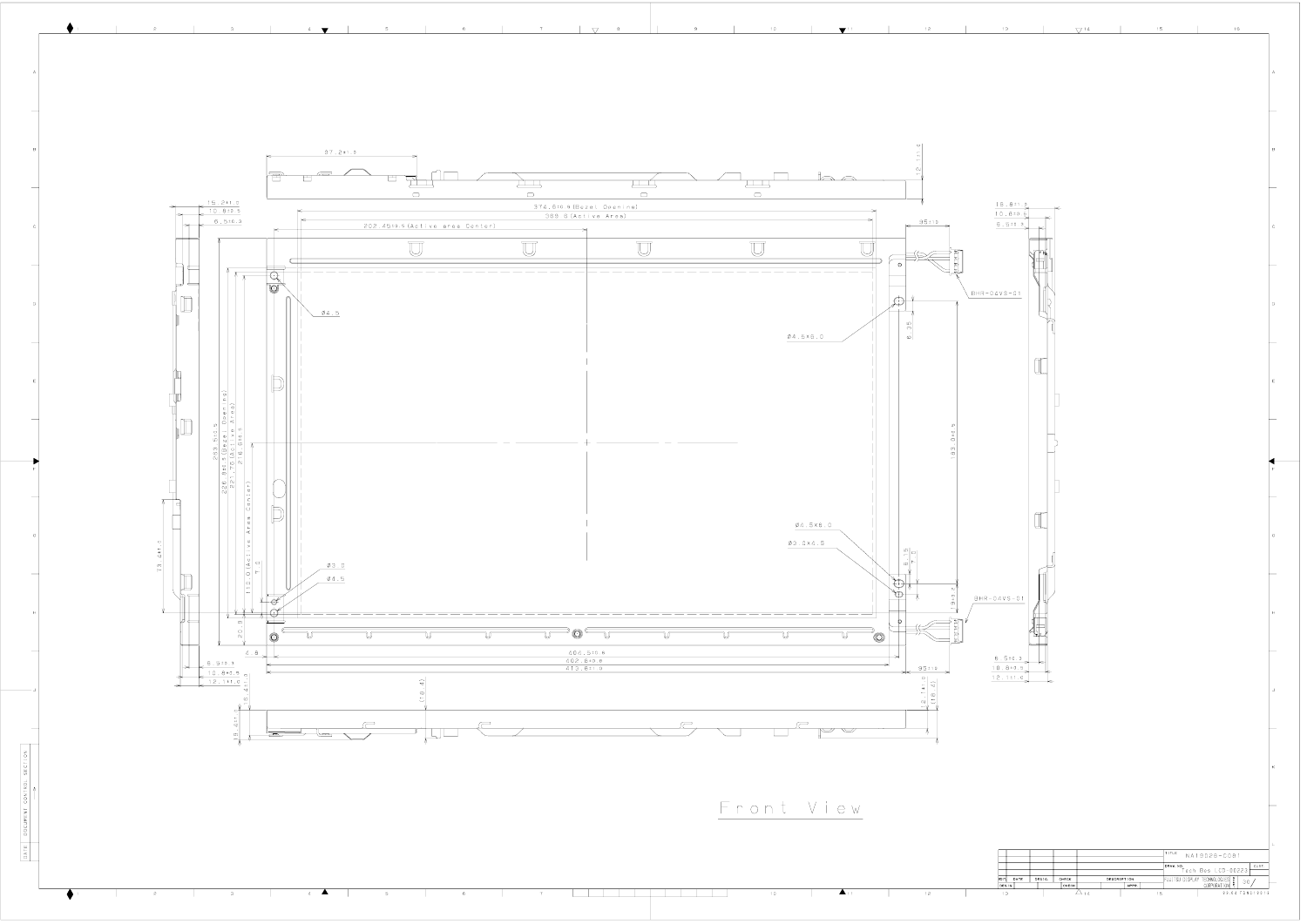![](_page_30_Figure_0.jpeg)